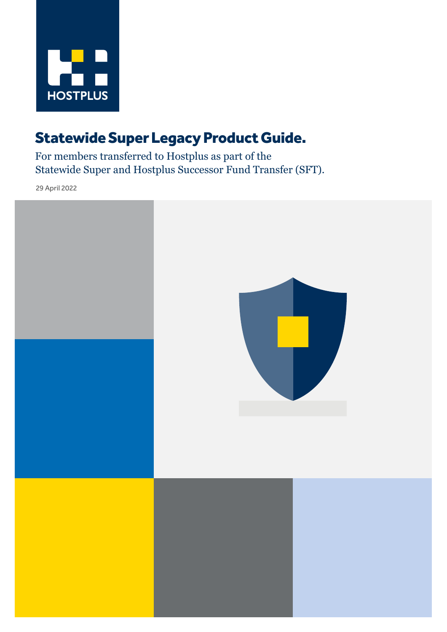

## Statewide Super Legacy Product Guide.

For members transferred to Hostplus as part of the Statewide Super and Hostplus Successor Fund Transfer (SFT).

29 April 2022

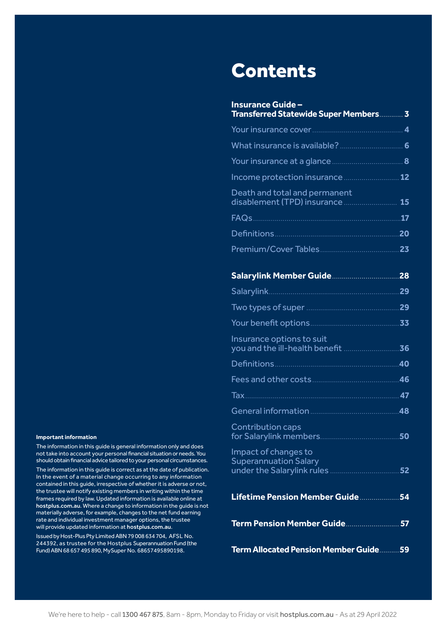#### **Important information**

The information in this guide is general information only and does not take into account your personal financial situation or needs. You should obtain financial advice tailored to your personal circumstances. The information in this guide is correct as at the date of publication. In the event of a material change occurring to any information contained in this guide, irrespective of whether it is adverse or not, the trustee will notify existing members in writing within the time frames required by law. Updated information is available online at [hostplus.com.au](https://hostplus.com.au). Where a change to information in the guide is not materially adverse, for example, changes to the net fund earning rate and individual investment manager options, the trustee will provide updated information at [hostplus.com.au](https://hostplus.com.au/).

Issued by Host-Plus Pty Limited ABN 79 008 634 704, AFSL No. 244392, as trustee for the Hostplus Superannuation Fund (the Fund) ABN 68 657 495 890, MySuper No. 68657495890198.

## Contents

| <b>Insurance Guide -</b><br><b>Transferred Statewide Super Members 3</b>           |    |
|------------------------------------------------------------------------------------|----|
|                                                                                    |    |
|                                                                                    |    |
|                                                                                    |    |
| Income protection insurance  12                                                    |    |
| Death and total and permanent<br>disablement (TPD) insurance  15                   |    |
|                                                                                    |    |
|                                                                                    |    |
|                                                                                    |    |
|                                                                                    |    |
|                                                                                    | 28 |
| Salarylink.                                                                        |    |
|                                                                                    |    |
|                                                                                    |    |
| Insurance options to suit                                                          | 36 |
|                                                                                    | 40 |
|                                                                                    |    |
|                                                                                    |    |
|                                                                                    |    |
| Contribution caps<br>for Salarylink members                                        | 50 |
| Impact of changes to<br><b>Superannuation Salary</b><br>under the Salarylink rules | 52 |
|                                                                                    |    |
| Term Pension Member Guide                                                          | 57 |
| <b>Term Allocated Pension Member Guide 59</b>                                      |    |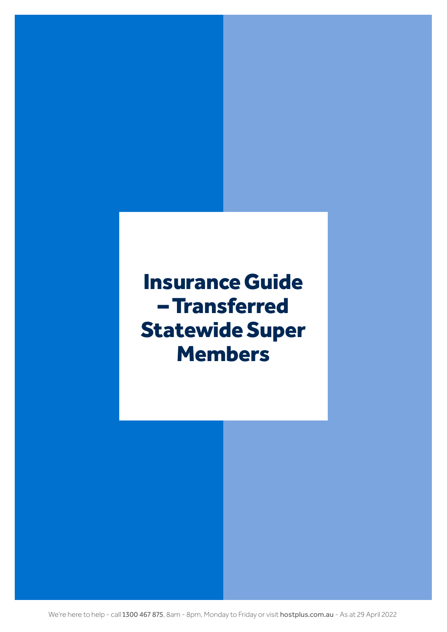# <span id="page-2-0"></span>Insurance Guide – Transferred Statewide Super **Members**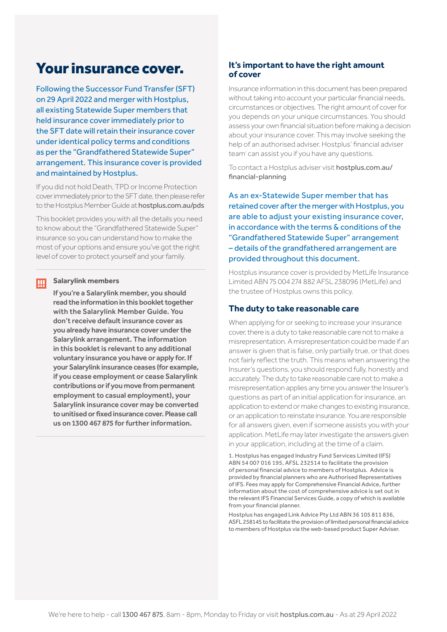## <span id="page-3-0"></span>Your insurance cover.

Following the Successor Fund Transfer (SFT) on 29 April 2022 and merger with Hostplus, all existing Statewide Super members that held insurance cover immediately prior to the SFT date will retain their insurance cover under identical policy terms and conditions as per the "Grandfathered Statewide Super" arrangement. This insurance cover is provided and maintained by Hostplus.

If you did not hold Death, TPD or Income Protection cover immediately prior to the SFT date, then please refer to the Hostplus Member Guide at [hostplus.com.au/pds](https://hostplus.com.au/pds)

This booklet provides you with all the details you need to know about the "Grandfathered Statewide Super" insurance so you can understand how to make the most of your options and ensure you've got the right level of cover to protect yourself and your family.

#### **Salarylink members**  Ш

 If you're a Salarylink member, you should read the information in this booklet together with the Salarylink Member Guide. You don't receive default insurance cover as you already have insurance cover under the Salarylink arrangement. The information in this booklet is relevant to any additional voluntary insurance you have or apply for. If your Salarylink insurance ceases (for example, if you cease employment or cease Salarylink contributions or if you move from permanent employment to casual employment), your Salarylink insurance cover may be converted to unitised or fixed insurance cover. Please call us on 1300 467 875 for further information.

## **It's important to have the right amount of cover**

Insurance information in this document has been prepared without taking into account your particular financial needs, circumstances or objectives. The right amount of cover for you depends on your unique circumstances. You should assess your own financial situation before making a decision about your insurance cover. This may involve seeking the help of an authorised adviser. Hostplus' financial adviser team' can assist you if you have any questions.

To contact a Hostplus adviser visit [hostplus.com.au/](mailto:https://hostplus.com.au/financial-planning?subject=) [financial-planning](mailto:https://hostplus.com.au/financial-planning?subject=)

As an ex-Statewide Super member that has retained cover after the merger with Hostplus, you are able to adjust your existing insurance cover, in accordance with the terms & conditions of the "Grandfathered Statewide Super" arrangement – details of the grandfathered arrangement are provided throughout this document.

Hostplus insurance cover is provided by MetLife Insurance Limited ABN 75 004 274 882 AFSL 238096 (MetLife) and the trustee of Hostplus owns this policy.

### **The duty to take reasonable care**

When applying for or seeking to increase your insurance cover, there is a duty to take reasonable care not to make a misrepresentation. A misrepresentation could be made if an answer is given that is false, only partially true, or that does not fairly reflect the truth. This means when answering the Insurer's questions, you should respond fully, honestly and accurately. The duty to take reasonable care not to make a misrepresentation applies any time you answer the Insurer's questions as part of an initial application for insurance, an application to extend or make changes to existing insurance, or an application to reinstate insurance. You are responsible for all answers given, even if someone assists you with your application. MetLife may later investigate the answers given in your application, including at the time of a claim.

1. Hostplus has engaged Industry Fund Services Limited (IFS) ABN 54 007 016 195, AFSL 232514 to facilitate the provision of personal financial advice to members of Hostplus. Advice is provided by financial planners who are Authorised Representatives of IFS. Fees may apply for Comprehensive Financial Advice, further information about the cost of comprehensive advice is set out in the relevant IFS Financial Services Guide, a copy of which is available from your financial planner.

Hostplus has engaged Link Advice Pty Ltd ABN 36 105 811 836, ASFL 258145 tofacilitate the provision of limited personal financial advice to members of Hostplus via the web-based product Super Adviser.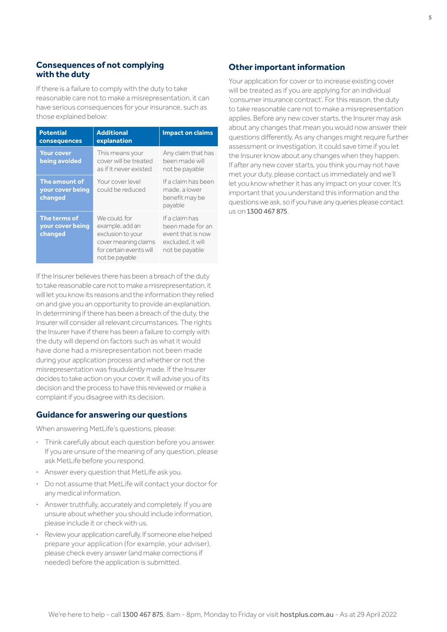## **Consequences of not complying with the duty**

If there is a failure to comply with the duty to take reasonable care not to make a misrepresentation, it can have serious consequences for your insurance, such as those explained below:

| <b>Potential</b><br>consequences             | <b>Additional</b><br>explanation                                                                                          | <b>Impact on claims</b>                                                                        |
|----------------------------------------------|---------------------------------------------------------------------------------------------------------------------------|------------------------------------------------------------------------------------------------|
| <b>Your cover</b><br>being avoided           | This means your<br>cover will be treated<br>as if it never existed                                                        | Any claim that has<br>been made will<br>not be payable                                         |
| The amount of<br>your cover being<br>changed | Your cover level<br>could be reduced                                                                                      | If a claim has been<br>made, a lower<br>benefit may be<br>payable                              |
| The terms of<br>your cover being<br>changed  | We could for<br>example, add an<br>exclusion to your<br>cover meaning claims<br>for certain events will<br>not be payable | If a claim has<br>been made for an<br>event that is now<br>excluded. it will<br>not be payable |

If the Insurer believes there has been a breach of the duty to take reasonable care not to make a misrepresentation, it will let you know its reasons and the information they relied on and give you an opportunity to provide an explanation. In determining if there has been a breach of the duty, the Insurer will consider all relevant circumstances. The rights the Insurer have if there has been a failure to comply with the duty will depend on factors such as what it would have done had a misrepresentation not been made during your application process and whether or not the misrepresentation was fraudulently made. If the Insurer decides to take action on your cover, it will advise you of its decision and the process to have this reviewed or make a complaint if you disagree with its decision.

#### **Guidance for answering our questions**

When answering MetLife's questions, please:

- **·** Think carefully about each question before you answer. If you are unsure of the meaning of any question, please ask MetLife before you respond.
- **·** Answer every question that MetLife ask you.
- **·** Do not assume that MetLife will contact your doctor for any medical information.
- **·** Answer truthfully, accurately and completely. If you are unsure about whether you should include information, please include it or check with us.
- **·** Review your application carefully. If someone else helped prepare your application (for example, your adviser), please check every answer (and make corrections if needed) before the application is submitted.

#### **Other important information**

Your application for cover or to increase existing cover will be treated as if you are applying for an individual 'consumer insurance contract'. For this reason, the duty to take reasonable care not to make a misrepresentation applies. Before any new cover starts, the Insurer may ask about any changes that mean you would now answer their questions differently. As any changes might require further assessment or investigation, it could save time if you let the Insurer know about any changes when they happen. If after any new cover starts, you think you may not have met your duty, please contact us immediately and we'll let you know whether it has any impact on your cover. It's important that you understand this information and the questions we ask, so if you have any queries please contact us on 1300 467 875.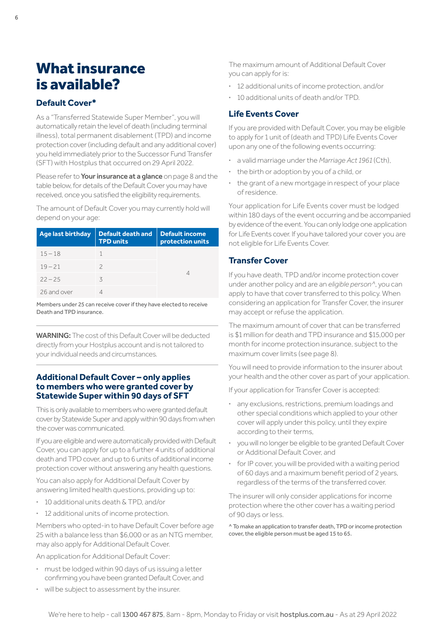## <span id="page-5-0"></span>What insurance is available?

## **Default Cover\***

As a "Transferred Statewide Super Member", you will automatically retain the level of death (including terminal illness), total permanent disablement (TPD) and income protection cover (including default and any additional cover) you held immediately prior to the Successor Fund Transfer (SFT) with Hostplus that occurred on 29 April 2022.

Please refer to Your insurance at a glance on [page 8](#page-7-0) and the table below, for details of the Default Cover you may have received, once you satisfied the eligibility requirements.

The amount of Default Cover you may currently hold will depend on your age:

| <b>Age last birthday</b> | Default death and<br><b>TPD units</b> | <b>Default income</b><br>protection units |
|--------------------------|---------------------------------------|-------------------------------------------|
| $15 - 18$                |                                       |                                           |
| $19 - 21$                |                                       |                                           |
| $22 - 25$                | ζ                                     |                                           |
| 26 and over              |                                       |                                           |

Members under 25 can receive cover if they have elected to receive Death and TPD insurance.

WARNING: The cost of this Default Cover will be deducted directly from your Hostplus account and is not tailored to your individual needs and circumstances.

#### **Additional Default Cover – only applies to members who were granted cover by Statewide Super within 90 days of SFT**

This is only available to members who were granted default cover by Statewide Super and apply within 90 days from when the cover was communicated.

If you are eligible and were automatically provided with Default Cover, you can apply for up to a further 4 units of additional death and TPD cover, and up to 6 units of additional income protection cover without answering any health questions.

You can also apply for Additional Default Cover by answering limited health questions, providing up to:

- **·** 10 additional units death & TPD, and/or
- **·** 12 additional units of income protection.

Members who opted-in to have Default Cover before age 25 with a balance less than \$6,000 or as an NTG member, may also apply for Additional Default Cover.

An application for Additional Default Cover:

- **·** must be lodged within 90 days of us issuing a letter confirming you have been granted Default Cover, and
- **·** will be subject to assessment by the insurer.

The maximum amount of Additional Default Cover you can apply for is:

- **·** 12 additional units of income protection, and/or
- **·** 10 additional units of death and/or TPD.

## **Life Events Cover**

If you are provided with Default Cover, you may be eligible to apply for 1 unit of (death and TPD) Life Events Cover upon any one of the following events occurring:

- **·** a valid marriage under the *Marriage Act 1961* (Cth),
- **·** the birth or adoption by you of a child, or
- **·** the grant of a new mortgage in respect of your place of residence.

Your application for Life Events cover must be lodged within 180 days of the event occurring and be accompanied by evidence of the event. You can only lodge one application for Life Events cover. If you have tailored your cover you are not eligible for Life Events Cover.

## **Transfer Cover**

If you have death, TPD and/or income protection cover under another policy and are an *eligible person^*, you can apply to have that cover transferred to this policy. When considering an application for Transfer Cover, the insurer may accept or refuse the application.

The maximum amount of cover that can be transferred is \$1 million for death and TPD insurance and \$15,000 per month for income protection insurance, subject to the maximum cover limits (see [page 8\)](#page-7-0).

You will need to provide information to the insurer about your health and the other cover as part of your application.

If your application for Transfer Cover is accepted:

- **·** any exclusions, restrictions, premium loadings and other special conditions which applied to your other cover will apply under this policy, until they expire according to their terms,
- **·** you will no longer be eligible to be granted Default Cover or Additional Default Cover, and
- **·** for IP cover, you will be provided with a waiting period of 60 days and a maximum benefit period of 2 years, regardless of the terms of the transferred cover.

The insurer will only consider applications for income protection where the other cover has a waiting period of 90 days or less.

^ To make an application to transfer death, TPD or income protection cover, the eligible person must be aged 15 to 65.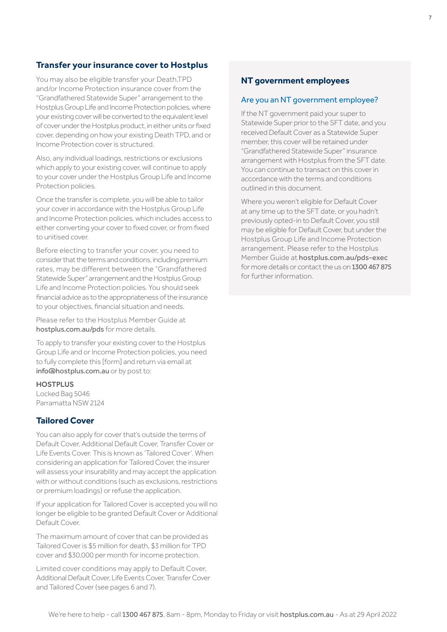## **Transfer your insurance cover to Hostplus**

You may also be eligible transfer your Death,TPD and/or Income Protection insurance cover from the "Grandfathered Statewide Super" arrangement to the Hostplus Group Life and Income Protection policies, where your existing cover will be converted to the equivalent level of cover under the Hostplus product, in either units or fixed cover, depending on how your existing Death TPD, and or Income Protection cover is structured.

Also, any individual loadings, restrictions or exclusions which apply to your existing cover, will continue to apply to your cover under the Hostplus Group Life and Income Protection policies.

Once the transfer is complete, you will be able to tailor your cover in accordance with the Hostplus Group Life and Income Protection policies, which includes access to either converting your cover to fixed cover, or from fixed to unitised cover.

Before electing to transfer your cover, you need to consider that the terms and conditions, including premium rates, may be different between the "Grandfathered Statewide Super" arrangement and the Hostplus Group Life and Income Protection policies. You should seek financial advice as to the appropriateness of the insurance to your objectives, financial situation and needs.

Please refer to the Hostplus Member Guide at [hostplus.com.au/pds](https://hostplus.com.au/pds) for more details.

To apply to transfer your existing cover to the Hostplus Group Life and or Income Protection policies, you need to fully complete this [form] and return via email at [info@hostplus.com.au](mailto:info%40hostplus.com.au?subject=) or by post to:

#### **HOSTPLUS**

Locked Bag 5046 Parramatta NSW 2124

#### **Tailored Cover**

You can also apply for cover that's outside the terms of Default Cover, Additional Default Cover, Transfer Cover or Life Events Cover. This is known as 'Tailored Cover'. When considering an application for Tailored Cover, the insurer will assess your insurability and may accept the application with or without conditions (such as exclusions, restrictions or premium loadings) or refuse the application.

If your application for Tailored Cover is accepted you will no longer be eligible to be granted Default Cover or Additional Default Cover.

The maximum amount of cover that can be provided as Tailored Cover is \$5 million for death, \$3 million for TPD cover and \$30,000 per month for income protection.

Limited cover conditions may apply to Default Cover, Additional Default Cover, Life Events Cover, Transfer Cover and Tailored Cover (see [pages 6 and 7](#page-5-0)).

### **NT government employees**

#### Are you an NT government employee?

If the NT government paid your super to Statewide Super prior to the SFT date, and you received Default Cover as a Statewide Super member, this cover will be retained under "Grandfathered Statewide Super" insurance arrangement with Hostplus from the SFT date. You can continue to transact on this cover in accordance with the terms and conditions outlined in this document.

Where you weren't eligible for Default Cover at any time up to the SFT date, or you hadn't previously opted-in to Default Cover, you still may be eligible for Default Cover, but under the Hostplus Group Life and Income Protection arrangement. Please refer to the Hostplus Member Guide at [hostplus.com.au/pds-exec](https://hostplus.com.au/pds-exec) for more details or contact the us on 1300 467 875 for further information.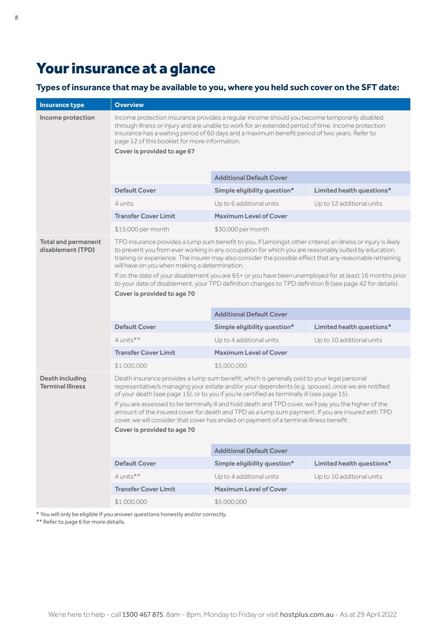## <span id="page-7-0"></span>Your insurance at a glance

## **Types of insurance that may be available to you, where you held such cover on the SFT date:**

| <b>Insurance type</b>                           | <b>Overview</b>                                                                                                                                                                                                                                                                                                                                                                     |                                                                                                                                                                                                                                                                                                |                           |
|-------------------------------------------------|-------------------------------------------------------------------------------------------------------------------------------------------------------------------------------------------------------------------------------------------------------------------------------------------------------------------------------------------------------------------------------------|------------------------------------------------------------------------------------------------------------------------------------------------------------------------------------------------------------------------------------------------------------------------------------------------|---------------------------|
| Income protection                               | Income protection insurance provides a regular income should you become temporarily disabled<br>through illness or injury and are unable to work for an extended period of time. Income protection<br>insurance has a waiting period of 60 days and a maximum benefit period of two years. Refer to<br>page 12 of this booklet for more information.<br>Cover is provided to age 67 |                                                                                                                                                                                                                                                                                                |                           |
|                                                 |                                                                                                                                                                                                                                                                                                                                                                                     | <b>Additional Default Cover</b>                                                                                                                                                                                                                                                                |                           |
|                                                 | <b>Default Cover</b>                                                                                                                                                                                                                                                                                                                                                                | Simple eligibility question*                                                                                                                                                                                                                                                                   | Limited health questions* |
|                                                 | 4 units                                                                                                                                                                                                                                                                                                                                                                             | Up to 6 additional units                                                                                                                                                                                                                                                                       | Up to 12 additional units |
|                                                 | <b>Transfer Cover Limit</b>                                                                                                                                                                                                                                                                                                                                                         | <b>Maximum Level of Cover</b>                                                                                                                                                                                                                                                                  |                           |
|                                                 | \$15,000 per month                                                                                                                                                                                                                                                                                                                                                                  | \$30,000 per month                                                                                                                                                                                                                                                                             |                           |
| <b>Total and permanent</b><br>disablement (TPD) | TPD insurance provides a lump sum benefit to you, if (amongst other criteria) an illness or injury is likely<br>to prevent you from ever working in any occupation for which you are reasonably suited by education,<br>training or experience. The insurer may also consider the possible effect that any reasonable retraining<br>will have on you when making a determination.   |                                                                                                                                                                                                                                                                                                |                           |
|                                                 |                                                                                                                                                                                                                                                                                                                                                                                     | If on the date of your disablement you are 65+ or you have been unemployed for at least 16 months prior<br>to your date of disablement, your TPD definition changes to TPD definition B (see page 42 for details).                                                                             |                           |
|                                                 | Cover is provided to age 70                                                                                                                                                                                                                                                                                                                                                         |                                                                                                                                                                                                                                                                                                |                           |
|                                                 |                                                                                                                                                                                                                                                                                                                                                                                     |                                                                                                                                                                                                                                                                                                |                           |
|                                                 |                                                                                                                                                                                                                                                                                                                                                                                     | <b>Additional Default Cover</b>                                                                                                                                                                                                                                                                |                           |
|                                                 | <b>Default Cover</b>                                                                                                                                                                                                                                                                                                                                                                | Simple eligibility question*                                                                                                                                                                                                                                                                   | Limited health questions* |
|                                                 | $4$ units <sup><math>**</math></sup>                                                                                                                                                                                                                                                                                                                                                | Up to 4 additional units<br>Up to 10 additional units                                                                                                                                                                                                                                          |                           |
|                                                 | <b>Transfer Cover Limit</b>                                                                                                                                                                                                                                                                                                                                                         | <b>Maximum Level of Cover</b>                                                                                                                                                                                                                                                                  |                           |
|                                                 | \$1,000,000                                                                                                                                                                                                                                                                                                                                                                         | \$3,000,000                                                                                                                                                                                                                                                                                    |                           |
| Death including<br><b>Terminal Illness</b>      |                                                                                                                                                                                                                                                                                                                                                                                     | Death insurance provides a lump sum benefit, which is generally paid to your legal personal<br>representative/s managing your estate and/or your dependents (e.g. spouse), once we are notified<br>of your death (see page 15), or to you if you're certified as terminally ill (see page 15). |                           |
|                                                 | If you are assessed to be terminally ill and hold death and TPD cover, we'll pay you the higher of the<br>amount of the insured cover for death and TPD as a lump sum payment. If you are insured with TPD<br>cover, we will consider that cover has ended on payment of a terminal illness benefit.<br>Cover is provided to age 70                                                 |                                                                                                                                                                                                                                                                                                |                           |
|                                                 |                                                                                                                                                                                                                                                                                                                                                                                     | <b>Additional Default Cover</b>                                                                                                                                                                                                                                                                |                           |
|                                                 | <b>Default Cover</b>                                                                                                                                                                                                                                                                                                                                                                | Simple eligibility question*                                                                                                                                                                                                                                                                   | Limited health questions* |
|                                                 | 4 units**                                                                                                                                                                                                                                                                                                                                                                           | Up to 4 additional units                                                                                                                                                                                                                                                                       | Up to 10 additional units |
|                                                 | <b>Transfer Cover Limit</b>                                                                                                                                                                                                                                                                                                                                                         | <b>Maximum Level of Cover</b>                                                                                                                                                                                                                                                                  |                           |
|                                                 | \$1,000,000                                                                                                                                                                                                                                                                                                                                                                         | \$5,000,000                                                                                                                                                                                                                                                                                    |                           |

\* You will only be eligible if you answer questions honestly and/or correctly.

\*\* Refer to [page 6](#page-5-0) for more details.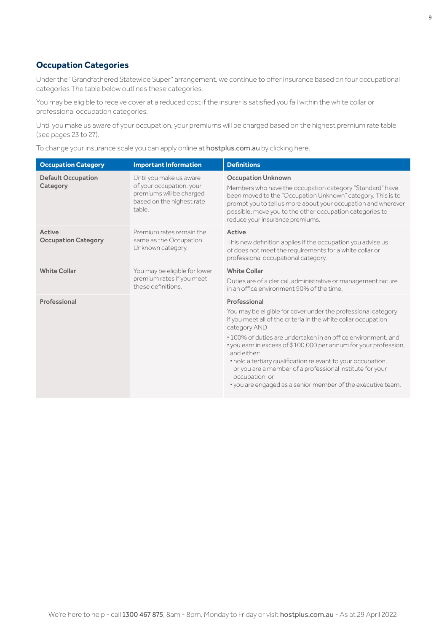## <span id="page-8-0"></span>**Occupation Categories**

Under the "Grandfathered Statewide Super" arrangement, we continue to offer insurance based on four occupational categories The table below outlines these categories.

You may be eligible to receive cover at a reduced cost if the insurer is satisfied you fall within the white collar or professional occupation categories.

Until you make us aware of your occupation, your premiums will be charged based on the highest premium rate table (see pages [23 to 27](#page-22-0)).

To change your insurance scale you can apply online at [hostplus.com.au](https://hostplus.com.au) by clicking here.

| <b>Occupation Category</b>            | <b>Important Information</b>                                                                                           | <b>Definitions</b>                                                                                                                                                                                                                                                                                                                                                                                                                                                                                                               |
|---------------------------------------|------------------------------------------------------------------------------------------------------------------------|----------------------------------------------------------------------------------------------------------------------------------------------------------------------------------------------------------------------------------------------------------------------------------------------------------------------------------------------------------------------------------------------------------------------------------------------------------------------------------------------------------------------------------|
| <b>Default Occupation</b><br>Category | Until you make us aware<br>of your occupation, your<br>premiums will be charged<br>based on the highest rate<br>table. | <b>Occupation Unknown</b><br>Members who have the occupation category "Standard" have<br>been moved to the "Occupation Unknown" category. This is to<br>prompt you to tell us more about your occupation and wherever<br>possible, move you to the other occupation categories to<br>reduce your insurance premiums.                                                                                                                                                                                                             |
| Active<br><b>Occupation Category</b>  | Premium rates remain the<br>same as the Occupation<br>Unknown category.                                                | Active<br>This new definition applies if the occupation you advise us<br>of does not meet the requirements for a white collar or<br>professional occupational category.                                                                                                                                                                                                                                                                                                                                                          |
| <b>White Collar</b>                   | You may be eligible for lower<br>premium rates if you meet<br>these definitions.                                       | <b>White Collar</b><br>Duties are of a clerical, administrative or management nature<br>in an office environment 90% of the time.                                                                                                                                                                                                                                                                                                                                                                                                |
| Professional                          |                                                                                                                        | Professional<br>You may be eligible for cover under the professional category<br>if you meet all of the criteria in the white collar occupation<br>category AND<br>• 100% of duties are undertaken in an office environment, and<br>• you earn in excess of \$100,000 per annum for your profession,<br>and either:<br>• hold a tertiary qualification relevant to your occupation,<br>or you are a member of a professional institute for your<br>occupation, or<br>• you are engaged as a senior member of the executive team. |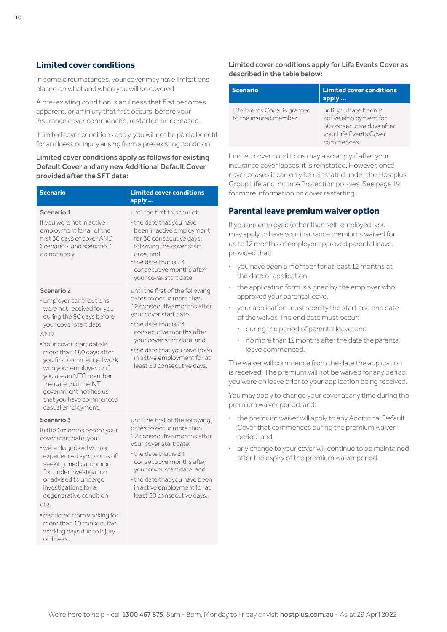## <span id="page-9-0"></span>**Limited cover conditions**

In some circumstances, your cover may have limitations placed on what and when you will be covered.

A pre-existing condition is an illness that first becomes apparent, or an injury that first occurs, before your insurance cover commenced, restarted or increased.

If limited cover conditions apply, you will not be paid a benefit for an illness or injury arising from a pre-existing condition.

#### Limited cover conditions apply as follows for existing Default Cover and any new Additional Default Cover provided after the SFT date:

| <b>Scenario</b>                                                                                                                                                                                                                                                                                                                                                                         | <b>Limited cover conditions</b><br>apply                                                                                                                                                                                                                                                               |
|-----------------------------------------------------------------------------------------------------------------------------------------------------------------------------------------------------------------------------------------------------------------------------------------------------------------------------------------------------------------------------------------|--------------------------------------------------------------------------------------------------------------------------------------------------------------------------------------------------------------------------------------------------------------------------------------------------------|
| Scenario 1<br>If you were not in active<br>employment for all of the<br>first 30 days of cover AND<br>Scenario 2 and scenario 3<br>do not apply.                                                                                                                                                                                                                                        | until the first to occur of:<br>• the date that you have<br>been in active employment<br>for 30 consecutive days<br>following the cover start<br>date, and<br>• the date that is 24<br>consecutive months after<br>your cover start date                                                               |
| Scenario 2<br>· Employer contributions<br>were not received for you<br>during the 90 days before<br>your cover start date<br><b>AND</b><br>• Your cover start date is<br>more than 180 days after<br>you first commenced work<br>with your employer, or if<br>you are an NTG member,<br>the date that the NT<br>government notifies us<br>that you have commenced<br>casual employment. | until the first of the following<br>dates to occur more than<br>12 consecutive months after<br>your cover start date:<br>• the date that is 24<br>consecutive months after<br>your cover start date, and<br>• the date that you have been<br>in active employment for at<br>least 30 consecutive days. |
| Scenario 3<br>In the 6 months before your<br>cover start date, you:<br>• were diagnosed with or<br>experienced symptoms of,<br>seeking medical opinion<br>for, under investigation<br>or advised to undergo<br>investigations for a<br>degenerative condition,<br>OR<br>• restricted from working for<br>more than 10 consecutive<br>working days due to injury                         | until the first of the following<br>dates to occur more than<br>12 consecutive months after<br>your cover start date:<br>• the date that is 24<br>consecutive months after<br>your cover start date, and<br>• the date that you have been<br>in active employment for at<br>least 30 consecutive days. |

or illness.

#### Limited cover conditions apply for Life Events Cover as described in the table below:

| <b>Scenario</b>                                        | <b>Limited cover conditions</b><br>apply                                                                             |
|--------------------------------------------------------|----------------------------------------------------------------------------------------------------------------------|
| Life Events Cover is granted<br>to the insured member. | until you have been in<br>active employment for<br>30 consecutive days after<br>your Life Events Cover<br>commences. |

Limited cover conditions may also apply if after your insurance cover lapses, it is reinstated. However, once cover ceases it can only be reinstated under the Hostplus Group Life and Income Protection policies. See [page 19](#page-18-0) for more information on cover restarting.

## **Parental leave premium waiver option**

If you are employed (other than self-employed) you may apply to have your insurance premiums waived for up to 12 months of employer approved parental leave, provided that:

- **·** you have been a member for at least 12 months at the date of application,
- **·** the application form is signed by the employer who approved your parental leave,
- **·** your application must specify the start and end date of the waiver. The end date must occur:
	- **·** during the period of parental leave, and
	- **·** no more than 12 months after the date the parental leave commenced.

The waiver will commence from the date the application is received. The premium will not be waived for any period you were on leave prior to your application being received.

You may apply to change your cover at any time during the premium waiver period, and:

- **·** the premium waiver will apply to any Additional Default Cover that commences during the premium waiver period, and
- **·** any change to your cover will continue to be maintained after the expiry of the premium waiver period.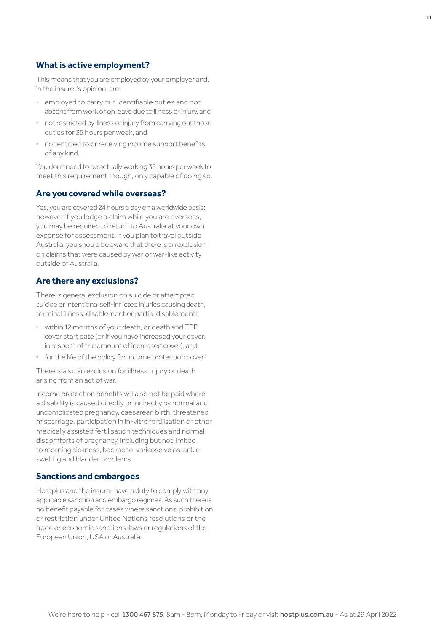## **What is active employment?**

This means that you are employed by your employer and, in the insurer's opinion, are:

- **·** employed to carry out identifiable duties and not absent from work or on leave due to illness or injury, and
- **·** not restricted by illness or injury from carrying out those duties for 35 hours per week, and
- **·** not entitled to or receiving income support benefits of any kind.

You don't need to be actually working 35 hours per week to meet this requirement though, only capable of doing so.

## **Are you covered while overseas?**

Yes, you are covered 24 hours a day on a worldwide basis; however if you lodge a claim while you are overseas, you may be required to return to Australia at your own expense for assessment. If you plan to travel outside Australia, you should be aware that there is an exclusion on claims that were caused by war or war-like activity outside of Australia.

#### **Are there any exclusions?**

There is general exclusion on suicide or attempted suicide or intentional self-inflicted injuries causing death, terminal illness, disablement or partial disablement:

- **·** within 12 months of your death, or death and TPD cover start date (or if you have increased your cover, in respect of the amount of increased cover), and
- **·** for the life of the policy for income protection cover.

There is also an exclusion for illness, injury or death arising from an act of war.

Income protection benefits will also not be paid where a disability is caused directly or indirectly by normal and uncomplicated pregnancy, caesarean birth, threatened miscarriage, participation in in-vitro fertilisation or other medically assisted fertilisation techniques and normal discomforts of pregnancy, including but not limited to morning sickness, backache, varicose veins, ankle swelling and bladder problems.

### **Sanctions and embargoes**

Hostplus and the insurer have a duty to comply with any applicable sanction and embargo regimes. As such there is no benefit payable for cases where sanctions, prohibition or restriction under United Nations resolutions or the trade or economic sanctions, laws or regulations of the European Union, USA or Australia.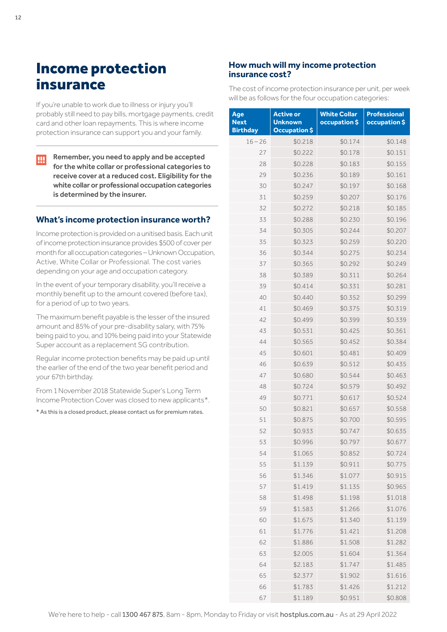## <span id="page-11-0"></span>Income protection insurance

If you're unable to work due to illness or injury you'll probably still need to pay bills, mortgage payments, credit card and other loan repayments. This is where income protection insurance can support you and your family.

Remember, you need to apply and be accepted ŢЩ for the white collar or professional categories to receive cover at a reduced cost. Eligibility for the white collar or professional occupation categories is determined by the insurer.

#### **What's income protection insurance worth?**

Income protection is provided on a unitised basis. Each unit of income protection insurance provides \$500 of cover per month for all occupation categories – Unknown Occupation, Active, White Collar or Professional. The cost varies depending on your age and occupation category.

In the event of your temporary disability, you'll receive a monthly benefit up to the amount covered (before tax), for a period of up to two years.

The maximum benefit payable is the lesser of the insured amount and 85% of your pre-disability salary, with 75% being paid to you, and 10% being paid into your Statewide Super account as a replacement SG contribution.

Regular income protection benefits may be paid up until the earlier of the end of the two year benefit period and your 67th birthday.

From 1 November 2018 Statewide Super's Long Term Income Protection Cover was closed to new applicants\*.

\* As this is a closed product, please contact us for premium rates.

## **How much will my income protection insurance cost?**

The cost of income protection insurance per unit, per week will be as follows for the four occupation categories:

| Age             | <b>Active or</b>     | <b>White Collar</b> | <b>Professional</b> |
|-----------------|----------------------|---------------------|---------------------|
| <b>Next</b>     | <b>Unknown</b>       | occupation \$       | occupation \$       |
| <b>Birthday</b> | <b>Occupation \$</b> |                     |                     |
| $16 - 26$       | \$0.218              | \$0.174             | \$0.148             |
| 27              | \$0.222              | \$0.178             | \$0.151             |
| 28              | \$0.228              | \$0.183             | \$0.155             |
| 29              | \$0.236              | \$0.189             | \$0.161             |
| 30              | \$0.247              | \$0.197             | \$0.168             |
| 31              | \$0.259              | \$0.207             | \$0.176             |
| 32              | \$0.272              | \$0.218             | \$0.185             |
| 33              | \$0.288              | \$0.230             | \$0.196             |
| 34              | \$0.305              | \$0.244             | \$0.207             |
| 35              | \$0.323              | \$0.259             | \$0.220             |
| 36              | \$0.344              | \$0.275             | \$0.234             |
| 37              | \$0.365              | \$0.292             | \$0.249             |
| 38              | \$0.389              | \$0.311             | \$0.264             |
| 39              | \$0.414              | \$0.331             | \$0.281             |
| 40              | \$0.440              | \$0.352             | \$0.299             |
| 41              | \$0.469              | \$0.375             | \$0.319             |
| 42              | \$0.499              | \$0.399             | \$0.339             |
| 43              | \$0.531              | \$0.425             | \$0.361             |
| 44              | \$0.565              | \$0.452             | \$0.384             |
| 45              | \$0.601              | \$0.481             | \$0.409             |
| 46              | \$0.639              | \$0.512             | \$0.435             |
| 47              | \$0.680              | \$0.544             | \$0.463             |
| 48              | \$0.724              | \$0.579             | \$0.492             |
| 49              | \$0.771              | \$0.617             | \$0.524             |
| 50              | \$0.821              | \$0.657             | \$0.558             |
| 51              | \$0.875              | \$0.700             | \$0.595             |
| 52              | \$0.933              | \$0.747             | \$0.635             |
| 53              | \$0.996              | \$0.797             | \$0.677             |
| 54              | \$1.065              | \$0.852             | \$0.724             |
| 55              | \$1.139              | \$0.911             | \$0.775             |
| 56              | \$1.346              | \$1.077             | \$0.915             |
| 57              | \$1.419              | \$1.135             | \$0.965             |
| 58              | \$1.498              | \$1.198             | \$1.018             |
| 59              | \$1.583              | \$1.266             | \$1.076             |
| 60              | \$1.675              | \$1.340             | \$1.139             |
| 61              | \$1.776              | \$1.421             | \$1.208             |
| 62              | \$1.886              | \$1.508             | \$1.282             |
| 63              | \$2.005              | \$1.604             | \$1.364             |
| 64              | \$2.183              | \$1.747             | \$1.485             |
| 65              | \$2.377              | \$1.902             | \$1.616             |
| 66              | \$1.783              | \$1.426             | \$1.212             |
| 67              | \$1.189              | \$0.951             | \$0.808             |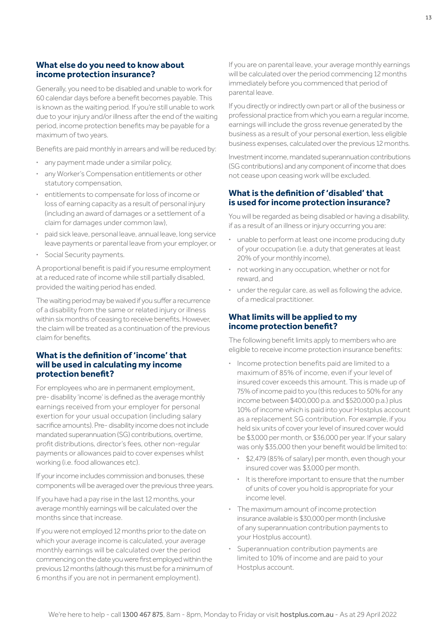### **What else do you need to know about income protection insurance?**

Generally, you need to be disabled and unable to work for 60 calendar days before a benefit becomes payable. This is known as the waiting period. If you're still unable to work due to your injury and/or illness after the end of the waiting period, income protection benefits may be payable for a maximum of two years.

Benefits are paid monthly in arrears and will be reduced by:

- **·** any payment made under a similar policy,
- **·** any Worker's Compensation entitlements or other statutory compensation,
- **·** entitlements to compensate for loss of income or loss of earning capacity as a result of personal injury (including an award of damages or a settlement of a claim for damages under common law),
- **·** paid sick leave, personal leave, annual leave, long service leave payments or parental leave from your employer, or
- **·** Social Security payments.

A proportional benefit is paid if you resume employment at a reduced rate of income while still partially disabled, provided the waiting period has ended.

The waiting period may be waived if you suffer a recurrence of a disability from the same or related injury or illness within six months of ceasing to receive benefits. However, the claim will be treated as a continuation of the previous claim for benefits.

#### **What is the definition of 'income' that will be used in calculating my income protection benefit?**

For employees who are in permanent employment, pre- disability 'income' is defined as the average monthly earnings received from your employer for personal exertion for your usual occupation (including salary sacrifice amounts). Pre- disability income does not include mandated superannuation (SG) contributions, overtime, profit distributions, director's fees, other non-regular payments or allowances paid to cover expenses whilst working (i.e. food allowances etc).

If your income includes commission and bonuses, these components will be averaged over the previous three years.

If you have had a pay rise in the last 12 months, your average monthly earnings will be calculated over the months since that increase.

If you were not employed 12 months prior to the date on which your average income is calculated, your average monthly earnings will be calculated over the period commencing on the date you were first employed within the previous 12 months (although this must be for a minimum of 6 months if you are not in permanent employment).

If you are on parental leave, your average monthly earnings will be calculated over the period commencing 12 months immediately before you commenced that period of parental leave.

If you directly or indirectly own part or all of the business or professional practice from which you earn a regular income, earnings will include the gross revenue generated by the business as a result of your personal exertion, less eligible business expenses, calculated over the previous 12 months.

Investment income, mandated superannuation contributions (SG contributions) and any component of income that does not cease upon ceasing work will be excluded.

### **What is the definition of 'disabled' that is used for income protection insurance?**

You will be regarded as being disabled or having a disability, if as a result of an illness or injury occurring you are:

- **·** unable to perform at least one income producing duty of your occupation (i.e. a duty that generates at least 20% of your monthly income),
- **·** not working in any occupation, whether or not for reward, and
- **·** under the regular care, as well as following the advice, of a medical practitioner.

#### **What limits will be applied to my income protection benefit?**

The following benefit limits apply to members who are eligible to receive income protection insurance benefits:

- **·** Income protection benefits paid are limited to a maximum of 85% of income, even if your level of insured cover exceeds this amount. This is made up of 75% of income paid to you (this reduces to 50% for any income between \$400,000 p.a. and \$520,000 p.a.) plus 10% of income which is paid into your Hostplus account as a replacement SG contribution. For example, if you held six units of cover your level of insured cover would be \$3,000 per month, or \$36,000 per year. If your salary was only \$35,000 then your benefit would be limited to:
	- **·** \$2,479 (85% of salary) per month, even though your insured cover was \$3,000 per month.
	- **·** It is therefore important to ensure that the number of units of cover you hold is appropriate for your income level.
- **·** The maximum amount of income protection insurance available is \$30,000 per month (inclusive of any superannuation contribution payments to your Hostplus account).
- **·** Superannuation contribution payments are limited to 10% of income and are paid to your Hostplus account.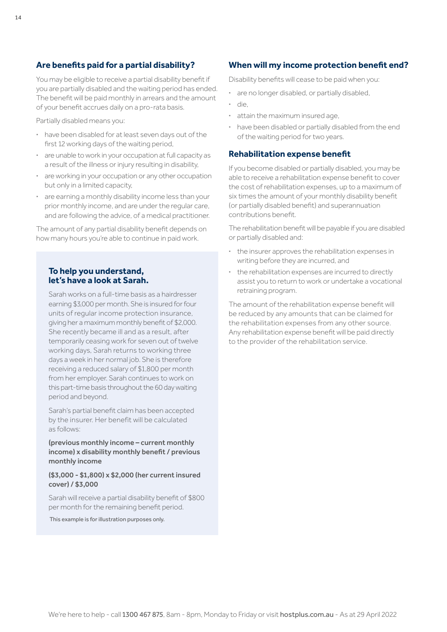## **Are benefits paid for a partial disability?**

You may be eligible to receive a partial disability benefit if you are partially disabled and the waiting period has ended. The benefit will be paid monthly in arrears and the amount of your benefit accrues daily on a pro-rata basis.

Partially disabled means you:

- **·** have been disabled for at least seven days out of the first 12 working days of the waiting period,
- **·** are unable to work in your occupation at full capacity as a result of the illness or injury resulting in disability,
- **·** are working in your occupation or any other occupation but only in a limited capacity,
- **·** are earning a monthly disability income less than your prior monthly income, and are under the regular care, and are following the advice, of a medical practitioner.

The amount of any partial disability benefit depends on how many hours you're able to continue in paid work.

## **To help you understand, let's have a look at Sarah.**

Sarah works on a full-time basis as a hairdresser earning \$3,000 per month. She is insured for four units of regular income protection insurance, giving her a maximum monthly benefit of \$2,000. She recently became ill and as a result, after temporarily ceasing work for seven out of twelve working days, Sarah returns to working three days a week in her normal job. She is therefore receiving a reduced salary of \$1,800 per month from her employer. Sarah continues to work on this part-time basis throughout the 60 day waiting period and beyond.

Sarah's partial benefit claim has been accepted by the insurer. Her benefit will be calculated as follows:

(previous monthly income – current monthly income) x disability monthly benefit / previous monthly income

#### (\$3,000 - \$1,800) x \$2,000 (her current insured cover) / \$3,000

Sarah will receive a partial disability benefit of \$800 per month for the remaining benefit period.

This example is for illustration purposes only.

## **When will my income protection benefit end?**

Disability benefits will cease to be paid when you:

- **·** are no longer disabled, or partially disabled, **·** die,
- **·** attain the maximum insured age,
- **·** have been disabled or partially disabled from the end of the waiting period for two years.

#### **Rehabilitation expense benefit**

If you become disabled or partially disabled, you may be able to receive a rehabilitation expense benefit to cover the cost of rehabilitation expenses, up to a maximum of six times the amount of your monthly disability benefit (or partially disabled benefit) and superannuation contributions benefit.

The rehabilitation benefit will be payable if you are disabled or partially disabled and:

- **·** the insurer approves the rehabilitation expenses in writing before they are incurred, and
- **·** the rehabilitation expenses are incurred to directly assist you to return to work or undertake a vocational retraining program.

The amount of the rehabilitation expense benefit will be reduced by any amounts that can be claimed for the rehabilitation expenses from any other source. Any rehabilitation expense benefit will be paid directly to the provider of the rehabilitation service.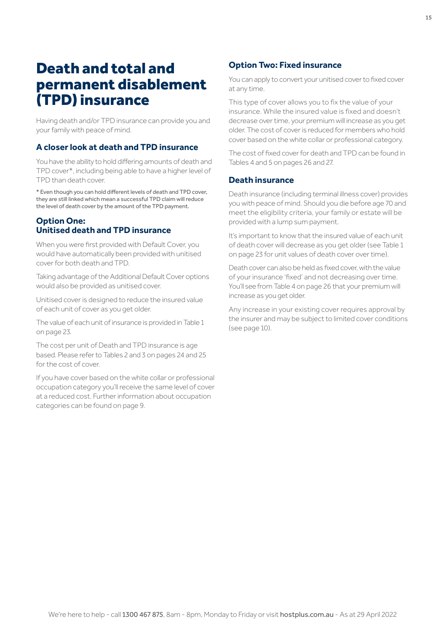## <span id="page-14-0"></span>Death and total and permanent disablement (TPD) insurance

Having death and/or TPD insurance can provide you and your family with peace of mind.

## **A closer look at death and TPD insurance**

You have the ability to hold differing amounts of death and TPD cover\*, including being able to have a higher level of TPD than death cover.

\* Even though you can hold different levels of death and TPD cover, they are still linked which mean a successful TPD claim will reduce the level of death cover by the amount of the TPD payment.

#### **Option One: Unitised death and TPD insurance**

When you were first provided with Default Cover, you would have automatically been provided with unitised cover for both death and TPD.

Taking advantage of the Additional Default Cover options would also be provided as unitised cover.

Unitised cover is designed to reduce the insured value of each unit of cover as you get older.

The value of each unit of insurance is provided in Table 1 on [page 23](#page-22-0).

The cost per unit of Death and TPD insurance is age based. Please refer to Tables 2 and 3 on [pages 24 and 25](#page-23-0)  for the cost of cover.

If you have cover based on the white collar or professional occupation category you'll receive the same level of cover at a reduced cost. Further information about occupation categories can be found on [page 9](#page-8-0).

## **Option Two: Fixed insurance**

You can apply to convert your unitised cover to fixed cover at any time.

This type of cover allows you to fix the value of your insurance. While the insured value is fixed and doesn't decrease over time, your premium will increase as you get older. The cost of cover is reduced for members who hold cover based on the white collar or professional category.

The cost of fixed cover for death and TPD can be found in Tables 4 and 5 on [pages 26 and 27.](#page-25-0)

#### **Death insurance**

Death insurance (including terminal illness cover) provides you with peace of mind. Should you die before age 70 and meet the eligibility criteria, your family or estate will be provided with a lump sum payment.

It's important to know that the insured value of each unit of death cover will decrease as you get older (see Table 1 on [page 23](#page-22-0) for unit values of death cover over time).

Death cover can also be held as fixed cover, with the value of your insurance 'fixed' and not decreasing over time. You'll see from Table 4 on [page 26](#page-25-0) that your premium will increase as you get older.

Any increase in your existing cover requires approval by the insurer and may be subject to limited cover conditions (see [page 10](#page-9-0)).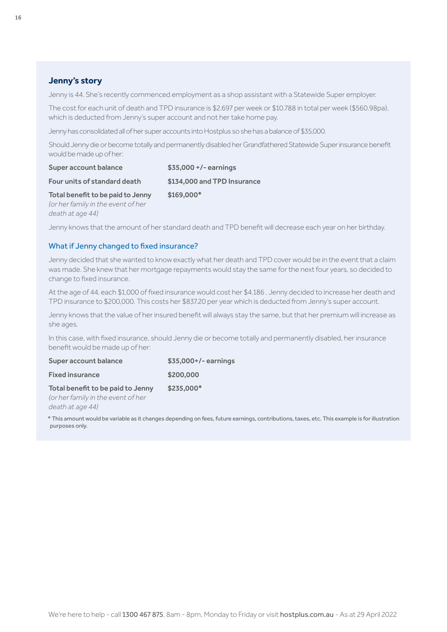## **Jenny's story**

Jenny is 44. She's recently commenced employment as a shop assistant with a Statewide Super employer.

The cost for each unit of death and TPD insurance is \$2.697 per week or \$10.788 in total per week (\$560.98pa), which is deducted from Jenny's super account and not her take home pay.

Jenny has consolidated all of her super accounts into Hostplus so she has a balance of \$35,000.

Should Jenny die or become totally and permanently disabled her Grandfathered Statewide Super insurance benefit would be made up of her:

| Super account balance              | $$35,000 +/-$ earnings      |
|------------------------------------|-----------------------------|
| Four units of standard death       | \$134,000 and TPD Insurance |
| Total benefit to be paid to Jenny  | $$169.000*$                 |
| (or her family in the event of her |                             |

*death at age 44)*

Jenny knows that the amount of her standard death and TPD benefit will decrease each year on her birthday.

#### What if Jenny changed to fixed insurance?

Jenny decided that she wanted to know exactly what her death and TPD cover would be in the event that a claim was made. She knew that her mortgage repayments would stay the same for the next four years, so decided to change to fixed insurance.

At the age of 44, each \$1,000 of fixed insurance would cost her \$4.186 . Jenny decided to increase her death and TPD insurance to \$200,000. This costs her \$837.20 per year which is deducted from Jenny's super account.

Jenny knows that the value of her insured benefit will always stay the same, but that her premium will increase as she ages.

In this case, with fixed insurance, should Jenny die or become totally and permanently disabled, her insurance benefit would be made up of her:

| Super account balance              | \$35,000+/- earnings |
|------------------------------------|----------------------|
| <b>Fixed insurance</b>             | \$200,000            |
| Total benefit to be paid to Jenny  | $$235,000*$          |
| (or her family in the event of her |                      |

*death at age 44)*

\* This amount would be variable as it changes depending on fees, future earnings, contributions, taxes, etc. This example is for illustration purposes only.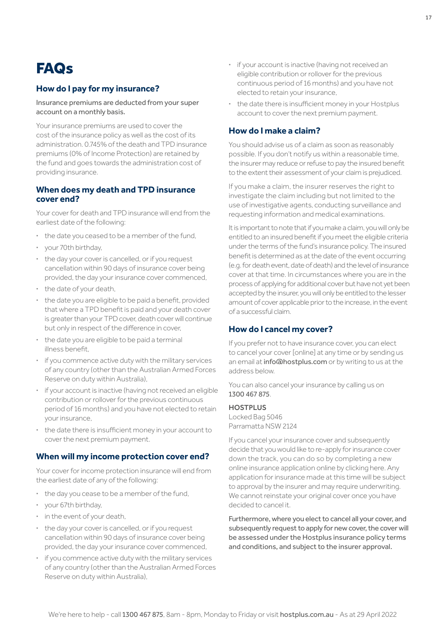## <span id="page-16-0"></span>**FAQ<sub>S</sub>**

## **How do I pay for my insurance?**

Insurance premiums are deducted from your super account on a monthly basis.

Your insurance premiums are used to cover the cost of the insurance policy as well as the cost of its administration. 0.745% of the death and TPD insurance premiums (0% of Income Protection) are retained by the fund and goes towards the administration cost of providing insurance.

#### **When does my death and TPD insurance cover end?**

Your cover for death and TPD insurance will end from the earliest date of the following:

- **·** the date you ceased to be a member of the fund,
- **·** your 70th birthday,
- **·** the day your cover is cancelled, or if you request cancellation within 90 days of insurance cover being provided, the day your insurance cover commenced,
- **·** the date of your death,
- **·** the date you are eligible to be paid a benefit, provided that where a TPD benefit is paid and your death cover is greater than your TPD cover, death cover will continue but only in respect of the difference in cover,
- **·** the date you are eligible to be paid a terminal illness benefit,
- **·** if you commence active duty with the military services of any country (other than the Australian Armed Forces Reserve on duty within Australia),
- **·** if your account is inactive (having not received an eligible contribution or rollover for the previous continuous period of 16 months) and you have not elected to retain your insurance,
- **·** the date there is insufficient money in your account to cover the next premium payment.

## **When will my income protection cover end?**

Your cover for income protection insurance will end from the earliest date of any of the following:

- **·** the day you cease to be a member of the fund,
- **·** your 67th birthday,
- **·** in the event of your death,
- **·** the day your cover is cancelled, or if you request cancellation within 90 days of insurance cover being provided, the day your insurance cover commenced,
- **·** if you commence active duty with the military services of any country (other than the Australian Armed Forces Reserve on duty within Australia),
- **·** if your account is inactive (having not received an eligible contribution or rollover for the previous continuous period of 16 months) and you have not elected to retain your insurance,
- **·** the date there is insufficient money in your Hostplus account to cover the next premium payment.

## **How do I make a claim?**

You should advise us of a claim as soon as reasonably possible. If you don't notify us within a reasonable time, the insurer may reduce or refuse to pay the insured benefit to the extent their assessment of your claim is prejudiced.

If you make a claim, the insurer reserves the right to investigate the claim including but not limited to the use of investigative agents, conducting surveillance and requesting information and medical examinations.

It is important to note that if you make a claim, you will only be entitled to an insured benefit if you meet the eligible criteria under the terms of the fund's insurance policy. The insured benefit is determined as at the date of the event occurring (e.g. for death event, date of death) and the level of insurance cover at that time. In circumstances where you are in the process of applying for additional cover but have not yet been accepted by the insurer, you will only be entitled to the lesser amount of cover applicable prior to the increase, in the event of a successful claim.

## **How do I cancel my cover?**

If you prefer not to have insurance cover, you can elect to cancel your cover [online] at any time or by sending us an email at info@hostplus.com or by writing to us at the address below.

You can also cancel your insurance by calling us on 1300 467 875.

#### **HOSTPLUS**

Locked Bag 5046 Parramatta NSW 2124

If you cancel your insurance cover and subsequently decide that you would like to re-apply for insurance cover down the track, you can do so by completing a new online insurance application online by clicking here. Any application for insurance made at this time will be subject to approval by the insurer and may require underwriting. We cannot reinstate your original cover once you have decided to cancel it.

Furthermore, where you elect to cancel all your cover, and subsequently request to apply for new cover, the cover will be assessed under the Hostplus insurance policy terms and conditions, and subject to the insurer approval.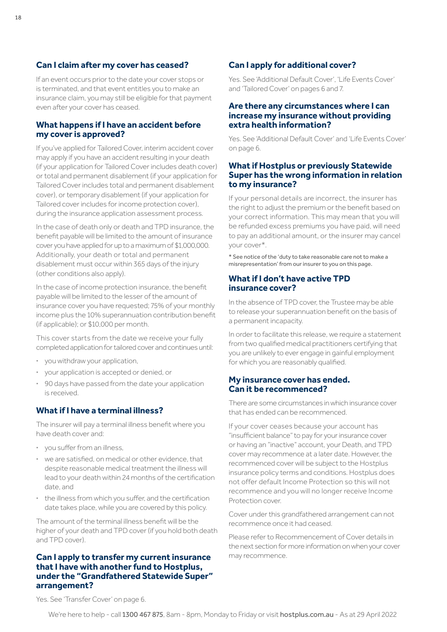## **Can I claim after my cover has ceased?**

If an event occurs prior to the date your cover stops or is terminated, and that event entitles you to make an insurance claim, you may still be eligible for that payment even after your cover has ceased.

#### **What happens if I have an accident before my cover is approved?**

If you've applied for Tailored Cover, interim accident cover may apply if you have an accident resulting in your death (if your application for Tailored Cover includes death cover) or total and permanent disablement (if your application for Tailored Cover includes total and permanent disablement cover), or temporary disablement (if your application for Tailored cover includes for income protection cover), during the insurance application assessment process.

In the case of death only or death and TPD insurance, the benefit payable will be limited to the amount of insurance cover you have applied for up to a maximum of \$1,000,000. Additionally, your death or total and permanent disablement must occur within 365 days of the injury (other conditions also apply).

In the case of income protection insurance, the benefit payable will be limited to the lesser of the amount of insurance cover you have requested; 75% of your monthly income plus the 10% superannuation contribution benefit (if applicable); or \$10,000 per month.

This cover starts from the date we receive your fully completed application for tailored cover and continues until:

- **·** you withdraw your application,
- **·** your application is accepted or denied, or
- **·** 90 days have passed from the date your application is received.

## **What if I have a terminal illness?**

The insurer will pay a terminal illness benefit where you have death cover and:

- **·** you suffer from an illness,
- **·** we are satisfied, on medical or other evidence, that despite reasonable medical treatment the illness will lead to your death within 24 months of the certification date, and
- **·** the illness from which you suffer, and the certification date takes place, while you are covered by this policy.

The amount of the terminal illness benefit will be the higher of your death and TPD cover (if you hold both death and TPD cover).

#### **Can I apply to transfer my current insurance that I have with another fund to Hostplus, under the "Grandfathered Statewide Super" arrangement?**

## **Can I apply for additional cover?**

Yes. See 'Additional Default Cover', 'Life Events Cover' and 'Tailored Cover' on [pages 6 and 7.](#page-5-0)

#### **Are there any circumstances where I can increase my insurance without providing extra health information?**

Yes. See 'Additional Default Cover' and 'Life Events Cover' on [page 6](#page-5-0).

### **What if Hostplus or previously Statewide Super has the wrong information in relation to my insurance?**

If your personal details are incorrect, the insurer has the right to adjust the premium or the benefit based on your correct information. This may mean that you will be refunded excess premiums you have paid, will need to pay an additional amount, or the insurer may cancel your cover\*.

\* See notice of the 'duty to take reasonable care not to make a misrepresentation' from our insurer to you on this page.

## **What if I don't have active TPD insurance cover?**

In the absence of TPD cover, the Trustee may be able to release your superannuation benefit on the basis of a permanent incapacity.

In order to facilitate this release, we require a statement from two qualified medical practitioners certifying that you are unlikely to ever engage in gainful employment for which you are reasonably qualified.

## **My insurance cover has ended. Can it be recommenced?**

There are some circumstances in which insurance cover that has ended can be recommenced.

If your cover ceases because your account has "insufficient balance" to pay for your insurance cover or having an "inactive" account, your Death, and TPD cover may recommence at a later date. However, the recommenced cover will be subject to the Hostplus insurance policy terms and conditions. Hostplus does not offer default Income Protection so this will not recommence and you will no longer receive Income Protection cover.

Cover under this grandfathered arrangement can not recommence once it had ceased.

Please refer to Recommencement of Cover details in the next section for more information on when your cover may recommence.

Yes. See 'Transfer Cover' on [page 6](#page-5-0).

18

We're here to help - call 1300 467 875, 8am - 8pm, Monday to Friday or visit [hostplus.com.au](https://hostplus.com.au) - As at 29 April 2022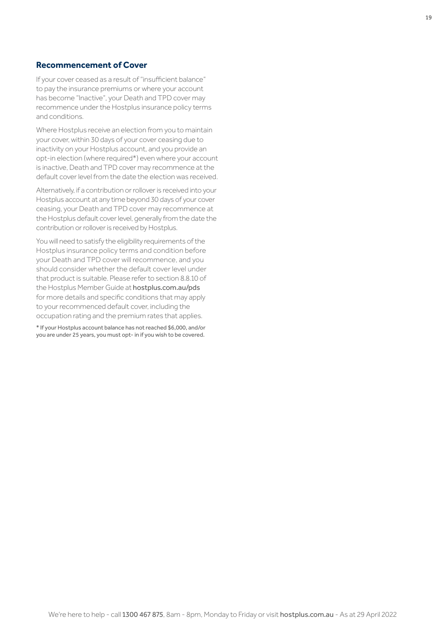#### <span id="page-18-0"></span>**Recommencement of Cover**

If your cover ceased as a result of "insufficient balance" to pay the insurance premiums or where your account has become "Inactive", your Death and TPD cover may recommence under the Hostplus insurance policy terms and conditions.

Where Hostplus receive an election from you to maintain your cover, within 30 days of your cover ceasing due to inactivity on your Hostplus account, and you provide an opt-in election (where required\*) even where your account is inactive, Death and TPD cover may recommence at the default cover level from the date the election was received.

Alternatively, if a contribution or rollover is received into your Hostplus account at any time beyond 30 days of your cover ceasing, your Death and TPD cover may recommence at the Hostplus default cover level, generally from the date the contribution or rollover is received by Hostplus.

You will need to satisfy the eligibility requirements of the Hostplus insurance policy terms and condition before your Death and TPD cover will recommence, and you should consider whether the default cover level under that product is suitable. Please refer to section 8.8.10 of the Hostplus Member Guide at [hostplus.com.au/pds](https://hostplus.com.au/pds) for more details and specific conditions that may apply to your recommenced default cover, including the occupation rating and the premium rates that applies.

\* If your Hostplus account balance has not reached \$6,000, and/or you are under 25 years, you must opt- in if you wish to be covered.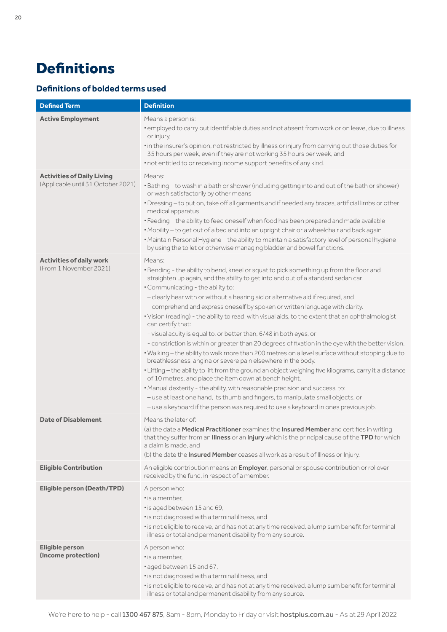## <span id="page-19-0"></span>**Definitions**

## **Definitions of bolded terms used**

| <b>Defined Term</b>                                                     | <b>Definition</b>                                                                                                                                                                                                                                                                                                                                                                                                                                                                                                                                                                                                                                                                                                                                                                                                                                                                                                                                                                                                                                                                                                                                                                                                                                                                                      |
|-------------------------------------------------------------------------|--------------------------------------------------------------------------------------------------------------------------------------------------------------------------------------------------------------------------------------------------------------------------------------------------------------------------------------------------------------------------------------------------------------------------------------------------------------------------------------------------------------------------------------------------------------------------------------------------------------------------------------------------------------------------------------------------------------------------------------------------------------------------------------------------------------------------------------------------------------------------------------------------------------------------------------------------------------------------------------------------------------------------------------------------------------------------------------------------------------------------------------------------------------------------------------------------------------------------------------------------------------------------------------------------------|
| <b>Active Employment</b>                                                | Means a person is:<br>. employed to carry out identifiable duties and not absent from work or on leave, due to illness<br>or injury,<br>. in the insurer's opinion, not restricted by illness or injury from carrying out those duties for<br>35 hours per week, even if they are not working 35 hours per week, and<br>. not entitled to or receiving income support benefits of any kind.                                                                                                                                                                                                                                                                                                                                                                                                                                                                                                                                                                                                                                                                                                                                                                                                                                                                                                            |
| <b>Activities of Daily Living</b><br>(Applicable until 31 October 2021) | Means:<br>• Bathing - to wash in a bath or shower (including getting into and out of the bath or shower)<br>or wash satisfactorily by other means<br>· Dressing-to put on, take off all garments and if needed any braces, artificial limbs or other<br>medical apparatus<br>• Feeding - the ability to feed oneself when food has been prepared and made available<br>• Mobility - to get out of a bed and into an upright chair or a wheelchair and back again<br>· Maintain Personal Hygiene - the ability to maintain a satisfactory level of personal hygiene<br>by using the toilet or otherwise managing bladder and bowel functions.                                                                                                                                                                                                                                                                                                                                                                                                                                                                                                                                                                                                                                                           |
| <b>Activities of daily work</b><br>(From 1 November 2021)               | Means:<br>. Bending - the ability to bend, kneel or squat to pick something up from the floor and<br>straighten up again, and the ability to get into and out of a standard sedan car.<br>. Communicating - the ability to:<br>- clearly hear with or without a hearing aid or alternative aid if required, and<br>- comprehend and express oneself by spoken or written language with clarity.<br>· Vision (reading) - the ability to read, with visual aids, to the extent that an ophthalmologist<br>can certify that:<br>- visual acuity is equal to, or better than, 6/48 in both eyes, or<br>- constriction is within or greater than 20 degrees of fixation in the eye with the better vision.<br>. Walking - the ability to walk more than 200 metres on a level surface without stopping due to<br>breathlessness, angina or severe pain elsewhere in the body.<br>. Lifting - the ability to lift from the ground an object weighing five kilograms, carry it a distance<br>of 10 metres, and place the item down at bench height.<br>. Manual dexterity - the ability, with reasonable precision and success, to:<br>- use at least one hand, its thumb and fingers, to manipulate small objects, or<br>- use a keyboard if the person was required to use a keyboard in ones previous job. |
| <b>Date of Disablement</b>                                              | Means the later of:<br>(a) the date a <b>Medical Practitioner</b> examines the <b>Insured Member</b> and certifies in writing<br>that they suffer from an <b>Illness</b> or an <b>Injury</b> which is the principal cause of the <b>TPD</b> for which<br>a claim is made, and<br>(b) the date the <b>Insured Member</b> ceases all work as a result of Illness or Injury.                                                                                                                                                                                                                                                                                                                                                                                                                                                                                                                                                                                                                                                                                                                                                                                                                                                                                                                              |
| <b>Eligible Contribution</b>                                            | An eligible contribution means an <i>Employer</i> , personal or spouse contribution or rollover<br>received by the fund, in respect of a member.                                                                                                                                                                                                                                                                                                                                                                                                                                                                                                                                                                                                                                                                                                                                                                                                                                                                                                                                                                                                                                                                                                                                                       |
| <b>Eligible person (Death/TPD)</b>                                      | A person who:<br>" is a member.<br>· is aged between 15 and 69,<br>· is not diagnosed with a terminal illness, and<br>· is not eligible to receive, and has not at any time received, a lump sum benefit for terminal<br>illness or total and permanent disability from any source.                                                                                                                                                                                                                                                                                                                                                                                                                                                                                                                                                                                                                                                                                                                                                                                                                                                                                                                                                                                                                    |
| <b>Eligible person</b><br>(Income protection)                           | A person who:<br>" is a member.<br>aged between 15 and 67,<br>· is not diagnosed with a terminal illness, and<br>· is not eligible to receive, and has not at any time received, a lump sum benefit for terminal<br>illness or total and permanent disability from any source.                                                                                                                                                                                                                                                                                                                                                                                                                                                                                                                                                                                                                                                                                                                                                                                                                                                                                                                                                                                                                         |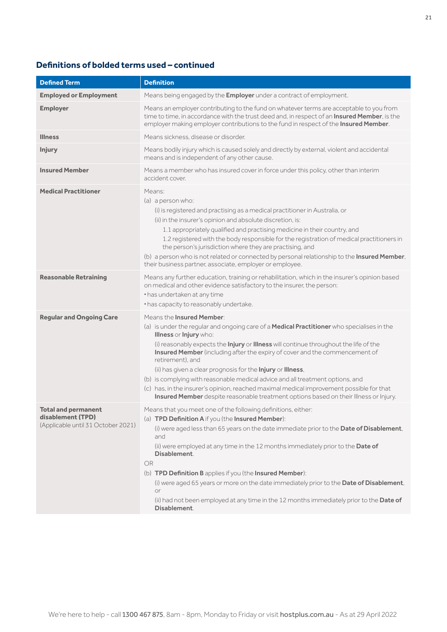## **Definitions of bolded terms used – continued**

| <b>Defined Term</b>                                                                   | <b>Definition</b>                                                                                                                                                                                                                                                                                                                                                                                                                                                                                                                                                                                                                                                                          |
|---------------------------------------------------------------------------------------|--------------------------------------------------------------------------------------------------------------------------------------------------------------------------------------------------------------------------------------------------------------------------------------------------------------------------------------------------------------------------------------------------------------------------------------------------------------------------------------------------------------------------------------------------------------------------------------------------------------------------------------------------------------------------------------------|
| <b>Employed or Employment</b>                                                         | Means being engaged by the <b>Employer</b> under a contract of employment.                                                                                                                                                                                                                                                                                                                                                                                                                                                                                                                                                                                                                 |
| <b>Employer</b>                                                                       | Means an employer contributing to the fund on whatever terms are acceptable to you from<br>time to time, in accordance with the trust deed and, in respect of an Insured Member, is the<br>employer making employer contributions to the fund in respect of the Insured Member.                                                                                                                                                                                                                                                                                                                                                                                                            |
| <b>Illness</b>                                                                        | Means sickness, disease or disorder.                                                                                                                                                                                                                                                                                                                                                                                                                                                                                                                                                                                                                                                       |
| <b>Injury</b>                                                                         | Means bodily injury which is caused solely and directly by external, violent and accidental<br>means and is independent of any other cause.                                                                                                                                                                                                                                                                                                                                                                                                                                                                                                                                                |
| <b>Insured Member</b>                                                                 | Means a member who has insured cover in force under this policy, other than interim<br>accident cover.                                                                                                                                                                                                                                                                                                                                                                                                                                                                                                                                                                                     |
| <b>Medical Practitioner</b>                                                           | Means:<br>(a) a person who:<br>(i) is registered and practising as a medical practitioner in Australia, or<br>(ii) in the insurer's opinion and absolute discretion, is:<br>1.1 appropriately qualified and practising medicine in their country, and<br>1.2 registered with the body responsible for the registration of medical practitioners in<br>the person's jurisdiction where they are practising, and<br>(b) a person who is not related or connected by personal relationship to the Insured Member,<br>their business partner, associate, employer or employee.                                                                                                                 |
| <b>Reasonable Retraining</b>                                                          | Means any further education, training or rehabilitation, which in the insurer's opinion based<br>on medical and other evidence satisfactory to the insurer, the person:<br>• has undertaken at any time<br>• has capacity to reasonably undertake.                                                                                                                                                                                                                                                                                                                                                                                                                                         |
| <b>Regular and Ongoing Care</b>                                                       | Means the <b>Insured Member:</b><br>(a) is under the regular and ongoing care of a Medical Practitioner who specialises in the<br>Illness or Injury who:<br>(i) reasonably expects the Injury or Illness will continue throughout the life of the<br>Insured Member (including after the expiry of cover and the commencement of<br>retirement), and<br>(ii) has given a clear prognosis for the Injury or Illness,<br>(b) is complying with reasonable medical advice and all treatment options, and<br>(c) has, in the insurer's opinion, reached maximal medical improvement possible for that<br>Insured Member despite reasonable treatment options based on their Illness or Injury. |
| <b>Total and permanent</b><br>disablement (TPD)<br>(Applicable until 31 October 2021) | Means that you meet one of the following definitions, either:<br>(a) TPD Definition A if you (the Insured Member):<br>(i) were aged less than 65 years on the date immediate prior to the Date of Disablement,<br>and<br>(ii) were employed at any time in the 12 months immediately prior to the Date of<br>Disablement.<br><b>OR</b><br>(b) TPD Definition B applies if you (the Insured Member):<br>(i) were aged 65 years or more on the date immediately prior to the Date of Disablement,<br>or<br>(ii) had not been employed at any time in the 12 months immediately prior to the Date of<br>Disablement.                                                                          |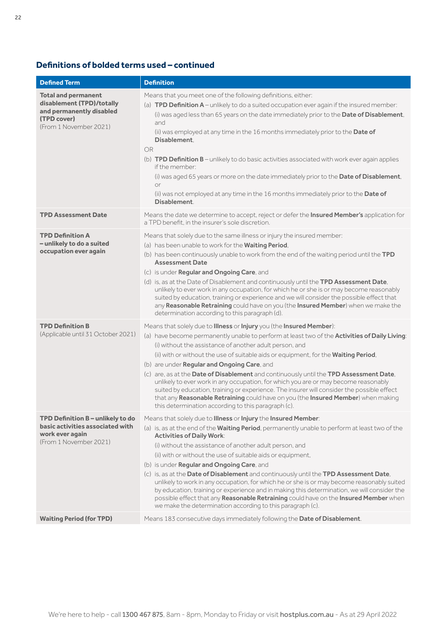## **Definitions of bolded terms used – continued**

| <b>Defined Term</b>                                                                                                          | <b>Definition</b>                                                                                                                                                                                                                                                                                                                                                                                                                                                                                                                                                                                                                                                                                                                                                                                                                |
|------------------------------------------------------------------------------------------------------------------------------|----------------------------------------------------------------------------------------------------------------------------------------------------------------------------------------------------------------------------------------------------------------------------------------------------------------------------------------------------------------------------------------------------------------------------------------------------------------------------------------------------------------------------------------------------------------------------------------------------------------------------------------------------------------------------------------------------------------------------------------------------------------------------------------------------------------------------------|
| <b>Total and permanent</b><br>disablement (TPD)/totally<br>and permanently disabled<br>(TPD cover)<br>(From 1 November 2021) | Means that you meet one of the following definitions, either:<br>(a) <b>TPD Definition A</b> – unlikely to do a suited occupation ever again if the insured member:<br>(i) was aged less than 65 years on the date immediately prior to the Date of Disablement.<br>and<br>(ii) was employed at any time in the 16 months immediately prior to the Date of<br>Disablement.<br><b>OR</b><br>(b) <b>TPD Definition B</b> – unlikely to do basic activities associated with work ever again applies<br>if the member:<br>(i) was aged 65 years or more on the date immediately prior to the Date of Disablement.<br>or<br>(ii) was not employed at any time in the 16 months immediately prior to the Date of<br>Disablement.                                                                                                       |
| <b>TPD Assessment Date</b>                                                                                                   | Means the date we determine to accept, reject or defer the Insured Member's application for<br>a TPD benefit, in the insurer's sole discretion.                                                                                                                                                                                                                                                                                                                                                                                                                                                                                                                                                                                                                                                                                  |
| <b>TPD Definition A</b><br>- unlikely to do a suited<br>occupation ever again                                                | Means that solely due to the same illness or injury the insured member:<br>(a) has been unable to work for the Waiting Period,<br>(b) has been continuously unable to work from the end of the waiting period until the TPD<br><b>Assessment Date</b><br>(c) is under <b>Regular and Ongoing Care</b> , and<br>(d) is, as at the Date of Disablement and continuously until the TPD Assessment Date,<br>unlikely to ever work in any occupation, for which he or she is or may become reasonably<br>suited by education, training or experience and we will consider the possible effect that<br>any Reasonable Retraining could have on you (the Insured Member) when we make the<br>determination according to this paragraph (d).                                                                                             |
| <b>TPD Definition B</b><br>(Applicable until 31 October 2021)                                                                | Means that solely due to Illness or Injury you (the Insured Member):<br>(a) have become permanently unable to perform at least two of the Activities of Daily Living:<br>(i) without the assistance of another adult person, and<br>(ii) with or without the use of suitable aids or equipment, for the <b>Waiting Period</b> ,<br>(b) are under <b>Regular and Ongoing Care</b> , and<br>(c) are, as at the Date of Disablement and continuously until the TPD Assessment Date,<br>unlikely to ever work in any occupation, for which you are or may become reasonably<br>suited by education, training or experience. The insurer will consider the possible effect<br>that any Reasonable Retraining could have on you (the Insured Member) when making<br>this determination according to this paragraph (c).                |
| TPD Definition B - unlikely to do<br>basic activities associated with<br>work ever again<br>(From 1 November 2021)           | Means that solely due to Illness or Injury the Insured Member:<br>(a) is, as at the end of the <b>Waiting Period</b> , permanently unable to perform at least two of the<br><b>Activities of Daily Work:</b><br>(i) without the assistance of another adult person, and<br>(ii) with or without the use of suitable aids or equipment,<br>(b) is under Regular and Ongoing Care, and<br>(c) is, as at the Date of Disablement and continuously until the TPD Assessment Date,<br>unlikely to work in any occupation, for which he or she is or may become reasonably suited<br>by education, training or experience and in making this determination, we will consider the<br>possible effect that any Reasonable Retraining could have on the Insured Member when<br>we make the determination according to this paragraph (c). |
| <b>Waiting Period (for TPD)</b>                                                                                              | Means 183 consecutive days immediately following the Date of Disablement.                                                                                                                                                                                                                                                                                                                                                                                                                                                                                                                                                                                                                                                                                                                                                        |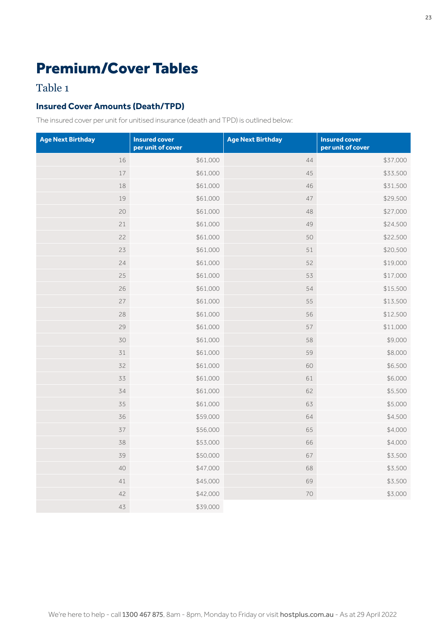## <span id="page-22-0"></span>Premium/Cover Tables

## Table 1

## **Insured Cover Amounts (Death/TPD)**

The insured cover per unit for unitised insurance (death and TPD) is outlined below:

| <b>Age Next Birthday</b> | <b>Insured cover</b><br>per unit of cover | <b>Age Next Birthday</b> | <b>Insured cover</b><br>per unit of cover |
|--------------------------|-------------------------------------------|--------------------------|-------------------------------------------|
| 16                       | \$61,000                                  | 44                       | \$37,000                                  |
| $17\,$                   | \$61,000                                  | 45                       | \$33,500                                  |
| 18                       | \$61,000                                  | 46                       | \$31,500                                  |
| 19                       | \$61,000                                  | $47\,$                   | \$29,500                                  |
| 20                       | \$61,000                                  | 48                       | \$27,000                                  |
| 21                       | \$61,000                                  | 49                       | \$24,500                                  |
| 22                       | \$61,000                                  | 50                       | \$22,500                                  |
| 23                       | \$61,000                                  | 51                       | \$20,500                                  |
| 24                       | \$61,000                                  | 52                       | \$19,000                                  |
| 25                       | \$61,000                                  | 53                       | \$17,000                                  |
| 26                       | \$61,000                                  | 54                       | \$15,500                                  |
| 27                       | \$61,000                                  | 55                       | \$13,500                                  |
| 28                       | \$61,000                                  | 56                       | \$12,500                                  |
| 29                       | \$61,000                                  | 57                       | \$11,000                                  |
| 30                       | \$61,000                                  | 58                       | \$9,000                                   |
| 31                       | \$61,000                                  | 59                       | \$8,000                                   |
| 32                       | \$61,000                                  | 60                       | \$6,500                                   |
| 33                       | \$61,000                                  | 61                       | \$6,000                                   |
| 34                       | \$61,000                                  | 62                       | \$5,500                                   |
| 35                       | \$61,000                                  | 63                       | \$5,000                                   |
| 36                       | \$59,000                                  | 64                       | \$4,500                                   |
| 37                       | \$56,000                                  | 65                       | \$4,000                                   |
| 38                       | \$53,000                                  | 66                       | \$4,000                                   |
| 39                       | \$50,000                                  | 67                       | \$3,500                                   |
| 40                       | \$47,000                                  | 68                       | \$3,500                                   |
| 41                       | \$45,000                                  | 69                       | \$3,500                                   |
| 42                       | \$42,000                                  | 70                       | \$3,000                                   |
| 43                       | \$39,000                                  |                          |                                           |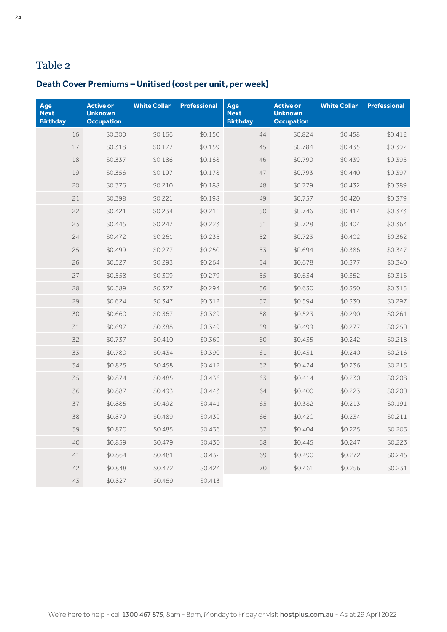## <span id="page-23-0"></span>**Death Cover Premiums – Unitised (cost per unit, per week)**

| Age<br><b>Next</b><br><b>Birthday</b> | <b>Active or</b><br><b>Unknown</b><br><b>Occupation</b> | <b>White Collar</b> | <b>Professional</b> | Age<br><b>Next</b><br><b>Birthday</b> | <b>Active or</b><br><b>Unknown</b><br><b>Occupation</b> | <b>White Collar</b> | <b>Professional</b> |
|---------------------------------------|---------------------------------------------------------|---------------------|---------------------|---------------------------------------|---------------------------------------------------------|---------------------|---------------------|
| 16                                    | \$0.300                                                 | \$0.166             | \$0.150             | 44                                    | \$0.824                                                 | \$0.458             | \$0.412             |
| 17                                    | \$0.318                                                 | \$0.177             | \$0.159             | 45                                    | \$0.784                                                 | \$0.435             | \$0.392             |
| 18                                    | \$0.337                                                 | \$0.186             | \$0.168             | 46                                    | \$0.790                                                 | \$0.439             | \$0.395             |
| 19                                    | \$0.356                                                 | \$0.197             | \$0.178             | 47                                    | \$0.793                                                 | \$0.440             | \$0.397             |
| 20                                    | \$0.376                                                 | \$0.210             | \$0.188             | 48                                    | \$0.779                                                 | \$0.432             | \$0.389             |
| 21                                    | \$0.398                                                 | \$0.221             | \$0.198             | 49                                    | \$0.757                                                 | \$0.420             | \$0.379             |
| 22                                    | \$0.421                                                 | \$0.234             | \$0.211             | 50                                    | \$0.746                                                 | \$0.414             | \$0.373             |
| 23                                    | \$0.445                                                 | \$0.247             | \$0.223             | 51                                    | \$0.728                                                 | \$0.404             | \$0.364             |
| 24                                    | \$0.472                                                 | \$0.261             | \$0.235             | 52                                    | \$0.723                                                 | \$0.402             | \$0.362             |
| 25                                    | \$0.499                                                 | \$0.277             | \$0.250             | 53                                    | \$0.694                                                 | \$0.386             | \$0.347             |
| 26                                    | \$0.527                                                 | \$0.293             | \$0.264             | 54                                    | \$0.678                                                 | \$0.377             | \$0.340             |
| 27                                    | \$0.558                                                 | \$0.309             | \$0.279             | 55                                    | \$0.634                                                 | \$0.352             | \$0.316             |
| 28                                    | \$0.589                                                 | \$0.327             | \$0.294             | 56                                    | \$0.630                                                 | \$0.350             | \$0.315             |
| 29                                    | \$0.624                                                 | \$0.347             | \$0.312             | 57                                    | \$0.594                                                 | \$0.330             | \$0.297             |
| 30                                    | \$0.660                                                 | \$0.367             | \$0.329             | 58                                    | \$0.523                                                 | \$0.290             | \$0.261             |
| 31                                    | \$0.697                                                 | \$0.388             | \$0.349             | 59                                    | \$0.499                                                 | \$0.277             | \$0.250             |
| 32                                    | \$0.737                                                 | \$0.410             | \$0.369             | 60                                    | \$0.435                                                 | \$0.242             | \$0.218             |
| 33                                    | \$0.780                                                 | \$0.434             | \$0.390             | 61                                    | \$0.431                                                 | \$0.240             | \$0.216             |
| 34                                    | \$0.825                                                 | \$0.458             | \$0.412             | 62                                    | \$0.424                                                 | \$0.236             | \$0.213             |
| 35                                    | \$0.874                                                 | \$0.485             | \$0.436             | 63                                    | \$0.414                                                 | \$0.230             | \$0.208             |
| 36                                    | \$0.887                                                 | \$0.493             | \$0.443             | 64                                    | \$0.400                                                 | \$0.223             | \$0.200             |
| 37                                    | \$0.885                                                 | \$0.492             | \$0.441             | 65                                    | \$0.382                                                 | \$0.213             | \$0.191             |
| 38                                    | \$0.879                                                 | \$0.489             | \$0.439             | 66                                    | \$0.420                                                 | \$0.234             | \$0.211             |
| 39                                    | \$0.870                                                 | \$0.485             | \$0.436             | 67                                    | \$0.404                                                 | \$0.225             | \$0.203             |
| 40                                    | \$0.859                                                 | \$0.479             | \$0.430             | 68                                    | \$0.445                                                 | \$0.247             | \$0.223             |
| 41                                    | \$0.864                                                 | \$0.481             | \$0.432             | 69                                    | \$0.490                                                 | \$0.272             | \$0.245             |
| 42                                    | \$0.848                                                 | \$0.472             | \$0.424             | 70                                    | \$0.461                                                 | \$0.256             | \$0.231             |
| 43                                    | \$0.827                                                 | \$0.459             | \$0.413             |                                       |                                                         |                     |                     |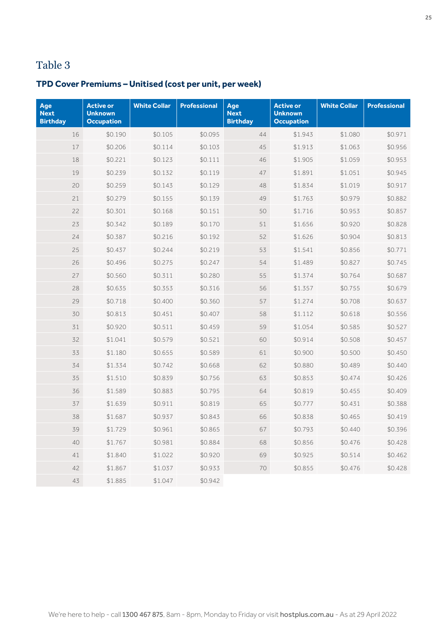## **TPD Cover Premiums – Unitised (cost per unit, per week)**

| Age<br><b>Next</b><br><b>Birthday</b> | <b>Active or</b><br><b>Unknown</b><br><b>Occupation</b> | <b>White Collar</b> | <b>Professional</b> | Age<br><b>Next</b><br><b>Birthday</b> | <b>Active or</b><br><b>Unknown</b><br><b>Occupation</b> | <b>White Collar</b> | <b>Professional</b> |
|---------------------------------------|---------------------------------------------------------|---------------------|---------------------|---------------------------------------|---------------------------------------------------------|---------------------|---------------------|
| 16                                    | \$0.190                                                 | \$0.105             | \$0.095             | 44                                    | \$1.943                                                 | \$1.080             | \$0.971             |
| 17                                    | \$0.206                                                 | \$0.114             | \$0.103             | 45                                    | \$1.913                                                 | \$1.063             | \$0.956             |
| 18                                    | \$0.221                                                 | \$0.123             | \$0.111             | 46                                    | \$1.905                                                 | \$1.059             | \$0.953             |
| 19                                    | \$0.239                                                 | \$0.132             | \$0.119             | 47                                    | \$1.891                                                 | \$1.051             | \$0.945             |
| 20                                    | \$0.259                                                 | \$0.143             | \$0.129             | 48                                    | \$1.834                                                 | \$1.019             | \$0.917             |
| 21                                    | \$0.279                                                 | \$0.155             | \$0.139             | 49                                    | \$1.763                                                 | \$0.979             | \$0.882             |
| 22                                    | \$0.301                                                 | \$0.168             | \$0.151             | 50                                    | \$1.716                                                 | \$0.953             | \$0.857             |
| 23                                    | \$0.342                                                 | \$0.189             | \$0.170             | 51                                    | \$1.656                                                 | \$0.920             | \$0.828             |
| 24                                    | \$0.387                                                 | \$0.216             | \$0.192             | 52                                    | \$1.626                                                 | \$0.904             | \$0.813             |
| 25                                    | \$0.437                                                 | \$0.244             | \$0.219             | 53                                    | \$1.541                                                 | \$0.856             | \$0.771             |
| 26                                    | \$0.496                                                 | \$0.275             | \$0.247             | 54                                    | \$1.489                                                 | \$0.827             | \$0.745             |
| 27                                    | \$0.560                                                 | \$0.311             | \$0.280             | 55                                    | \$1.374                                                 | \$0.764             | \$0.687             |
| 28                                    | \$0.635                                                 | \$0.353             | \$0.316             | 56                                    | \$1.357                                                 | \$0.755             | \$0.679             |
| 29                                    | \$0.718                                                 | \$0.400             | \$0.360             | 57                                    | \$1.274                                                 | \$0.708             | \$0.637             |
| 30                                    | \$0.813                                                 | \$0.451             | \$0.407             | 58                                    | \$1.112                                                 | \$0.618             | \$0.556             |
| 31                                    | \$0.920                                                 | \$0.511             | \$0.459             | 59                                    | \$1.054                                                 | \$0.585             | \$0.527             |
| 32                                    | \$1.041                                                 | \$0.579             | \$0.521             | 60                                    | \$0.914                                                 | \$0.508             | \$0.457             |
| 33                                    | \$1.180                                                 | \$0.655             | \$0.589             | 61                                    | \$0.900                                                 | \$0.500             | \$0.450             |
| 34                                    | \$1.334                                                 | \$0.742             | \$0.668             | 62                                    | \$0.880                                                 | \$0.489             | \$0.440             |
| 35                                    | \$1.510                                                 | \$0.839             | \$0.756             | 63                                    | \$0.853                                                 | \$0.474             | \$0.426             |
| 36                                    | \$1.589                                                 | \$0.883             | \$0.795             | 64                                    | \$0.819                                                 | \$0.455             | \$0.409             |
| 37                                    | \$1.639                                                 | \$0.911             | \$0.819             | 65                                    | \$0.777                                                 | \$0.431             | \$0.388             |
| 38                                    | \$1.687                                                 | \$0.937             | \$0.843             | 66                                    | \$0.838                                                 | \$0.465             | \$0.419             |
| 39                                    | \$1.729                                                 | \$0.961             | \$0.865             | 67                                    | \$0.793                                                 | \$0.440             | \$0.396             |
| 40                                    | \$1.767                                                 | \$0.981             | \$0.884             | 68                                    | \$0.856                                                 | \$0.476             | \$0.428             |
| 41                                    | \$1.840                                                 | \$1.022             | \$0.920             | 69                                    | \$0.925                                                 | \$0.514             | \$0.462             |
| 42                                    | \$1.867                                                 | \$1.037             | \$0.933             | 70                                    | \$0.855                                                 | \$0.476             | \$0.428             |
| 43                                    | \$1.885                                                 | \$1.047             | \$0.942             |                                       |                                                         |                     |                     |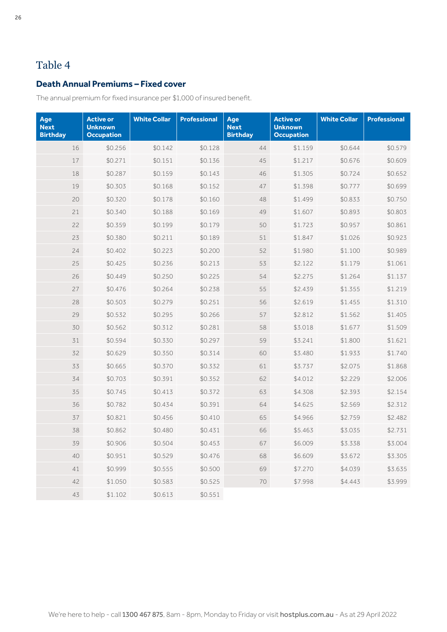## <span id="page-25-0"></span>**Death Annual Premiums – Fixed cover**

The annual premium for fixed insurance per \$1,000 of insured benefit.

| Age<br><b>Next</b><br><b>Birthday</b> | <b>Active or</b><br><b>Unknown</b><br><b>Occupation</b> | <b>White Collar</b> | <b>Professional</b> | Age<br><b>Next</b><br><b>Birthday</b> | <b>Active or</b><br><b>Unknown</b><br><b>Occupation</b> | <b>White Collar</b> | <b>Professional</b> |
|---------------------------------------|---------------------------------------------------------|---------------------|---------------------|---------------------------------------|---------------------------------------------------------|---------------------|---------------------|
| 16                                    | \$0.256                                                 | \$0.142             | \$0.128             | 44                                    | \$1.159                                                 | \$0.644             | \$0.579             |
| $17\,$                                | \$0.271                                                 | \$0.151             | \$0.136             | 45                                    | \$1.217                                                 | \$0.676             | \$0.609             |
| 18                                    | \$0.287                                                 | \$0.159             | \$0.143             | 46                                    | \$1.305                                                 | \$0.724             | \$0.652             |
| 19                                    | \$0.303                                                 | \$0.168             | \$0.152             | 47                                    | \$1.398                                                 | \$0.777             | \$0.699             |
| 20                                    | \$0.320                                                 | \$0.178             | \$0.160             | 48                                    | \$1.499                                                 | \$0.833             | \$0.750             |
| 21                                    | \$0.340                                                 | \$0.188             | \$0.169             | 49                                    | \$1.607                                                 | \$0.893             | \$0.803             |
| 22                                    | \$0.359                                                 | \$0.199             | \$0.179             | 50                                    | \$1.723                                                 | \$0.957             | \$0.861             |
| 23                                    | \$0.380                                                 | \$0.211             | \$0.189             | 51                                    | \$1.847                                                 | \$1.026             | \$0.923             |
| 24                                    | \$0.402                                                 | \$0.223             | \$0.200             | 52                                    | \$1.980                                                 | \$1.100             | \$0.989             |
| 25                                    | \$0.425                                                 | \$0.236             | \$0.213             | 53                                    | \$2.122                                                 | \$1.179             | \$1.061             |
| 26                                    | \$0.449                                                 | \$0.250             | \$0.225             | 54                                    | \$2.275                                                 | \$1.264             | \$1.137             |
| 27                                    | \$0.476                                                 | \$0.264             | \$0.238             | 55                                    | \$2.439                                                 | \$1.355             | \$1.219             |
| 28                                    | \$0.503                                                 | \$0.279             | \$0.251             | 56                                    | \$2.619                                                 | \$1.455             | \$1.310             |
| 29                                    | \$0.532                                                 | \$0.295             | \$0.266             | 57                                    | \$2.812                                                 | \$1.562             | \$1.405             |
| 30                                    | \$0.562                                                 | \$0.312             | \$0.281             | 58                                    | \$3.018                                                 | \$1.677             | \$1.509             |
| 31                                    | \$0.594                                                 | \$0.330             | \$0.297             | 59                                    | \$3.241                                                 | \$1.800             | \$1.621             |
| 32                                    | \$0.629                                                 | \$0.350             | \$0.314             | 60                                    | \$3.480                                                 | \$1.933             | \$1.740             |
| 33                                    | \$0.665                                                 | \$0.370             | \$0.332             | 61                                    | \$3.737                                                 | \$2.075             | \$1.868             |
| 34                                    | \$0.703                                                 | \$0.391             | \$0.352             | 62                                    | \$4.012                                                 | \$2.229             | \$2.006             |
| 35                                    | \$0.745                                                 | \$0.413             | \$0.372             | 63                                    | \$4.308                                                 | \$2.393             | \$2.154             |
| 36                                    | \$0.782                                                 | \$0.434             | \$0.391             | 64                                    | \$4.625                                                 | \$2.569             | \$2.312             |
| 37                                    | \$0.821                                                 | \$0.456             | \$0.410             | 65                                    | \$4.966                                                 | \$2.759             | \$2.482             |
| 38                                    | \$0.862                                                 | \$0.480             | \$0.431             | 66                                    | \$5.463                                                 | \$3.035             | \$2.731             |
| 39                                    | \$0.906                                                 | \$0.504             | \$0.453             | 67                                    | \$6.009                                                 | \$3.338             | \$3.004             |
| 40                                    | \$0.951                                                 | \$0.529             | \$0.476             | 68                                    | \$6.609                                                 | \$3.672             | \$3.305             |
| 41                                    | \$0.999                                                 | \$0.555             | \$0.500             | 69                                    | \$7.270                                                 | \$4.039             | \$3.635             |
| 42                                    | \$1.050                                                 | \$0.583             | \$0.525             | 70                                    | \$7.998                                                 | \$4.443             | \$3.999             |
| 43                                    | \$1.102                                                 | \$0.613             | \$0.551             |                                       |                                                         |                     |                     |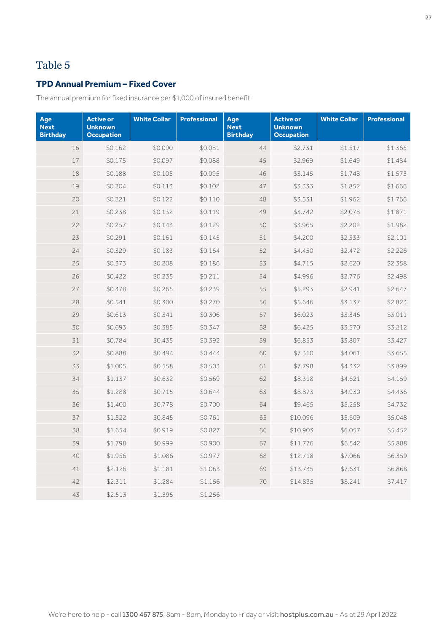## **TPD Annual Premium – Fixed Cover**

The annual premium for fixed insurance per \$1,000 of insured benefit.

| Age<br><b>Next</b><br><b>Birthday</b> | <b>Active or</b><br><b>Unknown</b><br><b>Occupation</b> | <b>White Collar</b> | <b>Professional</b> | Age<br><b>Next</b><br><b>Birthday</b> | <b>Active or</b><br><b>Unknown</b><br><b>Occupation</b> | <b>White Collar</b> | <b>Professional</b> |
|---------------------------------------|---------------------------------------------------------|---------------------|---------------------|---------------------------------------|---------------------------------------------------------|---------------------|---------------------|
| 16                                    | \$0.162                                                 | \$0.090             | \$0.081             | 44                                    | \$2.731                                                 | \$1.517             | \$1.365             |
| 17                                    | \$0.175                                                 | \$0.097             | \$0.088             | 45                                    | \$2.969                                                 | \$1.649             | \$1.484             |
| 18                                    | \$0.188                                                 | \$0.105             | \$0.095             | 46                                    | \$3.145                                                 | \$1.748             | \$1.573             |
| 19                                    | \$0.204                                                 | \$0.113             | \$0.102             | 47                                    | \$3.333                                                 | \$1.852             | \$1.666             |
| 20                                    | \$0.221                                                 | \$0.122             | \$0.110             | 48                                    | \$3.531                                                 | \$1.962             | \$1.766             |
| 21                                    | \$0.238                                                 | \$0.132             | \$0.119             | 49                                    | \$3.742                                                 | \$2.078             | \$1.871             |
| 22                                    | \$0.257                                                 | \$0.143             | \$0.129             | 50                                    | \$3.965                                                 | \$2.202             | \$1.982             |
| 23                                    | \$0.291                                                 | \$0.161             | \$0.145             | 51                                    | \$4.200                                                 | \$2.333             | \$2.101             |
| 24                                    | \$0.329                                                 | \$0.183             | \$0.164             | 52                                    | \$4.450                                                 | \$2.472             | \$2.226             |
| 25                                    | \$0.373                                                 | \$0.208             | \$0.186             | 53                                    | \$4.715                                                 | \$2.620             | \$2.358             |
| 26                                    | \$0.422                                                 | \$0.235             | \$0.211             | 54                                    | \$4.996                                                 | \$2.776             | \$2.498             |
| 27                                    | \$0.478                                                 | \$0.265             | \$0.239             | 55                                    | \$5.293                                                 | \$2.941             | \$2.647             |
| 28                                    | \$0.541                                                 | \$0.300             | \$0.270             | 56                                    | \$5.646                                                 | \$3.137             | \$2.823             |
| 29                                    | \$0.613                                                 | \$0.341             | \$0.306             | 57                                    | \$6.023                                                 | \$3.346             | \$3.011             |
| 30                                    | \$0.693                                                 | \$0.385             | \$0.347             | 58                                    | \$6.425                                                 | \$3.570             | \$3.212             |
| 31                                    | \$0.784                                                 | \$0.435             | \$0.392             | 59                                    | \$6.853                                                 | \$3.807             | \$3.427             |
| 32                                    | \$0.888                                                 | \$0.494             | \$0.444             | 60                                    | \$7.310                                                 | \$4.061             | \$3.655             |
| 33                                    | \$1.005                                                 | \$0.558             | \$0.503             | 61                                    | \$7.798                                                 | \$4.332             | \$3.899             |
| 34                                    | \$1.137                                                 | \$0.632             | \$0.569             | 62                                    | \$8.318                                                 | \$4.621             | \$4.159             |
| 35                                    | \$1.288                                                 | \$0.715             | \$0.644             | 63                                    | \$8.873                                                 | \$4.930             | \$4.436             |
| 36                                    | \$1.400                                                 | \$0.778             | \$0.700             | 64                                    | \$9.465                                                 | \$5.258             | \$4.732             |
| 37                                    | \$1.522                                                 | \$0.845             | \$0.761             | 65                                    | \$10.096                                                | \$5.609             | \$5.048             |
| 38                                    | \$1.654                                                 | \$0.919             | \$0.827             | 66                                    | \$10.903                                                | \$6.057             | \$5.452             |
| 39                                    | \$1.798                                                 | \$0.999             | \$0.900             | 67                                    | \$11.776                                                | \$6.542             | \$5.888             |
| 40                                    | \$1.956                                                 | \$1.086             | \$0.977             | 68                                    | \$12.718                                                | \$7.066             | \$6.359             |
| 41                                    | \$2.126                                                 | \$1.181             | \$1.063             | 69                                    | \$13.735                                                | \$7.631             | \$6.868             |
| 42                                    | \$2.311                                                 | \$1.284             | \$1.156             | 70                                    | \$14.835                                                | \$8.241             | \$7.417             |
| 43                                    | \$2.513                                                 | \$1.395             | \$1.256             |                                       |                                                         |                     |                     |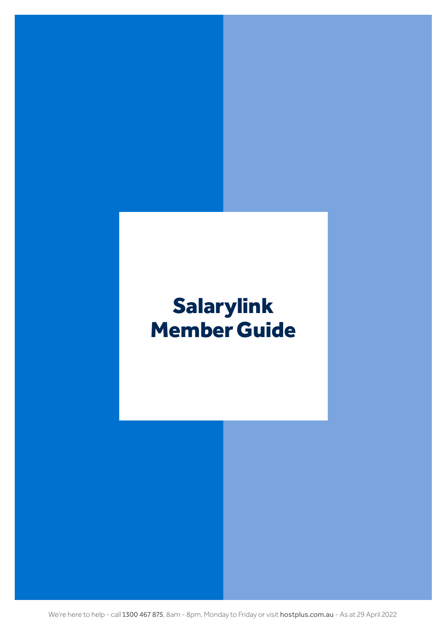# <span id="page-27-0"></span>Salarylink Member Guide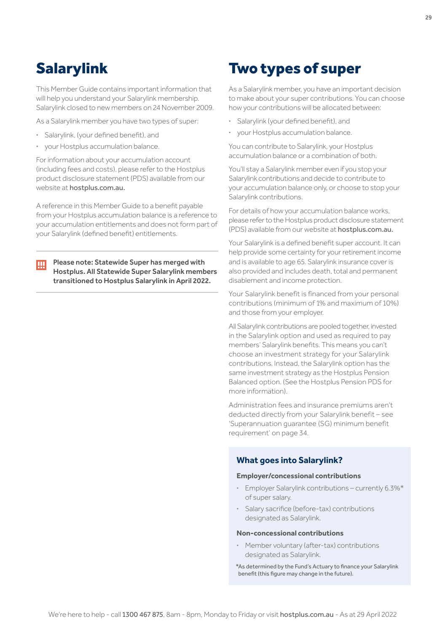## <span id="page-28-0"></span>Salarylink

This Member Guide contains important information that will help you understand your Salarylink membership. Salarylink closed to new members on 24 November 2009.

As a Salarylink member you have two types of super:

- **·** Salarylink, (your defined benefit), and
- **·** your Hostplus accumulation balance.

For information about your accumulation account (including fees and costs), please refer to the Hostplus product disclosure statement (PDS) available from our website at [hostplus.com.au](https://hostplus.com.au).

A reference in this Member Guide to a benefit payable from your Hostplus accumulation balance is a reference to your accumulation entitlements and does not form part of your Salarylink (defined benefit) entitlements.

Please note: Statewide Super has merged with Ш Hostplus. All Statewide Super Salarylink members transitioned to Hostplus Salarylink in April 2022.

## Two types of super

As a Salarylink member, you have an important decision to make about your super contributions. You can choose how your contributions will be allocated between:

- **·** Salarylink (your defined benefit), and
- **·** your Hostplus accumulation balance.

You can contribute to Salarylink, your Hostplus accumulation balance or a combination of both.

You'll stay a Salarylink member even if you stop your Salarylink contributions and decide to contribute to your accumulation balance only, or choose to stop your Salarylink contributions.

For details of how your accumulation balance works, please refer to the Hostplus product disclosure statement (PDS) available from our website at [hostplus.com.au](https://hostplus.com.au).

Your Salarylink is a defined benefit super account. It can help provide some certainty for your retirement income and is available to age 65. Salarylink insurance cover is also provided and includes death, total and permanent disablement and income protection.

Your Salarylink benefit is financed from your personal contributions (minimum of 1% and maximum of 10%) and those from your employer.

All Salarylink contributions are pooled together, invested in the Salarylink option and used as required to pay members' Salarylink benefits. This means you can't choose an investment strategy for your Salarylink contributions. Instead, the Salarylink option has the same investment strategy as the Hostplus Pension Balanced option. (See the Hostplus Pension PDS for more information).

Administration fees and insurance premiums aren't deducted directly from your Salarylink benefit – see 'Superannuation guarantee (SG) minimum benefit requirement' on [page 34](#page-33-0).

### **What goes into Salarylink?**

#### **Employer/concessional contributions**

- **·** Employer Salarylink contributions currently 6.3%\* of super salary.
- **·** Salary sacrifice (before-tax) contributions designated as Salarylink.

#### **Non-concessional contributions**

- **·** Member voluntary (after-tax) contributions designated as Salarylink.
- \*As determined by the Fund's Actuary to finance your Salarylink benefit (this figure may change in the future).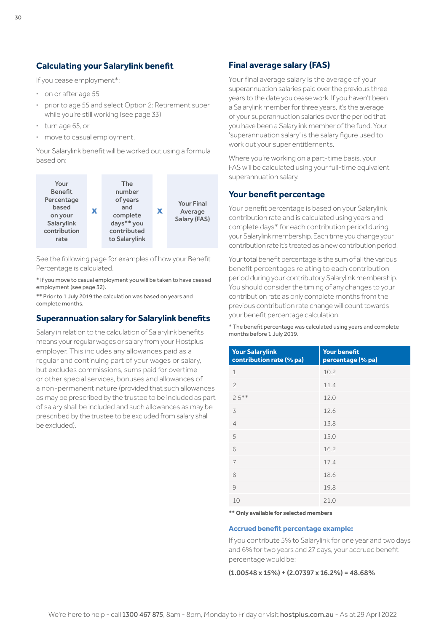## **Calculating your Salarylink benefit**

If you cease employment\*:

- **·** on or after age 55
- **·** prior to age 55 and select Option 2: Retirement super while you're still working (see [page 33](#page-32-0))
- **·** turn age 65, or
- **·** move to casual employment.

Your Salarylink benefit will be worked out using a formula based on:



See the following page for examples of how your Benefit Percentage is calculated.

\* If you move to casual employment you will be taken to have ceased employment (see [page 32](#page-31-0)).

\*\* Prior to 1 July 2019 the calculation was based on years and complete months.

## **Superannuation salary for Salarylink benefits**

Salary in relation to the calculation of Salarylink benefits means your regular wages or salary from your Hostplus employer. This includes any allowances paid as a regular and continuing part of your wages or salary, but excludes commissions, sums paid for overtime or other special services, bonuses and allowances of a non-permanent nature (provided that such allowances as may be prescribed by the trustee to be included as part of salary shall be included and such allowances as may be prescribed by the trustee to be excluded from salary shall be excluded).

## **Final average salary (FAS)**

Your final average salary is the average of your superannuation salaries paid over the previous three years to the date you cease work. If you haven't been a Salarylink member for three years, it's the average of your superannuation salaries over the period that you have been a Salarylink member of the fund. Your 'superannuation salary' is the salary figure used to work out your super entitlements.

Where you're working on a part-time basis, your FAS will be calculated using your full-time equivalent superannuation salary.

## **Your benefit percentage**

Your benefit percentage is based on your Salarylink contribution rate and is calculated using years and complete days\* for each contribution period during your Salarylink membership. Each time you change your contribution rate it's treated as a new contribution period.

Your total benefit percentage is the sum of all the various benefit percentages relating to each contribution period during your contributory Salarylink membership. You should consider the timing of any changes to your contribution rate as only complete months from the previous contribution rate change will count towards your benefit percentage calculation.

\* The benefit percentage was calculated using years and complete months before 1 July 2019.

| <b>Your Salarylink</b><br>contribution rate (% pa) | <b>Your benefit</b><br>percentage (% pa) |
|----------------------------------------------------|------------------------------------------|
| 1                                                  | 10.2                                     |
| $\overline{c}$                                     | 11.4                                     |
| $2.5***$                                           | 12.0                                     |
| 3                                                  | 12.6                                     |
| $\overline{4}$                                     | 13.8                                     |
| 5                                                  | 15.0                                     |
| 6                                                  | 16.2                                     |
| 7                                                  | 17.4                                     |
| 8                                                  | 18.6                                     |
| 9                                                  | 19.8                                     |
| 10                                                 | 21.0                                     |

**\*\* Only available for selected members**

#### **Accrued benefit percentage example:**

If you contribute 5% to Salarylink for one year and two days and 6% for two years and 27 days, your accrued benefit percentage would be:

 $(1.00548 \times 15\%) + (2.07397 \times 16.2\%) = 48.68\%$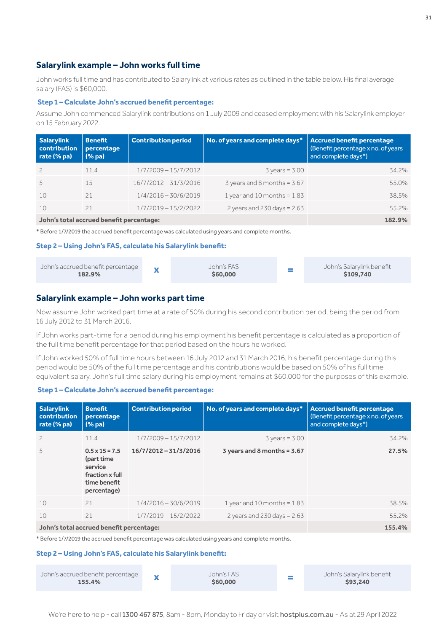## **Salarylink example – John works full time**

John works full time and has contributed to Salarylink at various rates as outlined in the table below. His final average salary (FAS) is \$60,000.

#### **Step 1 – Calculate John's accrued benefit percentage:**

Assume John commenced Salarylink contributions on 1 July 2009 and ceased employment with his Salarylink employer on 15 February 2022.

| <b>Salarylink</b><br>contribution<br>rate (% pa) | <b>Benefit</b><br>percentage<br>(% <sub>pa</sub> ) | <b>Contribution period</b> | No. of years and complete days* | Accrued benefit percentage<br>(Benefit percentage x no. of years<br>and complete days*) |
|--------------------------------------------------|----------------------------------------------------|----------------------------|---------------------------------|-----------------------------------------------------------------------------------------|
|                                                  | 11.4                                               | $1/7/2009 - 15/7/2012$     | $3 \text{ years} = 3.00$        | 34.2%                                                                                   |
| 5                                                | 1.5                                                | 16/7/2012-31/3/2016        | $3$ years and 8 months = $3.67$ | 55.0%                                                                                   |
| 10                                               | 21                                                 | $1/4/2016 - 30/6/2019$     | 1 year and 10 months = $1.83$   | 38.5%                                                                                   |
| 10                                               | 21                                                 | $1/7/2019 - 15/2/2022$     | 2 years and 230 days = $2.63$   | 55.2%                                                                                   |
|                                                  |                                                    |                            |                                 |                                                                                         |

#### **John's total accrued benefit percentage: 182.9%**

\* Before 1/7/2019 the accrued benefit percentage was calculated using years and complete months.

#### **Step 2 – Using John's FAS, calculate his Salarylink benefit:**



## **Salarylink example – John works part time**

Now assume John worked part time at a rate of 50% during his second contribution period, being the period from 16 July 2012 to 31 March 2016.

If John works part-time for a period during his employment his benefit percentage is calculated as a proportion of the full time benefit percentage for that period based on the hours he worked.

If John worked 50% of full time hours between 16 July 2012 and 31 March 2016, his benefit percentage during this period would be 50% of the full time percentage and his contributions would be based on 50% of his full time equivalent salary. John's full time salary during his employment remains at \$60,000 for the purposes of this example.

#### **Step 1 – Calculate John's accrued benefit percentage:**

| <b>Salarylink</b><br>contribution<br>rate (% pa) | <b>Benefit</b><br>percentage<br>$(\%$ pa)                                                        | <b>Contribution period</b> | No. of years and complete days* | <b>Accrued benefit percentage</b><br>(Benefit percentage x no. of years)<br>and complete days*) |
|--------------------------------------------------|--------------------------------------------------------------------------------------------------|----------------------------|---------------------------------|-------------------------------------------------------------------------------------------------|
| $\overline{c}$                                   | 11.4                                                                                             | $1/7/2009 - 15/7/2012$     | $3 \text{ years} = 3.00$        | 34.2%                                                                                           |
| 5                                                | $0.5 \times 15 = 7.5$<br>(part time<br>service<br>fraction x full<br>time benefit<br>percentage) | 16/7/2012 - 31/3/2016      | $3$ years and 8 months = $3.67$ | 27.5%                                                                                           |
| 10                                               | 21                                                                                               | $1/4/2016 - 30/6/2019$     | 1 year and 10 months = $1.83$   | 38.5%                                                                                           |
| 10                                               | 21                                                                                               | $1/7/2019 - 15/2/2022$     | 2 years and $230$ days = $2.63$ | 55.2%                                                                                           |
|                                                  | John's total accrued benefit percentage:                                                         | 155.4%                     |                                 |                                                                                                 |

\* Before 1/7/2019 the accrued benefit percentage was calculated using years and complete months.

#### **Step 2 – Using John's FAS, calculate his Salarylink benefit:**

| John's accrued benefit percentage<br>155.4% |  | John's FAS<br>\$60,000 |  | John's Salarylink benefit<br>\$93,240 |
|---------------------------------------------|--|------------------------|--|---------------------------------------|
|---------------------------------------------|--|------------------------|--|---------------------------------------|

We're here to help - call 1300 467 875, 8am - 8pm, Monday to Friday or visit [hostplus.com.au](https://hostplus.com.au) - As at 29 April 2022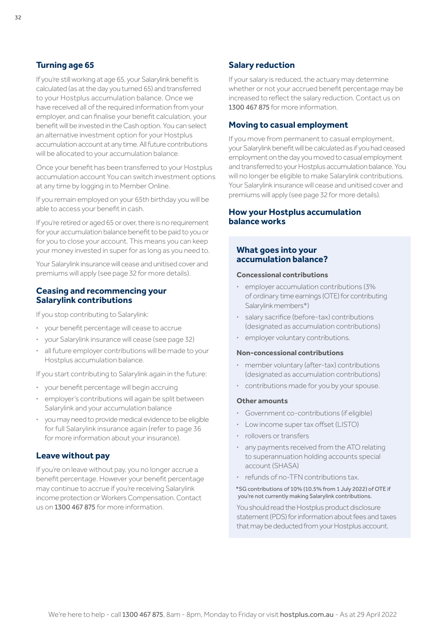## <span id="page-31-0"></span>**Turning age 65**

If you're still working at age 65, your Salarylink benefit is calculated (as at the day you turned 65) and transferred to your Hostplus accumulation balance. Once we have received all of the required information from your employer, and can finalise your benefit calculation, your benefit will be invested in the Cash option. You can select an alternative investment option for your Hostplus accumulation account at any time. All future contributions will be allocated to your accumulation balance.

Once your benefit has been transferred to your Hostplus accumulation account You can switch investment options at any time by logging in to Member Online.

If you remain employed on your 65th birthday you will be able to access your benefit in cash.

If you're retired or aged 65 or over, there is no requirement for your accumulation balance benefit to be paid to you or for you to close your account. This means you can keep your money invested in super for as long as you need to.

Your Salarylink insurance will cease and unitised cover and premiums will apply (see page 32 for more details).

#### **Ceasing and recommencing your Salarylink contributions**

If you stop contributing to Salarylink:

- **·** your benefit percentage will cease to accrue
- **·** your Salarylink insurance will cease (see page 32)
- **·** all future employer contributions will be made to your Hostplus accumulation balance.

If you start contributing to Salarylink again in the future:

- **·** your benefit percentage will begin accruing
- **·** employer's contributions will again be split between Salarylink and your accumulation balance
- **·** you may need to provide medical evidence to be eligible for full Salarylink insurance again (refer to [page 36](#page-35-0) for more information about your insurance).

#### **Leave without pay**

If you're on leave without pay, you no longer accrue a benefit percentage. However your benefit percentage may continue to accrue if you're receiving Salarylink income protection or Workers Compensation. Contact us on 1300 467 875 for more information.

## **Salary reduction**

If your salary is reduced, the actuary may determine whether or not your accrued benefit percentage may be increased to reflect the salary reduction. Contact us on 1300 467 875 for more information.

#### **Moving to casual employment**

If you move from permanent to casual employment, your Salarylink benefit will be calculated as if you had ceased employment on the day you moved to casual employment and transferred to your Hostplus accumulation balance. You will no longer be eligible to make Salarylink contributions. Your Salarylink insurance will cease and unitised cover and premiums will apply (see page 32 for more details).

## **How your Hostplus accumulation balance works**

## **What goes into your accumulation balance?**

### **Concessional contributions**

- **·** employer accumulation contributions (3% of ordinary time earnings (OTE) for contributing Salarylink members\*)
- **·** salary sacrifice (before-tax) contributions (designated as accumulation contributions)
- **·** employer voluntary contributions.

#### **Non-concessional contributions**

- **·** member voluntary (after-tax) contributions (designated as accumulation contributions)
- **·** contributions made for you by your spouse.

#### **Other amounts**

- **·** Government co-contributions (if eligible)
- **·** Low income super tax offset (LISTO)
- **·** rollovers or transfers
- **·** any payments received from the ATO relating to superannuation holding accounts special account (SHASA)
- **·** refunds of no-TFN contributions tax.

\*SG contributions of 10% (10.5% from 1 July 2022) of OTE if you're not currently making Salarylink contributions.

You should read the Hostplus product disclosure statement (PDS) for information about fees and taxes that may be deducted from your Hostplus account.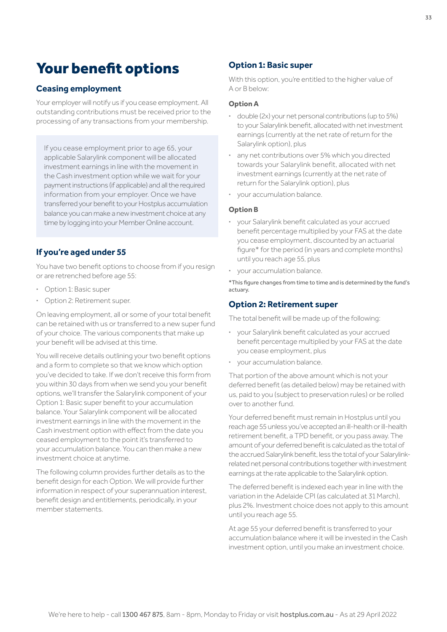## <span id="page-32-0"></span>Your benefit options

## **Ceasing employment**

Your employer will notify us if you cease employment. All outstanding contributions must be received prior to the processing of any transactions from your membership.

If you cease employment prior to age 65, your applicable Salarylink component will be allocated investment earnings in line with the movement in the Cash investment option while we wait for your payment instructions (if applicable) and all the required information from your employer. Once we have transferred your benefit to your Hostplus accumulation balance you can make a new investment choice at any time by logging into your Member Online account.

## **If you're aged under 55**

You have two benefit options to choose from if you resign or are retrenched before age 55:

- **·** Option 1: Basic super
- **·** Option 2: Retirement super.

On leaving employment, all or some of your total benefit can be retained with us or transferred to a new super fund of your choice. The various components that make up your benefit will be advised at this time.

You will receive details outlining your two benefit options and a form to complete so that we know which option you've decided to take. If we don't receive this form from you within 30 days from when we send you your benefit options, we'll transfer the Salarylink component of your Option 1: Basic super benefit to your accumulation balance. Your Salarylink component will be allocated investment earnings in line with the movement in the Cash investment option with effect from the date you ceased employment to the point it's transferred to your accumulation balance. You can then make a new investment choice at anytime.

The following column provides further details as to the benefit design for each Option. We will provide further information in respect of your superannuation interest, benefit design and entitlements, periodically, in your member statements.

## **Option 1: Basic super**

With this option, you're entitled to the higher value of A or B below:

#### **Option A**

- **·** double (2x) your net personal contributions (up to 5%) to your Salarylink benefit, allocated with net investment earnings (currently at the net rate of return for the Salarylink option), plus
- **·** any net contributions over 5% which you directed towards your Salarylink benefit, allocated with net investment earnings (currently at the net rate of return for the Salarylink option), plus
- **·** your accumulation balance.

#### **Option B**

- **·** your Salarylink benefit calculated as your accrued benefit percentage multiplied by your FAS at the date you cease employment, discounted by an actuarial figure\* for the period (in years and complete months) until you reach age 55, plus
- **·** your accumulation balance.

\*This figure changes from time to time and is determined by the fund's actuary.

#### **Option 2: Retirement super**

The total benefit will be made up of the following:

- **·** your Salarylink benefit calculated as your accrued benefit percentage multiplied by your FAS at the date you cease employment, plus
- **·** your accumulation balance.

That portion of the above amount which is not your deferred benefit (as detailed below) may be retained with us, paid to you (subject to preservation rules) or be rolled over to another fund.

Your deferred benefit must remain in Hostplus until you reach age 55 unless you've accepted an ill-health or ill-health retirement benefit, a TPD benefit, or you pass away. The amount of your deferred benefit is calculated as the total of the accrued Salarylink benefit, less the total of your Salarylinkrelated net personal contributions together with investment earnings at the rate applicable to the Salarylink option.

The deferred benefit is indexed each year in line with the variation in the Adelaide CPI (as calculated at 31 March), plus 2%. Investment choice does not apply to this amount until you reach age 55.

At age 55 your deferred benefit is transferred to your accumulation balance where it will be invested in the Cash investment option, until you make an investment choice.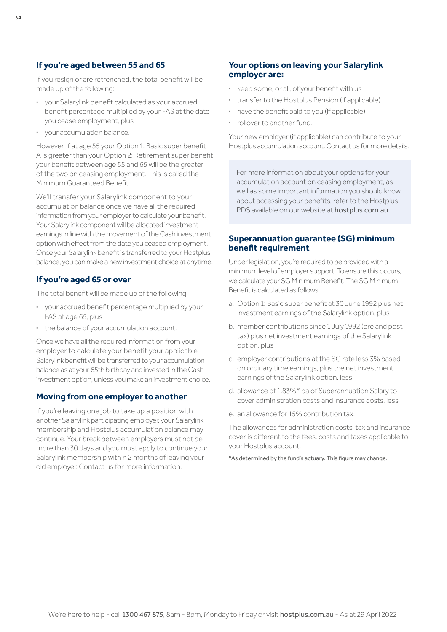## <span id="page-33-0"></span>**If you're aged between 55 and 65**

If you resign or are retrenched, the total benefit will be made up of the following:

- **·** your Salarylink benefit calculated as your accrued benefit percentage multiplied by your FAS at the date you cease employment, plus
- **·** your accumulation balance.

However, if at age 55 your Option 1: Basic super benefit A is greater than your Option 2: Retirement super benefit. your benefit between age 55 and 65 will be the greater of the two on ceasing employment. This is called the Minimum Guaranteed Benefit.

We'll transfer your Salarylink component to your accumulation balance once we have all the required information from your employer to calculate your benefit. Your Salarylink component will be allocated investment earnings in line with the movement of the Cash investment option with effect from the date you ceased employment. Once your Salarylink benefit is transferred to your Hostplus balance, you can make a new investment choice at anytime.

## **If you're aged 65 or over**

The total benefit will be made up of the following:

- **·** your accrued benefit percentage multiplied by your FAS at age 65, plus
- **·** the balance of your accumulation account.

Once we have all the required information from your employer to calculate your benefit your applicable Salarylink benefit will be transferred to your accumulation balance as at your 65th birthday and invested in the Cash investment option, unless you make an investment choice.

## **Moving from one employer to another**

If you're leaving one job to take up a position with another Salarylink participating employer, your Salarylink membership and Hostplus accumulation balance may continue. Your break between employers must not be more than 30 days and you must apply to continue your Salarylink membership within 2 months of leaving your old employer. Contact us for more information.

## **Your options on leaving your Salarylink employer are:**

- **·** keep some, or all, of your benefit with us
- **·** transfer to the Hostplus Pension (if applicable)
- **·** have the benefit paid to you (if applicable)
- **·** rollover to another fund.

Your new employer (if applicable) can contribute to your Hostplus accumulation account. Contact us for more details.

For more information about your options for your accumulation account on ceasing employment, as well as some important information you should know about accessing your benefits, refer to the Hostplus PDS available on our website at [hostplus.com.au](https://hostplus.com.au).

## **Superannuation guarantee (SG) minimum benefit requirement**

Under legislation, you're required to be provided with a minimum level of employer support. To ensure this occurs, we calculate your SG Minimum Benefit. The SG Minimum Benefit is calculated as follows:

- a. Option 1: Basic super benefit at 30 June 1992 plus net investment earnings of the Salarylink option, plus
- b. member contributions since 1 July 1992 (pre and post tax) plus net investment earnings of the Salarylink option, plus
- c. employer contributions at the SG rate less 3% based on ordinary time earnings, plus the net investment earnings of the Salarylink option, less
- d. allowance of 1.83%\* pa of Superannuation Salary to cover administration costs and insurance costs, less
- e. an allowance for 15% contribution tax.

The allowances for administration costs, tax and insurance cover is different to the fees, costs and taxes applicable to your Hostplus account.

\*As determined by the fund's actuary. This figure may change.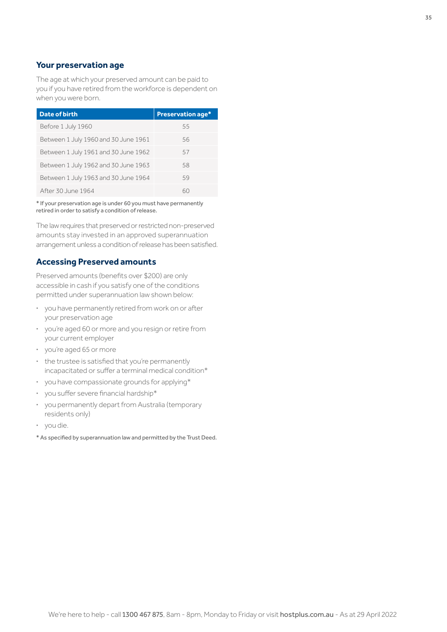## **Your preservation age**

The age at which your preserved amount can be paid to you if you have retired from the workforce is dependent on when you were born.

| Date of birth                        | <b>Preservation age*</b> |
|--------------------------------------|--------------------------|
| Before 1 July 1960                   | 55                       |
| Between 1 July 1960 and 30 June 1961 | 56                       |
| Between 1 July 1961 and 30 June 1962 | 57                       |
| Between 1 July 1962 and 30 June 1963 | 58                       |
| Between 1 July 1963 and 30 June 1964 | 59                       |
| After 30 June 1964                   | 60                       |

\* If your preservation age is under 60 you must have permanently retired in order to satisfy a condition of release.

The law requires that preserved or restricted non-preserved amounts stay invested in an approved superannuation arrangement unless a condition of release has been satisfied.

## **Accessing Preserved amounts**

Preserved amounts (benefits over \$200) are only accessible in cash if you satisfy one of the conditions permitted under superannuation law shown below:

- **·** you have permanently retired from work on or after your preservation age
- **·** you're aged 60 or more and you resign or retire from your current employer
- **·** you're aged 65 or more
- **·** the trustee is satisfied that you're permanently incapacitated or suffer a terminal medical condition\*
- **·** you have compassionate grounds for applying\*
- **·** you suffer severe financial hardship\*
- **·** you permanently depart from Australia (temporary residents only)
- **·** you die.
- \* As specified by superannuation law and permitted by the Trust Deed.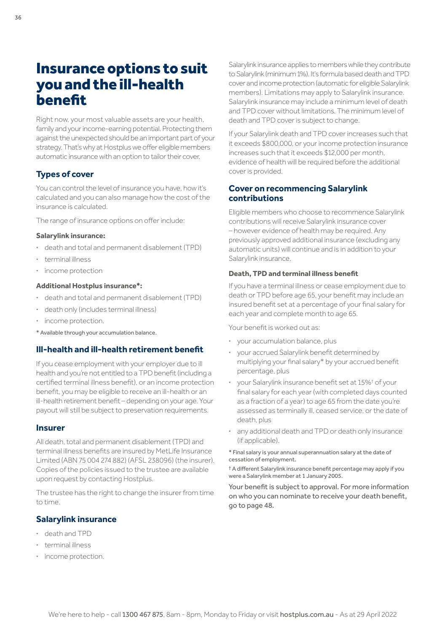## <span id="page-35-0"></span>Insurance options to suit you and the ill-health benefit

Right now, your most valuable assets are your health, family and your income-earning potential. Protecting them against the unexpected should be an important part of your strategy. That's why at Hostplus we offer eligible members automatic insurance with an option to tailor their cover.

## **Types of cover**

You can control the level of insurance you have, how it's calculated and you can also manage how the cost of the insurance is calculated.

The range of insurance options on offer include:

#### **Salarylink insurance:**

- **·** death and total and permanent disablement (TPD)
- **·** terminal illness
- **·** income protection

#### **Additional Hostplus insurance\*:**

- **·** death and total and permanent disablement (TPD)
- **·** death only (includes terminal illness)
- **·** income protection.
- \* Available through your accumulation balance.

## **Ill-health and ill-health retirement benefit**

If you cease employment with your employer due to ill health and you're not entitled to a TPD benefit (including a certified terminal illness benefit), or an income protection benefit, you may be eligible to receive an ill-health or an ill-health retirement benefit – depending on your age. Your payout will still be subject to preservation requirements.

#### **Insurer**

All death, total and permanent disablement (TPD) and terminal illness benefits are insured by MetLife Insurance Limited (ABN 75 004 274 882) (AFSL 238096) (the insurer). Copies of the policies issued to the trustee are available upon request by contacting Hostplus.

The trustee has the right to change the insurer from time to time.

## **Salarylink insurance**

- **·** death and TPD
- **·** terminal illness
- **·** income protection.

Salarylink insurance applies to members while they contribute to Salarylink (minimum 1%). It's formula based death and TPD cover and income protection (automatic for eligible Salarylink members). Limitations may apply to Salarylink insurance. Salarylink insurance may include a minimum level of death and TPD cover without limitations. The minimum level of death and TPD cover is subject to change.

If your Salarylink death and TPD cover increases such that it exceeds \$800,000, or your income protection insurance increases such that it exceeds \$12,000 per month, evidence of health will be required before the additional cover is provided.

## **Cover on recommencing Salarylink contributions**

Eligible members who choose to recommence Salarylink contributions will receive Salarylink insurance cover – however evidence of health may be required. Any previously approved additional insurance (excluding any automatic units) will continue and is in addition to your Salarylink insurance.

## **Death, TPD and terminal illness benefit**

If you have a terminal illness or cease employment due to death or TPD before age 65, your benefit may include an insured benefit set at a percentage of your final salary for each year and complete month to age 65.

Your benefit is worked out as:

- **·** your accumulation balance, plus
- **·** your accrued Salarylink benefit determined by multiplying your final salary\* by your accrued benefit percentage, plus
- **·** your Salarylink insurance benefit set at 15%† of your final salary for each year (with completed days counted as a fraction of a year) to age 65 from the date you're assessed as terminally ill, ceased service, or the date of death, plus
- **·** any additional death and TPD or death only insurance (if applicable).

\* Final salary is your annual superannuation salary at the date of cessation of employment.

† A different Salarylink insurance benefit percentage may apply if you were a Salarylink member at 1 January 2005.

Your benefit is subject to approval. For more information on who you can nominate to receive your death benefit, go to [page 48.](#page-47-0)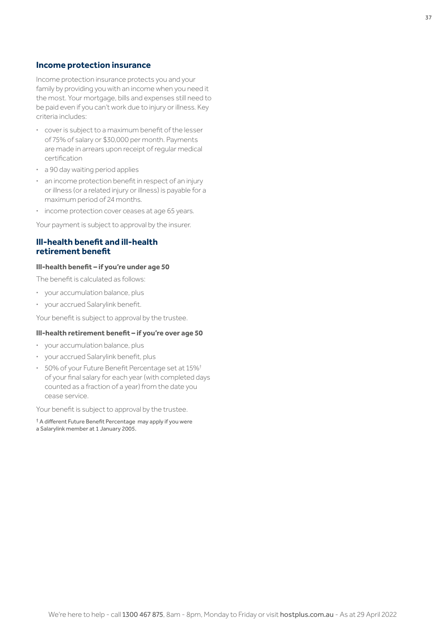#### **Income protection insurance**

Income protection insurance protects you and your family by providing you with an income when you need it the most. Your mortgage, bills and expenses still need to be paid even if you can't work due to injury or illness. Key criteria includes:

- **·** cover is subject to a maximum benefit of the lesser of 75% of salary or \$30,000 per month. Payments are made in arrears upon receipt of regular medical certification
- **·** a 90 day waiting period applies
- **·** an income protection benefit in respect of an injury or illness (or a related injury or illness) is payable for a maximum period of 24 months.
- **·** income protection cover ceases at age 65 years.

Your payment is subject to approval by the insurer.

### **Ill-health benefit and ill-health retirement benefit**

#### **Ill-health benefit – if you're under age 50**

The benefit is calculated as follows:

- **·** your accumulation balance, plus
- **·** your accrued Salarylink benefit.

Your benefit is subject to approval by the trustee.

#### **Ill-health retirement benefit – if you're over age 50**

- **·** your accumulation balance, plus
- **·** your accrued Salarylink benefit, plus
- **·** 50% of your Future Benefit Percentage set at 15%† of your final salary for each year (with completed days counted as a fraction of a year) from the date you cease service.

Your benefit is subject to approval by the trustee.

† A different Future Benefit Percentage may apply if you were a Salarylink member at 1 January 2005.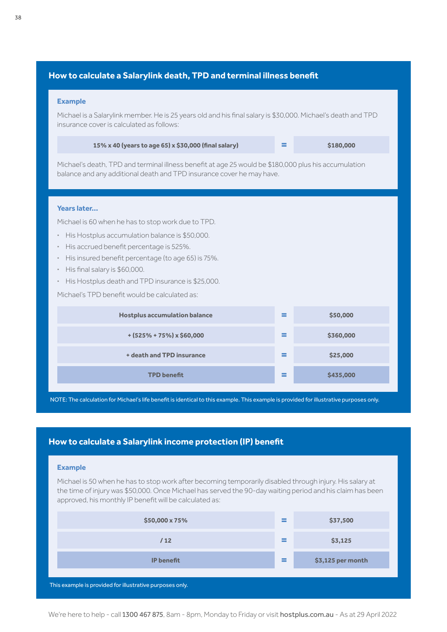## **How to calculate a Salarylink death, TPD and terminal illness benefit**

#### **Example**

Michael is a Salarylink member. He is 25 years old and his final salary is \$30,000. Michael's death and TPD insurance cover is calculated as follows:

| 15% x 40 (years to age 65) x \$30,000 (final salary) | \$180,000 |
|------------------------------------------------------|-----------|
|                                                      |           |

Michael's death, TPD and terminal illness benefit at age 25 would be \$180,000 plus his accumulation balance and any additional death and TPD insurance cover he may have.

#### **Years later…**

Michael is 60 when he has to stop work due to TPD.

- **·** His Hostplus accumulation balance is \$50,000.
- **·** His accrued benefit percentage is 525%.
- **·** His insured benefit percentage (to age 65) is 75%.
- **·** His final salary is \$60,000.
- **·** His Hostplus death and TPD insurance is \$25,000.

Michael's TPD benefit would be calculated as:

| <b>Hostplus accumulation balance</b> | $\sim$<br>-        | \$50,000  |
|--------------------------------------|--------------------|-----------|
| $+(525\% + 75\%) \times $60,000$     | -                  | \$360,000 |
| + death and TPD insurance            | $\equiv$<br>$\sim$ | \$25,000  |
| <b>TPD</b> benefit                   | ═<br>-             | \$435,000 |

NOTE: The calculation for Michael's life benefit is identical to this example. This example is provided for illustrative purposes only.

## **How to calculate a Salarylink income protection (IP) benefit**

#### **Example**

Michael is 50 when he has to stop work after becoming temporarily disabled through injury. His salary at the time of injury was \$50,000. Once Michael has served the 90-day waiting period and his claim has been approved, his monthly IP benefit will be calculated as:

| \$50,000 x 75%                                          | $=$      | \$37,500          |
|---------------------------------------------------------|----------|-------------------|
| /12                                                     | $\equiv$ | \$3,125           |
| <b>IP</b> benefit                                       | $=$      | \$3,125 per month |
| This axample is provided for illustrative purposes only |          |                   |

This example is provided for illustrative purposes only.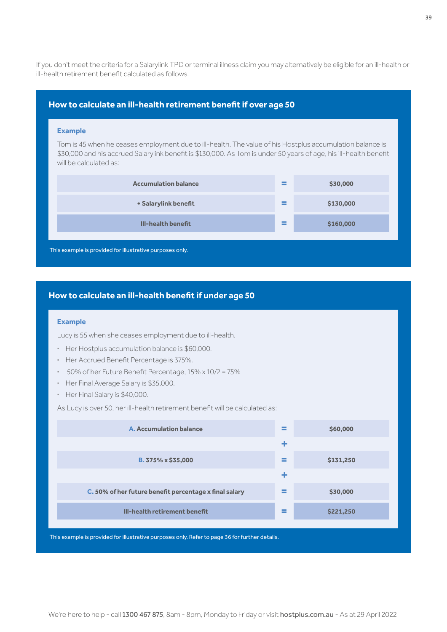If you don't meet the criteria for a Salarylink TPD or terminal illness claim you may alternatively be eligible for an ill-health or ill-health retirement benefit calculated as follows.

## **How to calculate an ill-health retirement benefit if over age 50**

#### **Example**

Tom is 45 when he ceases employment due to ill-health. The value of his Hostplus accumulation balance is \$30,000 and his accrued Salarylink benefit is \$130,000. As Tom is under 50 years of age, his ill-health benefit will be calculated as:

| <b>Accumulation balance</b>                              | $\sim$<br>$\sim$                   | \$30,000  |
|----------------------------------------------------------|------------------------------------|-----------|
| + Salarylink benefit                                     | $\sim$<br><b>Contract Contract</b> | \$130,000 |
| <b>III-health benefit</b>                                | =                                  | \$160,000 |
| This example is provided for illustrative purposes only. |                                    |           |

## **How to calculate an ill-health benefit if under age 50**

#### **Example**

Lucy is 55 when she ceases employment due to ill-health.

- **·** Her Hostplus accumulation balance is \$60,000.
- **·** Her Accrued Benefit Percentage is 375%.
- **·** 50% of her Future Benefit Percentage, 15% x 10/2 = 75%
- **·** Her Final Average Salary is \$35,000.
- **·** Her Final Salary is \$40,000.

As Lucy is over 50, her ill-health retirement benefit will be calculated as:

| A. Accumulation balance                                | = | \$60,000  |
|--------------------------------------------------------|---|-----------|
|                                                        | ÷ |           |
| B. 375% x \$35,000                                     | = | \$131,250 |
|                                                        | ÷ |           |
| C. 50% of her future benefit percentage x final salary | = | \$30,000  |
| III-health retirement benefit                          | ≡ | \$221,250 |

This example is provided for illustrative purposes only. Refer to [page 36](#page-35-0) for further details.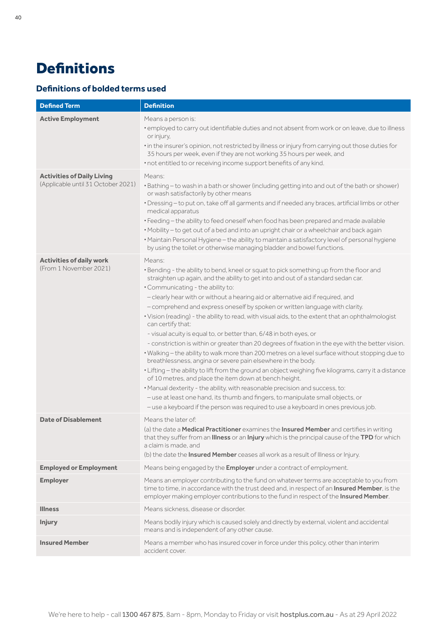## <span id="page-39-0"></span>**Definitions**

## **Definitions of bolded terms used**

| <b>Defined Term</b>                                                     | <b>Definition</b>                                                                                                                                                                                                                                                                                                                                                                                                                                                                                                                                                                                                                                                                                                                                                                                                                                                                                                                                                                                                                                                                                                                                                                                                                                                                                      |
|-------------------------------------------------------------------------|--------------------------------------------------------------------------------------------------------------------------------------------------------------------------------------------------------------------------------------------------------------------------------------------------------------------------------------------------------------------------------------------------------------------------------------------------------------------------------------------------------------------------------------------------------------------------------------------------------------------------------------------------------------------------------------------------------------------------------------------------------------------------------------------------------------------------------------------------------------------------------------------------------------------------------------------------------------------------------------------------------------------------------------------------------------------------------------------------------------------------------------------------------------------------------------------------------------------------------------------------------------------------------------------------------|
| <b>Active Employment</b>                                                | Means a person is:<br>. employed to carry out identifiable duties and not absent from work or on leave, due to illness<br>or injury,<br>. in the insurer's opinion, not restricted by illness or injury from carrying out those duties for<br>35 hours per week, even if they are not working 35 hours per week, and<br>. not entitled to or receiving income support benefits of any kind.                                                                                                                                                                                                                                                                                                                                                                                                                                                                                                                                                                                                                                                                                                                                                                                                                                                                                                            |
| <b>Activities of Daily Living</b><br>(Applicable until 31 October 2021) | Means:<br>· Bathing - to wash in a bath or shower (including getting into and out of the bath or shower)<br>or wash satisfactorily by other means<br>· Dressing - to put on, take off all garments and if needed any braces, artificial limbs or other<br>medical apparatus<br>• Feeding - the ability to feed oneself when food has been prepared and made available<br>• Mobility - to get out of a bed and into an upright chair or a wheelchair and back again<br>· Maintain Personal Hygiene - the ability to maintain a satisfactory level of personal hygiene<br>by using the toilet or otherwise managing bladder and bowel functions.                                                                                                                                                                                                                                                                                                                                                                                                                                                                                                                                                                                                                                                         |
| <b>Activities of daily work</b><br>(From 1 November 2021)               | Means:<br>. Bending - the ability to bend, kneel or squat to pick something up from the floor and<br>straighten up again, and the ability to get into and out of a standard sedan car.<br>. Communicating - the ability to:<br>- clearly hear with or without a hearing aid or alternative aid if required, and<br>- comprehend and express oneself by spoken or written language with clarity.<br>. Vision (reading) - the ability to read, with visual aids, to the extent that an ophthalmologist<br>can certify that:<br>- visual acuity is equal to, or better than, 6/48 in both eyes, or<br>- constriction is within or greater than 20 degrees of fixation in the eye with the better vision.<br>. Walking - the ability to walk more than 200 metres on a level surface without stopping due to<br>breathlessness, angina or severe pain elsewhere in the body.<br>· Lifting - the ability to lift from the ground an object weighing five kilograms, carry it a distance<br>of 10 metres, and place the item down at bench height.<br>. Manual dexterity - the ability, with reasonable precision and success, to:<br>- use at least one hand, its thumb and fingers, to manipulate small objects, or<br>- use a keyboard if the person was required to use a keyboard in ones previous job. |
| Date of Disablement                                                     | Means the later of:<br>(a) the date a Medical Practitioner examines the Insured Member and certifies in writing<br>that they suffer from an Illness or an Injury which is the principal cause of the TPD for which<br>a claim is made, and<br>(b) the date the Insured Member ceases all work as a result of Illness or Injury.                                                                                                                                                                                                                                                                                                                                                                                                                                                                                                                                                                                                                                                                                                                                                                                                                                                                                                                                                                        |
| <b>Employed or Employment</b>                                           | Means being engaged by the <b>Employer</b> under a contract of employment.                                                                                                                                                                                                                                                                                                                                                                                                                                                                                                                                                                                                                                                                                                                                                                                                                                                                                                                                                                                                                                                                                                                                                                                                                             |
| <b>Employer</b>                                                         | Means an employer contributing to the fund on whatever terms are acceptable to you from<br>time to time, in accordance with the trust deed and, in respect of an Insured Member, is the<br>employer making employer contributions to the fund in respect of the Insured Member.                                                                                                                                                                                                                                                                                                                                                                                                                                                                                                                                                                                                                                                                                                                                                                                                                                                                                                                                                                                                                        |
| <b>Illness</b>                                                          | Means sickness, disease or disorder.                                                                                                                                                                                                                                                                                                                                                                                                                                                                                                                                                                                                                                                                                                                                                                                                                                                                                                                                                                                                                                                                                                                                                                                                                                                                   |
| <b>Injury</b>                                                           | Means bodily injury which is caused solely and directly by external, violent and accidental<br>means and is independent of any other cause.                                                                                                                                                                                                                                                                                                                                                                                                                                                                                                                                                                                                                                                                                                                                                                                                                                                                                                                                                                                                                                                                                                                                                            |
| <b>Insured Member</b>                                                   | Means a member who has insured cover in force under this policy, other than interim<br>accident cover.                                                                                                                                                                                                                                                                                                                                                                                                                                                                                                                                                                                                                                                                                                                                                                                                                                                                                                                                                                                                                                                                                                                                                                                                 |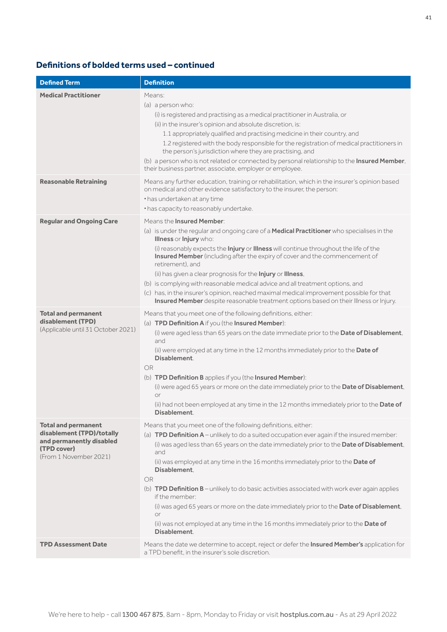## **Definitions of bolded terms used – continued**

| <b>Defined Term</b>                                                                                                          | <b>Definition</b>                                                                                                                                                                                                                                                                                                                                                                                                                                                                                                                                                                                                                                                                                                   |
|------------------------------------------------------------------------------------------------------------------------------|---------------------------------------------------------------------------------------------------------------------------------------------------------------------------------------------------------------------------------------------------------------------------------------------------------------------------------------------------------------------------------------------------------------------------------------------------------------------------------------------------------------------------------------------------------------------------------------------------------------------------------------------------------------------------------------------------------------------|
| <b>Medical Practitioner</b>                                                                                                  | Means:<br>(a) a person who:<br>(i) is registered and practising as a medical practitioner in Australia, or<br>(ii) in the insurer's opinion and absolute discretion, is:<br>1.1 appropriately qualified and practising medicine in their country, and<br>1.2 registered with the body responsible for the registration of medical practitioners in<br>the person's jurisdiction where they are practising, and<br>(b) a person who is not related or connected by personal relationship to the Insured Member.<br>their business partner, associate, employer or employee.                                                                                                                                          |
| <b>Reasonable Retraining</b>                                                                                                 | Means any further education, training or rehabilitation, which in the insurer's opinion based<br>on medical and other evidence satisfactory to the insurer, the person:<br>• has undertaken at any time<br>• has capacity to reasonably undertake.                                                                                                                                                                                                                                                                                                                                                                                                                                                                  |
| <b>Regular and Ongoing Care</b>                                                                                              | Means the <b>Insured Member:</b><br>(a) is under the regular and ongoing care of a Medical Practitioner who specialises in the<br>Illness or Injury who:<br>(i) reasonably expects the <b>Injury</b> or <b>Illness</b> will continue throughout the life of the<br>Insured Member (including after the expiry of cover and the commencement of<br>retirement), and<br>(ii) has given a clear prognosis for the Injury or Illness,<br>(b) is complying with reasonable medical advice and all treatment options, and<br>(c) has, in the insurer's opinion, reached maximal medical improvement possible for that<br>Insured Member despite reasonable treatment options based on their Illness or Injury.            |
| <b>Total and permanent</b><br>disablement (TPD)<br>(Applicable until 31 October 2021)                                        | Means that you meet one of the following definitions, either:<br>(a) TPD Definition A if you (the Insured Member):<br>(i) were aged less than 65 years on the date immediate prior to the Date of Disablement,<br>and<br>(ii) were employed at any time in the 12 months immediately prior to the Date of<br>Disablement.<br>OR<br>(b) TPD Definition B applies if you (the Insured Member):<br>(i) were aged 65 years or more on the date immediately prior to the Date of Disablement,<br>or<br>(ii) had not been employed at any time in the 12 months immediately prior to the Date of<br>Disablement.                                                                                                          |
| <b>Total and permanent</b><br>disablement (TPD)/totally<br>and permanently disabled<br>(TPD cover)<br>(From 1 November 2021) | Means that you meet one of the following definitions, either:<br>(a) TPD Definition A - unlikely to do a suited occupation ever again if the insured member:<br>(i) was aged less than 65 years on the date immediately prior to the Date of Disablement.<br>and<br>(ii) was employed at any time in the 16 months immediately prior to the Date of<br>Disablement.<br><b>OR</b><br>(b) <b>TPD Definition B</b> – unlikely to do basic activities associated with work ever again applies<br>if the member:<br>(i) was aged 65 years or more on the date immediately prior to the Date of Disablement,<br>or<br>(ii) was not employed at any time in the 16 months immediately prior to the Date of<br>Disablement. |
| <b>TPD Assessment Date</b>                                                                                                   | Means the date we determine to accept, reject or defer the Insured Member's application for<br>a TPD benefit, in the insurer's sole discretion.                                                                                                                                                                                                                                                                                                                                                                                                                                                                                                                                                                     |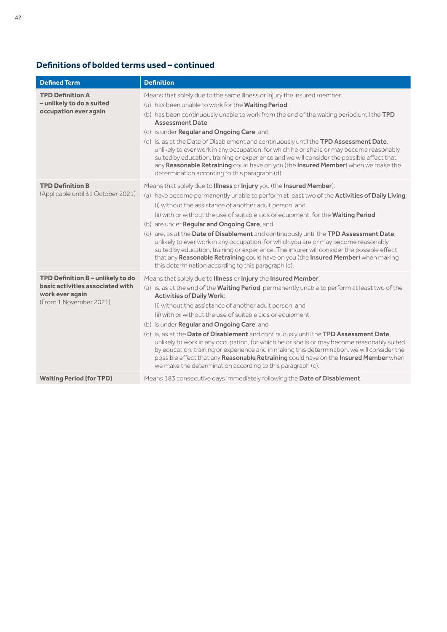## **Definitions of bolded terms used – continued**

| <b>Defined Term</b>                                                                                                | <b>Definition</b>                                                                                                                                                                                                                                                                                                                                                                                                                                                                                                                                                                                                                                                                                                                                                                                                                |
|--------------------------------------------------------------------------------------------------------------------|----------------------------------------------------------------------------------------------------------------------------------------------------------------------------------------------------------------------------------------------------------------------------------------------------------------------------------------------------------------------------------------------------------------------------------------------------------------------------------------------------------------------------------------------------------------------------------------------------------------------------------------------------------------------------------------------------------------------------------------------------------------------------------------------------------------------------------|
| <b>TPD Definition A</b><br>- unlikely to do a suited<br>occupation ever again                                      | Means that solely due to the same illness or injury the insured member:<br>(a) has been unable to work for the Waiting Period,<br>(b) has been continuously unable to work from the end of the waiting period until the TPD<br><b>Assessment Date</b><br>(c) is under <b>Regular and Ongoing Care</b> , and<br>(d) is, as at the Date of Disablement and continuously until the TPD Assessment Date,<br>unlikely to ever work in any occupation, for which he or she is or may become reasonably<br>suited by education, training or experience and we will consider the possible effect that<br>any Reasonable Retraining could have on you (the Insured Member) when we make the<br>determination according to this paragraph (d).                                                                                             |
| <b>TPD Definition B</b><br>(Applicable until 31 October 2021)                                                      | Means that solely due to Illness or Injury you (the Insured Member):<br>(a) have become permanently unable to perform at least two of the Activities of Daily Living:<br>(i) without the assistance of another adult person, and<br>(ii) with or without the use of suitable aids or equipment, for the <b>Waiting Period</b> ,<br>(b) are under <b>Regular and Ongoing Care</b> , and<br>(c) are, as at the Date of Disablement and continuously until the TPD Assessment Date,<br>unlikely to ever work in any occupation, for which you are or may become reasonably<br>suited by education, training or experience. The insurer will consider the possible effect<br>that any Reasonable Retraining could have on you (the Insured Member) when making<br>this determination according to this paragraph (c).                |
| TPD Definition B - unlikely to do<br>basic activities associated with<br>work ever again<br>(From 1 November 2021) | Means that solely due to Illness or Injury the Insured Member:<br>(a) is, as at the end of the <b>Waiting Period</b> , permanently unable to perform at least two of the<br><b>Activities of Daily Work:</b><br>(i) without the assistance of another adult person, and<br>(ii) with or without the use of suitable aids or equipment,<br>(b) is under Regular and Ongoing Care, and<br>(c) is, as at the Date of Disablement and continuously until the TPD Assessment Date,<br>unlikely to work in any occupation, for which he or she is or may become reasonably suited<br>by education, training or experience and in making this determination, we will consider the<br>possible effect that any Reasonable Retraining could have on the Insured Member when<br>we make the determination according to this paragraph (c). |
| <b>Waiting Period (for TPD)</b>                                                                                    | Means 183 consecutive days immediately following the Date of Disablement.                                                                                                                                                                                                                                                                                                                                                                                                                                                                                                                                                                                                                                                                                                                                                        |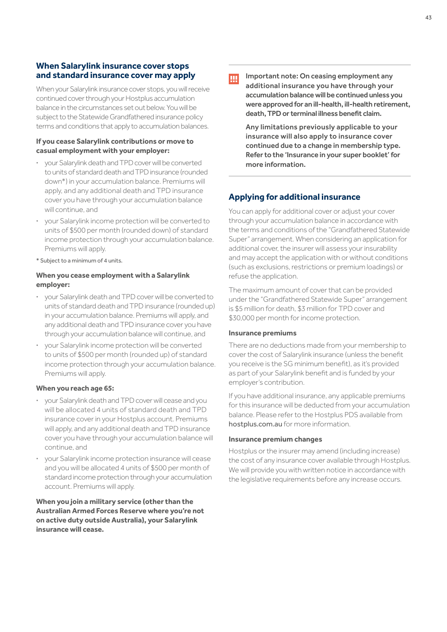## **When Salarylink insurance cover stops and standard insurance cover may apply**

When your Salarylink insurance cover stops, you will receive continued cover through your Hostplus accumulation balance in the circumstances set out below. You will be subject to the Statewide Grandfathered insurance policy terms and conditions that apply to accumulation balances.

#### **If you cease Salarylink contributions or move to casual employment with your employer:**

- **·** your Salarylink death and TPD cover will be converted to units of standard death and TPD insurance (rounded down\*) in your accumulation balance. Premiums will apply, and any additional death and TPD insurance cover you have through your accumulation balance will continue, and
- **·** your Salarylink income protection will be converted to units of \$500 per month (rounded down) of standard income protection through your accumulation balance. Premiums will apply.
- \* Subject to a minimum of 4 units.

#### **When you cease employment with a Salarylink employer:**

- **·** your Salarylink death and TPD cover will be converted to units of standard death and TPD insurance (rounded up) in your accumulation balance. Premiums will apply, and any additional death and TPD insurance cover you have through your accumulation balance will continue, and
- **·** your Salarylink income protection will be converted to units of \$500 per month (rounded up) of standard income protection through your accumulation balance. Premiums will apply.

#### **When you reach age 65:**

- **·** your Salarylink death and TPD cover will cease and you will be allocated 4 units of standard death and TPD insurance cover in your Hostplus account. Premiums will apply, and any additional death and TPD insurance cover you have through your accumulation balance will continue, and
- **·** your Salarylink income protection insurance will cease and you will be allocated 4 units of \$500 per month of standard income protection through your accumulation account. Premiums will apply.

**When you join a military service (other than the Australian Armed Forces Reserve where you're not on active duty outside Australia), your Salarylink insurance will cease.**

## Ш

Important note: On ceasing employment any additional insurance you have through your accumulation balance will be continued unless you were approved for an ill-health, ill-health retirement, death, TPD or terminal illness benefit claim.

 Any limitations previously applicable to your insurance will also apply to insurance cover continued due to a change in membership type. Refer to the 'Insurance in your super booklet' for more information.

## **Applying for additional insurance**

You can apply for additional cover or adjust your cover through your accumulation balance in accordance with the terms and conditions of the "Grandfathered Statewide Super" arrangement. When considering an application for additional cover, the insurer will assess your insurability and may accept the application with or without conditions (such as exclusions, restrictions or premium loadings) or refuse the application.

The maximum amount of cover that can be provided under the "Grandfathered Statewide Super" arrangement is \$5 million for death, \$3 million for TPD cover and \$30,000 per month for income protection.

#### **Insurance premiums**

There are no deductions made from your membership to cover the cost of Salarylink insurance (unless the benefit you receive is the SG minimum benefit), as it's provided as part of your Salarylink benefit and is funded by your employer's contribution.

If you have additional insurance, any applicable premiums for this insurance will be deducted from your accumulation balance. Please refer to the Hostplus PDS available from [hostplus.com.au](https://hostplus.com.au) for more information.

#### **Insurance premium changes**

Hostplus or the insurer may amend (including increase) the cost of any insurance cover available through Hostplus. We will provide you with written notice in accordance with the legislative requirements before any increase occurs.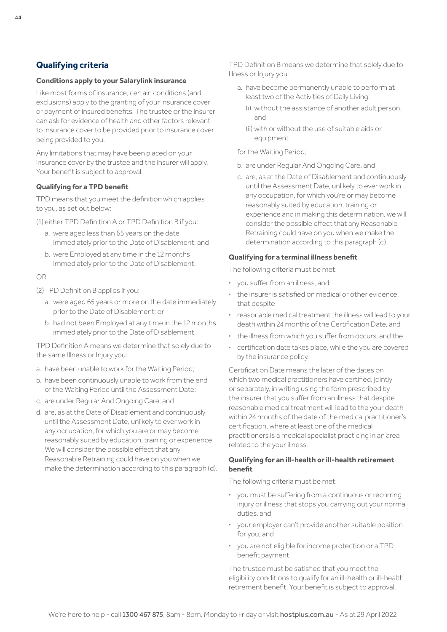## <span id="page-43-0"></span>**Qualifying criteria**

#### **Conditions apply to your Salarylink insurance**

Like most forms of insurance, certain conditions (and exclusions) apply to the granting of your insurance cover or payment of insured benefits. The trustee or the insurer can ask for evidence of health and other factors relevant to insurance cover to be provided prior to insurance cover being provided to you.

Any limitations that may have been placed on your insurance cover by the trustee and the insurer will apply. Your benefit is subject to approval.

#### **Qualifying for a TPD benefit**

TPD means that you meet the definition which applies to you, as set out below:

(1) either TPD Definition A or TPD Definition B if you:

- a. were aged less than 65 years on the date immediately prior to the Date of Disablement; and
- b. were Employed at any time in the 12 months immediately prior to the Date of Disablement.

#### OR

(2)TPD Definition B applies if you:

- a. were aged 65 years or more on the date immediately prior to the Date of Disablement; or
- b. had not been Employed at any time in the 12 months immediately prior to the Date of Disablement.

TPD Definition A means we determine that solely due to the same Illness or Injury you:

- a. have been unable to work for the Waiting Period;
- b. have been continuously unable to work from the end of the Waiting Period until the Assessment Date;
- c. are under Regular And Ongoing Care; and
- d. are, as at the Date of Disablement and continuously until the Assessment Date, unlikely to ever work in any occupation, for which you are or may become reasonably suited by education, training or experience. We will consider the possible effect that any Reasonable Retraining could have on you when we make the determination according to this paragraph (d).

TPD Definition B means we determine that solely due to Illness or Injury you:

- a. have become permanently unable to perform at least two of the Activities of Daily Living:
	- (i) without the assistance of another adult person, and
	- (ii) with or without the use of suitable aids or equipment.

for the Waiting Period;

- b. are under Regular And Ongoing Care, and
- c. are, as at the Date of Disablement and continuously until the Assessment Date, unlikely to ever work in any occupation, for which you're or may become reasonably suited by education, training or experience and in making this determination, we will consider the possible effect that any Reasonable Retraining could have on you when we make the determination according to this paragraph (c).

#### **Qualifying for a terminal illness benefit**

The following criteria must be met:

- **·** you suffer from an illness, and
- **·** the insurer is satisfied on medical or other evidence, that despite
- **·** reasonable medical treatment the illness will lead to your death within 24 months of the Certification Date, and
- **·** the illness from which you suffer from occurs, and the
- **·** certification date takes place, while the you are covered by the insurance policy.

Certification Date means the later of the dates on which two medical practitioners have certified, jointly or separately, in writing using the form prescribed by the insurer that you suffer from an illness that despite reasonable medical treatment will lead to the your death within 24 months of the date of the medical practitioner's certification, where at least one of the medical practitioners is a medical specialist practicing in an area related to the your illness.

#### **Qualifying for an ill-health or ill-health retirement benefit**

The following criteria must be met:

- **·** you must be suffering from a continuous or recurring injury or illness that stops you carrying out your normal duties, and
- **·** your employer can't provide another suitable position for you, and
- **·** you are not eligible for income protection or a TPD benefit payment.

The trustee must be satisfied that you meet the eligibility conditions to qualify for an ill-health or ill-health retirement benefit. Your benefit is subject to approval.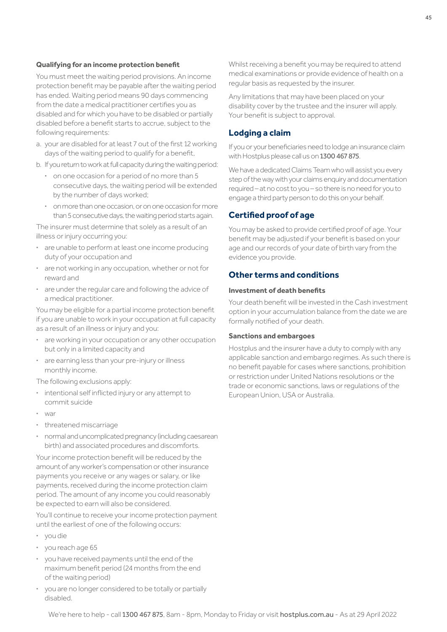#### **Qualifying for an income protection benefit**

You must meet the waiting period provisions. An income protection benefit may be payable after the waiting period has ended. Waiting period means 90 days commencing from the date a medical practitioner certifies you as disabled and for which you have to be disabled or partially disabled before a benefit starts to accrue, subject to the following requirements:

- a. your are disabled for at least 7 out of the first 12 working days of the waiting period to qualify for a benefit,
- b. If you return to work at full capacity during the waiting period:
	- **·** on one occasion for a period of no more than 5 consecutive days, the waiting period will be extended by the number of days worked;
	- **·** on more than one occasion, or on one occasion for more than 5 consecutive days, the waiting period starts again.

The insurer must determine that solely as a result of an illness or injury occurring you:

- **·** are unable to perform at least one income producing duty of your occupation and
- **·** are not working in any occupation, whether or not for reward and
- **·** are under the regular care and following the advice of a medical practitioner.

You may be eligible for a partial income protection benefit if you are unable to work in your occupation at full capacity as a result of an illness or injury and you:

- **·** are working in your occupation or any other occupation but only in a limited capacity and
- **·** are earning less than your pre-injury or illness monthly income.

The following exclusions apply:

- **·** intentional self inflicted injury or any attempt to commit suicide
- **·** war
- **·** threatened miscarriage
- **·** normal and uncomplicated pregnancy (including caesarean birth) and associated procedures and discomforts.

Your income protection benefit will be reduced by the amount of any worker's compensation or other insurance payments you receive or any wages or salary, or like payments, received during the income protection claim period. The amount of any income you could reasonably be expected to earn will also be considered.

You'll continue to receive your income protection payment until the earliest of one of the following occurs:

- **·** you die
- **·** you reach age 65
- **·** you have received payments until the end of the maximum benefit period (24 months from the end of the waiting period)
- **·** you are no longer considered to be totally or partially disabled.

Whilst receiving a benefit you may be required to attend medical examinations or provide evidence of health on a regular basis as requested by the insurer.

Any limitations that may have been placed on your disability cover by the trustee and the insurer will apply. Your benefit is subject to approval.

#### **Lodging a claim**

If you or your beneficiaries need to lodge an insurance claim with Hostplus please call us on 1300 467 875

We have a dedicated Claims Team who will assist you every step of the way with your claims enquiry and documentation required – at no cost to you – so there is no need for you to engage a third party person to do this on your behalf.

## **Certified proof of age**

You may be asked to provide certified proof of age. Your benefit may be adjusted if your benefit is based on your age and our records of your date of birth vary from the evidence you provide.

## **Other terms and conditions**

#### **Investment of death benefits**

Your death benefit will be invested in the Cash investment option in your accumulation balance from the date we are formally notified of your death.

#### **Sanctions and embargoes**

Hostplus and the insurer have a duty to comply with any applicable sanction and embargo regimes. As such there is no benefit payable for cases where sanctions, prohibition or restriction under United Nations resolutions or the trade or economic sanctions, laws or regulations of the European Union, USA or Australia.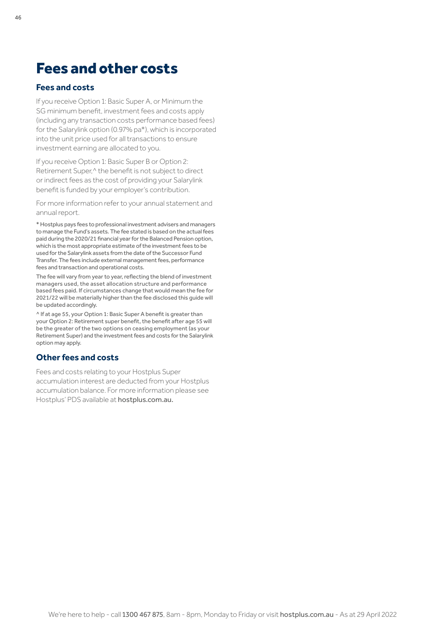## <span id="page-45-0"></span>Fees and other costs

## **Fees and costs**

If you receive Option 1: Basic Super A, or Minimum the SG minimum benefit, investment fees and costs apply (including any transaction costs performance based fees) for the Salarylink option (0.97% pa\*), which is incorporated into the unit price used for all transactions to ensure investment earning are allocated to you.

If you receive Option 1: Basic Super B or Option 2: Retirement Super,<sup>^</sup> the benefit is not subject to direct or indirect fees as the cost of providing your Salarylink benefit is funded by your employer's contribution.

For more information refer to your annual statement and annual report.

\* Hostplus pays fees to professional investment advisers and managers to manage the Fund's assets. The fee stated is based on the actual fees paid during the 2020/21 financial year for the Balanced Pension option, which is the most appropriate estimate of the investment fees to be used for the Salarylink assets from the date of the Successor Fund Transfer. The fees include external management fees, performance fees and transaction and operational costs.

The fee will vary from year to year, reflecting the blend of investment managers used, the asset allocation structure and performance based fees paid. If circumstances change that would mean the fee for 2021/22 will be materially higher than the fee disclosed this guide will be updated accordingly.

^ If at age 55, your Option 1: Basic Super A benefit is greater than your Option 2: Retirement super benefit, the benefit after age 55 will be the greater of the two options on ceasing employment (as your Retirement Super) and the investment fees and costs for the Salarylink option may apply.

## **Other fees and costs**

Fees and costs relating to your Hostplus Super accumulation interest are deducted from your Hostplus accumulation balance. For more information please see Hostplus' PDS available at [hostplus.com.au](https://hostplus.com.au/pds).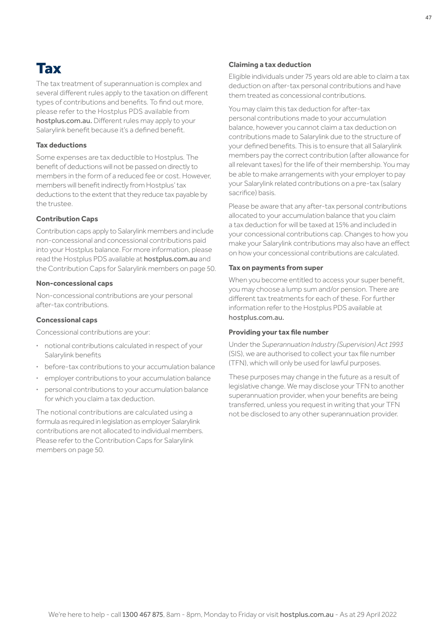## <span id="page-46-0"></span>Tax

The tax treatment of superannuation is complex and several different rules apply to the taxation on different types of contributions and benefits. To find out more, please refer to the Hostplus PDS available from [hostplus.com.au](https://hostplus.com.au). Different rules may apply to your Salarylink benefit because it's a defined benefit.

#### **Tax deductions**

Some expenses are tax deductible to Hostplus. The benefit of deductions will not be passed on directly to members in the form of a reduced fee or cost. However, members will benefit indirectly from Hostplus' tax deductions to the extent that they reduce tax payable by the trustee.

#### **Contribution Caps**

Contribution caps apply to Salarylink members and include non-concessional and concessional contributions paid into your Hostplus balance. For more information, please read the Hostplus PDS available at [hostplus.com.au](https://hostplus.com.au) and the Contribution Caps for Salarylink members on [page 50.](#page-49-0)

#### **Non-concessional caps**

Non-concessional contributions are your personal after-tax contributions.

#### **Concessional caps**

Concessional contributions are your:

- **·** notional contributions calculated in respect of your Salarylink benefits
- **·** before-tax contributions to your accumulation balance
- **·** employer contributions to your accumulation balance
- **·** personal contributions to your accumulation balance for which you claim a tax deduction.

The notional contributions are calculated using a formula as required in legislation as employer Salarylink contributions are not allocated to individual members. Please refer to the Contribution Caps for Salarylink members on [page 50.](#page-49-0)

#### **Claiming a tax deduction**

Eligible individuals under 75 years old are able to claim a tax deduction on after-tax personal contributions and have them treated as concessional contributions.

You may claim this tax deduction for after-tax personal contributions made to your accumulation balance, however you cannot claim a tax deduction on contributions made to Salarylink due to the structure of your defined benefits. This is to ensure that all Salarylink members pay the correct contribution (after allowance for all relevant taxes) for the life of their membership. You may be able to make arrangements with your employer to pay your Salarylink related contributions on a pre-tax (salary sacrifice) basis.

Please be aware that any after-tax personal contributions allocated to your accumulation balance that you claim a tax deduction for will be taxed at 15% and included in your concessional contributions cap. Changes to how you make your Salarylink contributions may also have an effect on how your concessional contributions are calculated.

#### **Tax on payments from super**

When you become entitled to access your super benefit, you may choose a lump sum and/or pension. There are different tax treatments for each of these. For further information refer to the Hostplus PDS available at [hostplus.com.au](https://hostplus.com.au).

#### **Providing your tax file number**

Under the *Superannuation Industry (Supervision) Act 1993*  (SIS), we are authorised to collect your tax file number (TFN), which will only be used for lawful purposes.

These purposes may change in the future as a result of legislative change. We may disclose your TFN to another superannuation provider, when your benefits are being transferred, unless you request in writing that your TFN not be disclosed to any other superannuation provider.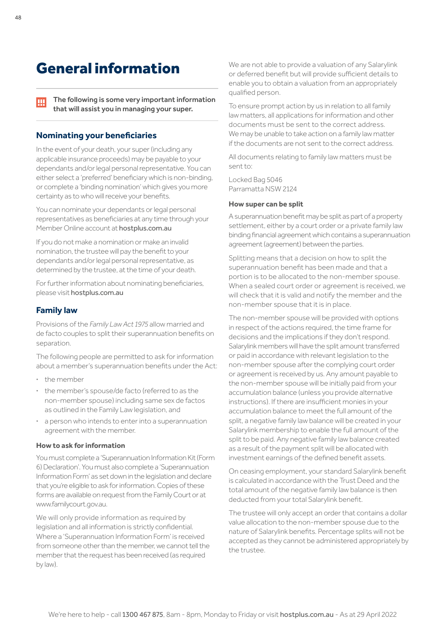## <span id="page-47-0"></span>General information

The following is some very important information IЩ that will assist you in managing your super.

## **Nominating your beneficiaries**

In the event of your death, your super (including any applicable insurance proceeds) may be payable to your dependants and/or legal personal representative. You can either select a 'preferred' beneficiary which is non-binding, or complete a 'binding nomination' which gives you more certainty as to who will receive your benefits.

You can nominate your dependants or legal personal representatives as beneficiaries at any time through your Member Online account at [hostplus.com.au](https://hostplus.com.au)

If you do not make a nomination or make an invalid nomination, the trustee will pay the benefit to your dependants and/or legal personal representative, as determined by the trustee, at the time of your death.

For further information about nominating beneficiaries, please visit [hostplus.com.au](https://hostplus.com.au)

## **Family law**

Provisions of the *Family Law Act 1975* allow married and de facto couples to split their superannuation benefits on separation.

The following people are permitted to ask for information about a member's superannuation benefits under the Act:

- **·** the member
- **·** the member's spouse/de facto (referred to as the non-member spouse) including same sex de factos as outlined in the Family Law legislation, and
- **·** a person who intends to enter into a superannuation agreement with the member.

#### **How to ask for information**

You must complete a 'Superannuation Information Kit (Form 6) Declaration'. You must also complete a 'Superannuation Information Form' as set down in the legislation and declare that you're eligible to ask for information. Copies of these forms are available on request from the Family Court or at www.familycourt.gov.au.

We will only provide information as required by legislation and all information is strictly confidential. Where a 'Superannuation Information Form' is received from someone other than the member, we cannot tell the member that the request has been received (as required by law).

We are not able to provide a valuation of any Salarylink or deferred benefit but will provide sufficient details to enable you to obtain a valuation from an appropriately qualified person.

To ensure prompt action by us in relation to all family law matters, all applications for information and other documents must be sent to the correct address. We may be unable to take action on a family law matter if the documents are not sent to the correct address.

All documents relating to family law matters must be sent to:

Locked Bag 5046 Parramatta NSW 2124

#### **How super can be split**

A superannuation benefit may be split as part of a property settlement, either by a court order or a private family law binding financial agreement which contains a superannuation agreement (agreement) between the parties.

Splitting means that a decision on how to split the superannuation benefit has been made and that a portion is to be allocated to the non-member spouse. When a sealed court order or agreement is received, we will check that it is valid and notify the member and the non-member spouse that it is in place.

The non-member spouse will be provided with options in respect of the actions required, the time frame for decisions and the implications if they don't respond. Salarylink members will have the split amount transferred or paid in accordance with relevant legislation to the non-member spouse after the complying court order or agreement is received by us. Any amount payable to the non-member spouse will be initially paid from your accumulation balance (unless you provide alternative instructions). If there are insufficient monies in your accumulation balance to meet the full amount of the split, a negative family law balance will be created in your Salarylink membership to enable the full amount of the split to be paid. Any negative family law balance created as a result of the payment split will be allocated with investment earnings of the defined benefit assets.

On ceasing employment, your standard Salarylink benefit is calculated in accordance with the Trust Deed and the total amount of the negative family law balance is then deducted from your total Salarylink benefit.

The trustee will only accept an order that contains a dollar value allocation to the non-member spouse due to the nature of Salarylink benefits. Percentage splits will not be accepted as they cannot be administered appropriately by the trustee.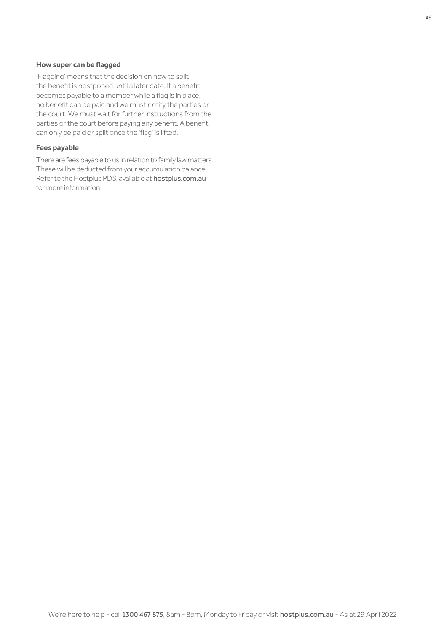#### **How super can be flagged**

'Flagging' means that the decision on how to split the benefit is postponed until a later date. If a benefit becomes payable to a member while a flag is in place, no benefit can be paid and we must notify the parties or the court. We must wait for further instructions from the parties or the court before paying any benefit. A benefit can only be paid or split once the 'flag' is lifted.

#### **Fees payable**

There are fees payable to us in relation to family law matters. These will be deducted from your accumulation balance. Refer to the Hostplus PDS, available at [hostplus.com.au](https://hostplus.com.au) for more information.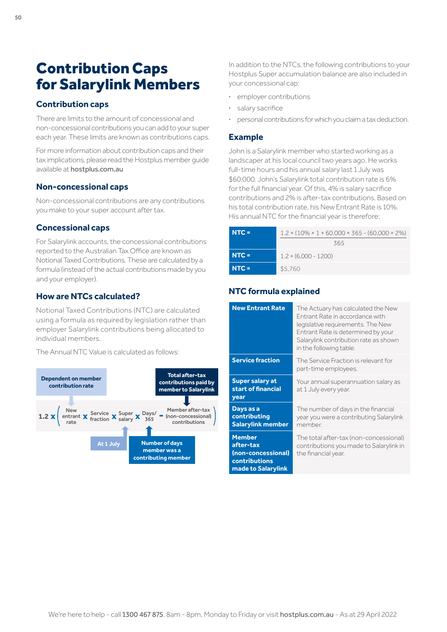## <span id="page-49-0"></span>Contribution Caps for Salarylink Members

## **Contribution caps**

There are limits to the amount of concessional and non-concessional contributions you can add to your super each year. These limits are known as contributions caps.

For more information about contribution caps and their tax implications, please read the Hostplus member guide available at [hostplus.com.au](https://hostplus.com.au)

## **Non-concessional caps**

Non-concessional contributions are any contributions you make to your super account after tax.

## **Concessional caps**

For Salarylink accounts, the concessional contributions reported to the Australian Tax Office are known as Notional Taxed Contributions. These are calculated by a formula (instead of the actual contributions made by you and your employer).

## **How are NTCs calculated?**

Notional Taxed Contributions (NTC) are calculated using a formula as required by legislation rather than employer Salarylink contributions being allocated to individual members.

The Annual NTC Value is calculated as follows:



In addition to the NTCs, the following contributions to your Hostplus Super accumulation balance are also included in your concessional cap:

- **·** employer contributions
- **·** salary sacrifice
- **·** personal contributions for which you claim a tax deduction.

## **Example**

John is a Salarylink member who started working as a landscaper at his local council two years ago. He works full-time hours and his annual salary last 1 July was \$60,000. John's Salarylink total contribution rate is 6% for the full financial year. Of this, 4% is salary sacrifice contributions and 2% is after-tax contributions. Based on his total contribution rate, his New Entrant Rate is 10%. His annual NTC for the financial year is therefore:

| $NTC =$ | $1.2 \times (10\% \times 1 \times 60,000 \times 365 - (60,000 \times 2\%)$<br>365 |
|---------|-----------------------------------------------------------------------------------|
| $NTC =$ | $1.2 \times (6.000 - 1200)$                                                       |
| $NTC =$ | \$5,760                                                                           |

## **NTC formula explained**

| <b>New Entrant Rate</b>                                                                 | The Actuary has calculated the New<br>Entrant Rate in accordance with<br>legislative requirements. The New<br>Entrant Rate is determined by your<br>Salarylink contribution rate as shown<br>in the following table. |
|-----------------------------------------------------------------------------------------|----------------------------------------------------------------------------------------------------------------------------------------------------------------------------------------------------------------------|
| <b>Service fraction</b>                                                                 | The Service Fraction is relevant for<br>part-time employees.                                                                                                                                                         |
| <b>Super salary at</b><br>start of financial<br>year                                    | Your annual superannuation salary as<br>at 1 July every year.                                                                                                                                                        |
| Days as a<br>contributing<br><b>Salarylink member</b>                                   | The number of days in the financial<br>year you were a contributing Salarylink<br>member.                                                                                                                            |
| <b>Member</b><br>after-tax<br>(non-concessional)<br>contributions<br>made to Salarylink | The total after-tax (non-concessional)<br>contributions you made to Salarylink in<br>the financial year.                                                                                                             |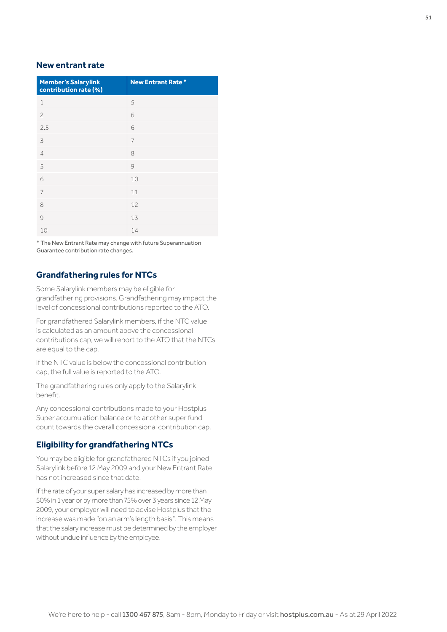## **New entrant rate**

| <b>Member's Salarylink</b><br>contribution rate (%) | <b>New Entrant Rate*</b> |
|-----------------------------------------------------|--------------------------|
| 1                                                   | 5                        |
| $\overline{c}$                                      | 6                        |
| 2.5                                                 | 6                        |
| 3                                                   | 7                        |
| $\overline{4}$                                      | 8                        |
| 5                                                   | 9                        |
| 6                                                   | 10                       |
| $\overline{7}$                                      | 11                       |
| 8                                                   | 12                       |
| 9                                                   | 13                       |
| 10                                                  | 14                       |

\* The New Entrant Rate may change with future Superannuation Guarantee contribution rate changes.

## **Grandfathering rules for NTCs**

Some Salarylink members may be eligible for grandfathering provisions. Grandfathering may impact the level of concessional contributions reported to the ATO.

For grandfathered Salarylink members, if the NTC value is calculated as an amount above the concessional contributions cap, we will report to the ATO that the NTCs are equal to the cap.

If the NTC value is below the concessional contribution cap, the full value is reported to the ATO.

The grandfathering rules only apply to the Salarylink benefit.

Any concessional contributions made to your Hostplus Super accumulation balance or to another super fund count towards the overall concessional contribution cap.

## **Eligibility for grandfathering NTCs**

You may be eligible for grandfathered NTCs if you joined Salarylink before 12 May 2009 and your New Entrant Rate has not increased since that date.

If the rate of your super salary has increased by more than 50% in 1 year or by more than 75% over 3 years since 12 May 2009, your employer will need to advise Hostplus that the increase was made "on an arm's length basis". This means that the salary increase must be determined by the employer without undue influence by the employee.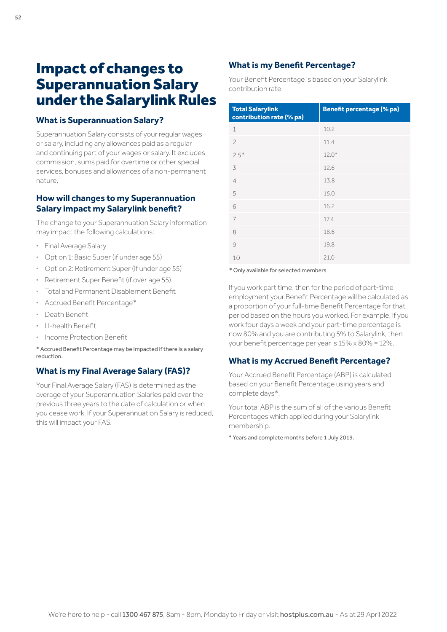## <span id="page-51-0"></span>Impact of changes to Superannuation Salary under the Salarylink Rules

#### **What is Superannuation Salary?**

Superannuation Salary consists of your regular wages or salary, including any allowances paid as a regular and continuing part of your wages or salary. It excludes commission, sums paid for overtime or other special services, bonuses and allowances of a non-permanent nature,

## **How will changes to my Superannuation Salary impact my Salarylink benefit?**

The change to your Superannuation Salary information may impact the following calculations:

- **·** Final Average Salary
- **·** Option 1: Basic Super (if under age 55)
- **·** Option 2: Retirement Super (if under age 55)
- **·** Retirement Super Benefit (if over age 55)
- **·** Total and Permanent Disablement Benefit
- **·** Accrued Benefit Percentage\*
- **·** Death Benefit
- **·** Ill-health Benefit
- **·** Income Protection Benefit

\* Accrued Benefit Percentage may be impacted if there is a salary reduction.

## **What is my Final Average Salary (FAS)?**

Your Final Average Salary (FAS) is determined as the average of your Superannuation Salaries paid over the previous three years to the date of calculation or when you cease work. If your Superannuation Salary is reduced, this will impact your FAS.

## **What is my Benefit Percentage?**

Your Benefit Percentage is based on your Salarylink contribution rate.

| <b>Total Salarylink</b><br>contribution rate (% pa) | <b>Benefit percentage (% pa)</b> |
|-----------------------------------------------------|----------------------------------|
| 1                                                   | 10.2                             |
| $\overline{c}$                                      | 11.4                             |
| $2.5*$                                              | $12.0*$                          |
| 3                                                   | 12.6                             |
| $\overline{4}$                                      | 13.8                             |
| 5                                                   | 15.0                             |
| 6                                                   | 16.2                             |
| 7                                                   | 17.4                             |
| 8                                                   | 18.6                             |
| 9                                                   | 19.8                             |
| 10                                                  | 21.0                             |

\* Only available for selected members

If you work part time, then for the period of part-time employment your Benefit Percentage will be calculated as a proportion of your full-time Benefit Percentage for that period based on the hours you worked. For example, if you work four days a week and your part-time percentage is now 80% and you are contributing 5% to Salarylink, then your benefit percentage per year is 15% x 80% = 12%.

## **What is my Accrued Benefit Percentage?**

Your Accrued Benefit Percentage (ABP) is calculated based on your Benefit Percentage using years and complete days\*.

Your total ABP is the sum of all of the various Benefit Percentages which applied during your Salarylink membership.

\* Years and complete months before 1 July 2019.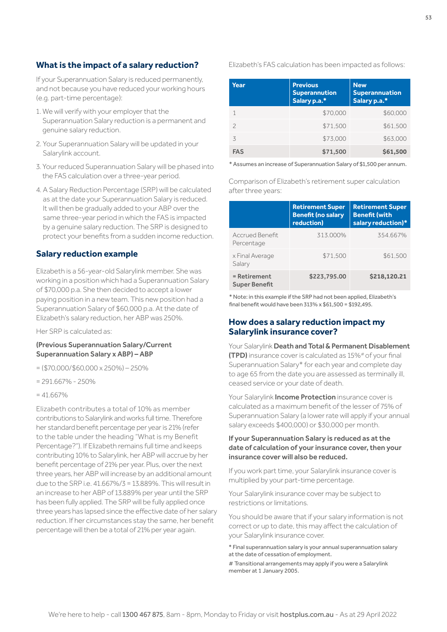## **What is the impact of a salary reduction?**

If your Superannuation Salary is reduced permanently, and not because you have reduced your working hours (e.g. part-time percentage):

- 1. We will verify with your employer that the Superannuation Salary reduction is a permanent and genuine salary reduction.
- 2. Your Superannuation Salary will be updated in your Salarylink account.
- 3. Your reduced Superannuation Salary will be phased into the FAS calculation over a three-year period.
- 4. A Salary Reduction Percentage (SRP) will be calculated as at the date your Superannuation Salary is reduced. It will then be gradually added to your ABP over the same three-year period in which the FAS is impacted by a genuine salary reduction. The SRP is designed to protect your benefits from a sudden income reduction.

## **Salary reduction example**

Elizabeth is a 56-year-old Salarylink member. She was working in a position which had a Superannuation Salary of \$70,000 p.a. She then decided to accept a lower paying position in a new team. This new position had a Superannuation Salary of \$60,000 p.a. At the date of Elizabeth's salary reduction, her ABP was 250%.

Her SRP is calculated as:

#### (Previous Superannuation Salary/Current Superannuation Salary x ABP) – ABP

- $=($70.000}{$60.000 \times 250\%]-250\%$
- $= 291.667\% 250\%$
- $= 41.667\%$

Elizabeth contributes a total of 10% as member contributions to Salarylink and works full time. Therefore her standard benefit percentage per year is 21% (refer to the table under the heading "What is my Benefit Percentage?"). If Elizabeth remains full time and keeps contributing 10% to Salarylink, her ABP will accrue by her benefit percentage of 21% per year. Plus, over the next three years, her ABP will increase by an additional amount due to the SRP i.e. 41.667%/3 = 13.889%. This will result in an increase to her ABP of 13.889% per year until the SRP has been fully applied. The SRP will be fully applied once three years has lapsed since the effective date of her salary reduction. If her circumstances stay the same, her benefit percentage will then be a total of 21% per year again.

Elizabeth's FAS calculation has been impacted as follows:

| Year          | <b>Previous</b><br><b>Superannution</b><br>Salary p.a.* | <b>New</b><br><b>Superannuation</b><br>Salary p.a.* |
|---------------|---------------------------------------------------------|-----------------------------------------------------|
| 1             | \$70,000                                                | \$60,000                                            |
| $\mathcal{P}$ | \$71,500                                                | \$61,500                                            |
| ζ             | \$73,000                                                | \$63,000                                            |
| <b>FAS</b>    | \$71,500                                                | \$61,500                                            |

\* Assumes an increase of Superannuation Salary of \$1,500 per annum.

Comparison of Elizabeth's retirement super calculation after three years:

|                                      | <b>Retirement Super</b><br><b>Benefit (no salary</b><br>reduction) | <b>Retirement Super</b><br><b>Benefit (with</b><br>salary reduction)* |
|--------------------------------------|--------------------------------------------------------------------|-----------------------------------------------------------------------|
| Accrued Benefit<br>Percentage        | 313.000%                                                           | 354.667%                                                              |
| x Final Average<br>Salary            | \$71,500                                                           | \$61.500                                                              |
| = Retirement<br><b>Super Benefit</b> | \$223,795.00                                                       | \$218,120.21                                                          |

\* Note: in this example if the SRP had not been applied, Elizabeth's final benefit would have been 313% x \$61,500 = \$192,495.

## **How does a salary reduction impact my Salarylink insurance cover?**

Your Salarylink Death and Total & Permanent Disablement (TPD) insurance cover is calculated as 15%# of your final Superannuation Salary\* for each year and complete day to age 65 from the date you are assessed as terminally ill, ceased service or your date of death.

Your Salarylink **Income Protection** insurance cover is calculated as a maximum benefit of the lesser of 75% of Superannuation Salary (a lower rate will apply if your annual salary exceeds \$400,000) or \$30,000 per month.

#### If your Superannuation Salary is reduced as at the date of calculation of your insurance cover, then your insurance cover will also be reduced.

If you work part time, your Salarylink insurance cover is multiplied by your part-time percentage.

Your Salarylink insurance cover may be subject to restrictions or limitations.

You should be aware that if your salary information is not correct or up to date, this may affect the calculation of your Salarylink insurance cover.

\* Final superannuation salary is your annual superannuation salary at the date of cessation of employment.

# Transitional arrangements may apply if you were a Salarylink member at 1 January 2005.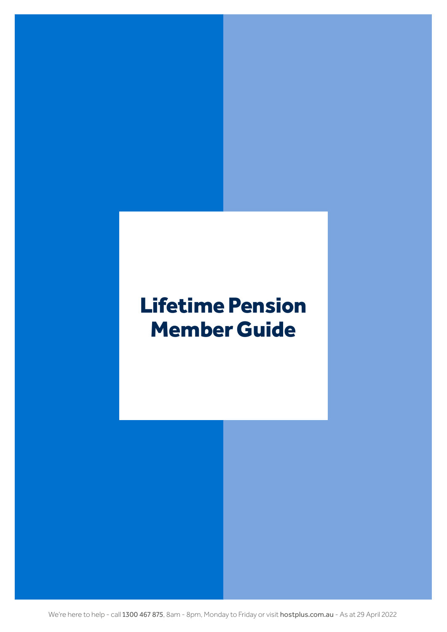# <span id="page-53-0"></span>Lifetime Pension Member Guide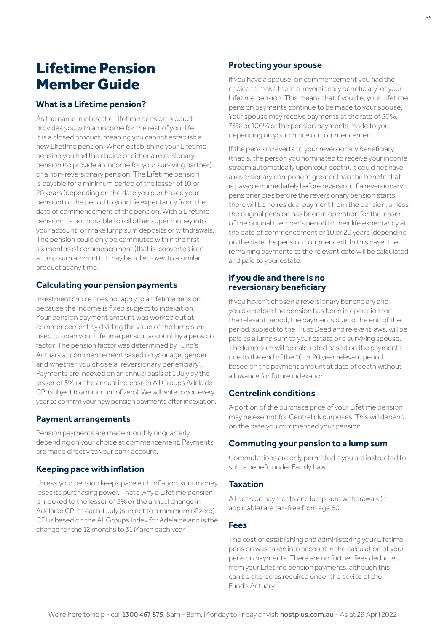## Lifetime Pension Member Guide

## **What is a Lifetime pension?**

As the name implies, the Lifetime pension product provides you with an income for the rest of your life. It is a closed product, meaning you cannot establish a new Lifetime pension. When establishing your Lifetime pension you had the choice of either a reversionary pension (to provide an income for your surviving partner) or a non-reversionary pension. The Lifetime pension is payable for a minimum period of the lesser of 10 or 20 years (depending on the date you purchased your pension) or the period to your life expectancy from the date of commencement of the pension. With a Lifetime pension, it's not possible to roll other super money into your account, or make lump sum deposits or withdrawals. The pension could only be commuted within the first six months of commencement (that is, converted into a lump sum amount). It may be rolled over to a similar product at any time.

## **Calculating your pension payments**

Investment choice does not apply to a Lifetime pension because the income is fixed subject to indexation. Your pension payment amount was worked out at commencement by dividing the value of the lump sum used to open your Lifetime pension account by a pension factor. The pension factor was determined by Fund's Actuary at commencement based on your age, gender and whether you chose a 'reversionary beneficiary'. Payments are indexed on an annual basis at 1 July by the lesser of 5% or the annual increase in All Groups Adelaide CPI (subject to a minimum of zero). We will write to you every year to confirm your new pension payments after indexation.

## **Payment arrangements**

Pension payments are made monthly or quarterly, depending on your choice at commencement. Payments are made directly to your bank account.

## **Keeping pace with inflation**

Unless your pension keeps pace with inflation, your money loses its purchasing power. That's why a Lifetime pension is indexed to the lesser of 5% or the annual change in Adelaide CPI at each 1 July (subject to a minimum of zero). CPI is based on the All Groups Index for Adelaide and is the change for the 12 months to 31 March each year.

## **Protecting your spouse**

If you have a spouse, on commencement you had the choice to make them a 'reversionary beneficiary' of your Lifetime pension. This means that if you die, your Lifetime pension payments continue to be made to your spouse. Your spouse may receive payments at the rate of 50%, 75% or 100% of the pension payments made to you, depending on your choice on commencement.

If the pension reverts to your reversionary beneficiary (that is, the person you nominated to receive your income stream automatically upon your death), it could not have a reversionary component greater than the benefit that is payable immediately before reversion. If a reversionary pensioner dies before the reversionary pension starts, there will be no residual payment from the pension, unless the original pension has been in operation for the lesser of the original member's period to their life expectancy at the date of commencement or 10 or 20 years (depending on the date the pension commenced). In this case, the remaining payments to the relevant date will be calculated and paid to your estate.

## **If you die and there is no reversionary beneficiary**

If you haven't chosen a reversionary beneficiary and you die before the pension has been in operation for the relevant period, the payments due to the end of the period, subject to the Trust Deed and relevant laws, will be paid as a lump sum to your estate or a surviving spouse. The lump sum will be calculated based on the payments due to the end of the 10 or 20 year relevant period, based on the payment amount at date of death without allowance for future indexation.

## **Centrelink conditions**

A portion of the purchase price of your Lifetime pension may be exempt for Centrelink purposes. This will depend on the date you commenced your pension.

## **Commuting your pension to a lump sum**

Commutations are only permitted if you are instructed to split a benefit under Family Law.

## **Taxation**

All pension payments and lump sum withdrawals (if applicable) are tax-free from age 60.

## **Fees**

The cost of establishing and administering your Lifetime pension was taken into account in the calculation of your pension payments. There are no further fees deducted from your Lifetime pension payments, although this can be altered as required under the advice of the Fund's Actuary.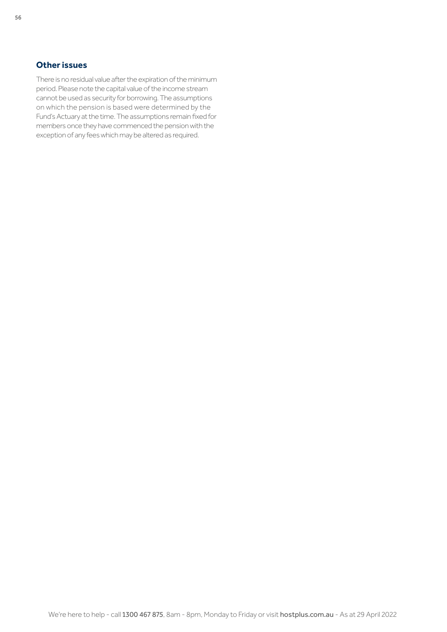## **Other issues**

There is no residual value after the expiration of the minimum period. Please note the capital value of the income stream cannot be used as security for borrowing. The assumptions on which the pension is based were determined by the Fund's Actuary at the time. The assumptions remain fixed for members once they have commenced the pension with the exception of any fees which may be altered as required.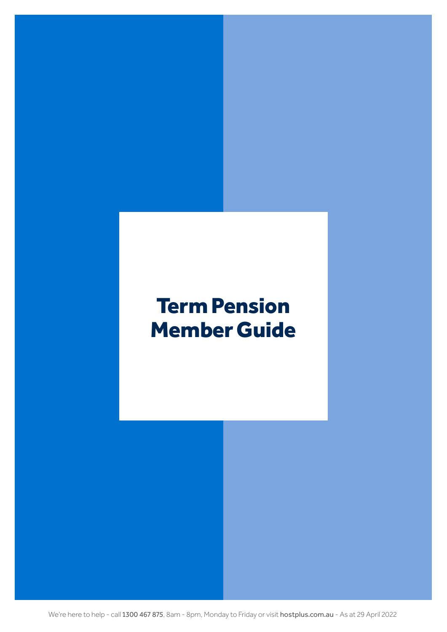# <span id="page-56-0"></span>Term Pension Member Guide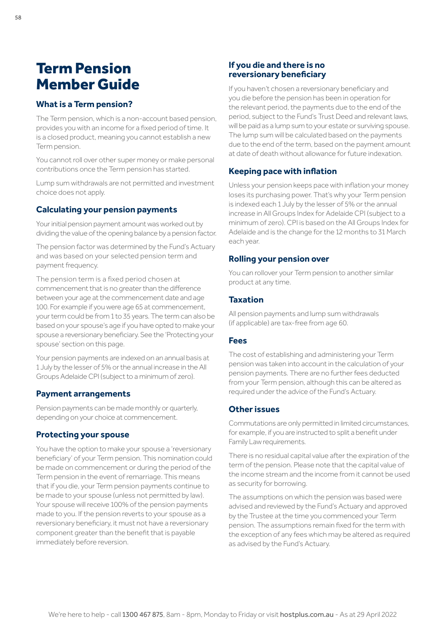## Term Pension Member Guide

## **What is a Term pension?**

The Term pension, which is a non-account based pension, provides you with an income for a fixed period of time. It is a closed product, meaning you cannot establish a new Term pension.

You cannot roll over other super money or make personal contributions once the Term pension has started.

Lump sum withdrawals are not permitted and investment choice does not apply.

## **Calculating your pension payments**

Your initial pension payment amount was worked out by dividing the value of the opening balance by a pension factor.

The pension factor was determined by the Fund's Actuary and was based on your selected pension term and payment frequency.

The pension term is a fixed period chosen at commencement that is no greater than the difference between your age at the commencement date and age 100. For example if you were age 65 at commencement, your term could be from 1 to 35 years. The term can also be based on your spouse's age if you have opted to make your spouse a reversionary beneficiary. See the 'Protecting your spouse' section on this page.

Your pension payments are indexed on an annual basis at 1 July by the lesser of 5% or the annual increase in the All Groups Adelaide CPI (subject to a minimum of zero).

## **Payment arrangements**

Pension payments can be made monthly or quarterly, depending on your choice at commencement.

## **Protecting your spouse**

You have the option to make your spouse a 'reversionary beneficiary' of your Term pension. This nomination could be made on commencement or during the period of the Term pension in the event of remarriage. This means that if you die, your Term pension payments continue to be made to your spouse (unless not permitted by law). Your spouse will receive 100% of the pension payments made to you. If the pension reverts to your spouse as a reversionary beneficiary, it must not have a reversionary component greater than the benefit that is payable immediately before reversion.

## **If you die and there is no reversionary beneficiary**

If you haven't chosen a reversionary beneficiary and you die before the pension has been in operation for the relevant period, the payments due to the end of the period, subject to the Fund's Trust Deed and relevant laws, will be paid as a lump sum to your estate or surviving spouse. The lump sum will be calculated based on the payments due to the end of the term, based on the payment amount at date of death without allowance for future indexation.

## **Keeping pace with inflation**

Unless your pension keeps pace with inflation your money loses its purchasing power. That's why your Term pension is indexed each 1 July by the lesser of 5% or the annual increase in All Groups Index for Adelaide CPI (subject to a minimum of zero). CPI is based on the All Groups Index for Adelaide and is the change for the 12 months to 31 March each year.

## **Rolling your pension over**

You can rollover your Term pension to another similar product at any time.

## **Taxation**

All pension payments and lump sum withdrawals (if applicable) are tax-free from age 60.

## **Fees**

The cost of establishing and administering your Term pension was taken into account in the calculation of your pension payments. There are no further fees deducted from your Term pension, although this can be altered as required under the advice of the Fund's Actuary.

## **Other issues**

Commutations are only permitted in limited circumstances, for example, if you are instructed to split a benefit under Family Law requirements.

There is no residual capital value after the expiration of the term of the pension. Please note that the capital value of the income stream and the income from it cannot be used as security for borrowing.

The assumptions on which the pension was based were advised and reviewed by the Fund's Actuary and approved by the Trustee at the time you commenced your Term pension. The assumptions remain fixed for the term with the exception of any fees which may be altered as required as advised by the Fund's Actuary.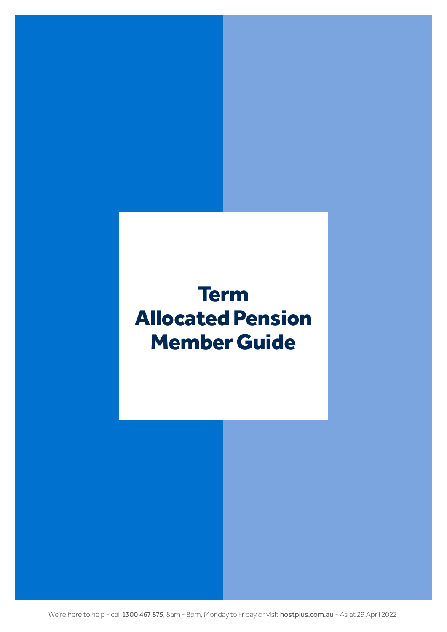# <span id="page-58-0"></span>Term Allocated Pension Member Guide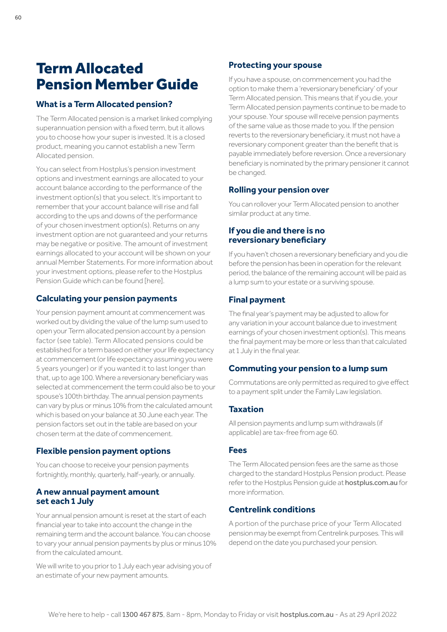## Term Allocated Pension Member Guide

## **What is a Term Allocated pension?**

The Term Allocated pension is a market linked complying superannuation pension with a fixed term, but it allows you to choose how your super is invested. It is a closed product, meaning you cannot establish a new Term Allocated pension.

You can select from Hostplus's pension investment options and investment earnings are allocated to your account balance according to the performance of the investment option(s) that you select. It's important to remember that your account balance will rise and fall according to the ups and downs of the performance of your chosen investment option(s). Returns on any investment option are not guaranteed and your returns may be negative or positive. The amount of investment earnings allocated to your account will be shown on your annual Member Statements. For more information about your investment options, please refer to the Hostplus Pension Guide which can be found [\[here](https://hostplus.com.au/retirement/forms-and-brochures/pension-product-disclosure-statement)].

## **Calculating your pension payments**

Your pension payment amount at commencement was worked out by dividing the value of the lump sum used to open your Term allocated pension account by a pension factor (see table). Term Allocated pensions could be established for a term based on either your life expectancy at commencement (or life expectancy assuming you were 5 years younger) or if you wanted it to last longer than that, up to age 100. Where a reversionary beneficiary was selected at commencement the term could also be to your spouse's 100th birthday. The annual pension payments can vary by plus or minus 10% from the calculated amount which is based on your balance at 30 June each year. The pension factors set out in the table are based on your chosen term at the date of commencement.

## **Flexible pension payment options**

You can choose to receive your pension payments fortnightly, monthly, quarterly, half-yearly, or annually.

## **A new annual payment amount set each 1 July**

Your annual pension amount is reset at the start of each financial year to take into account the change in the remaining term and the account balance. You can choose to vary your annual pension payments by plus or minus 10% from the calculated amount.

We will write to you prior to 1 July each year advising you of an estimate of your new payment amounts.

## **Protecting your spouse**

If you have a spouse, on commencement you had the option to make them a 'reversionary beneficiary' of your Term Allocated pension. This means that if you die, your Term Allocated pension payments continue to be made to your spouse. Your spouse will receive pension payments of the same value as those made to you. If the pension reverts to the reversionary beneficiary, it must not have a reversionary component greater than the benefit that is payable immediately before reversion. Once a reversionary beneficiary is nominated by the primary pensioner it cannot be changed.

## **Rolling your pension over**

You can rollover your Term Allocated pension to another similar product at any time.

## **If you die and there is no reversionary beneficiary**

If you haven't chosen a reversionary beneficiary and you die before the pension has been in operation for the relevant period, the balance of the remaining account will be paid as a lump sum to your estate or a surviving spouse.

## **Final payment**

The final year's payment may be adjusted to allow for any variation in your account balance due to investment earnings of your chosen investment option(s). This means the final payment may be more or less than that calculated at 1 July in the final year.

## **Commuting your pension to a lump sum**

Commutations are only permitted as required to give effect to a payment split under the Family Law legislation.

## **Taxation**

All pension payments and lump sum withdrawals (if applicable) are tax-free from age 60.

#### **Fees**

The Term Allocated pension fees are the same as those charged to the standard Hostplus Pension product. Please refer to the Hostplus Pension guide at [hostplus.com.au](https://hostplus.com.au) for more information.

## **Centrelink conditions**

A portion of the purchase price of your Term Allocated pension may be exempt from Centrelink purposes. This will depend on the date you purchased your pension.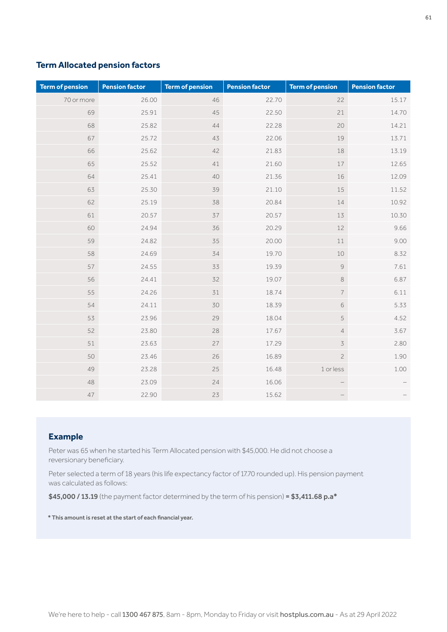## **Term Allocated pension factors**

| <b>Term of pension</b> | <b>Pension factor</b> | <b>Term of pension</b> | <b>Pension factor</b> | <b>Term of pension</b>                                    | <b>Pension factor</b> |
|------------------------|-----------------------|------------------------|-----------------------|-----------------------------------------------------------|-----------------------|
| 70 or more             | 26.00                 | 46                     | 22.70                 | 22                                                        | 15.17                 |
| 69                     | 25.91                 | 45                     | 22.50                 | 21                                                        | 14.70                 |
| 68                     | 25.82                 | 44                     | 22.28                 | 20                                                        | 14.21                 |
| 67                     | 25.72                 | 43                     | 22.06                 | 19                                                        | 13.71                 |
| 66                     | 25.62                 | 42                     | 21.83                 | 18                                                        | 13.19                 |
| 65                     | 25.52                 | 41                     | 21.60                 | 17                                                        | 12.65                 |
| 64                     | 25.41                 | 40                     | 21.36                 | 16                                                        | 12.09                 |
| 63                     | 25.30                 | 39                     | 21.10                 | 15                                                        | 11.52                 |
| 62                     | 25.19                 | 38                     | 20.84                 | 14                                                        | 10.92                 |
| 61                     | 20.57                 | 37                     | 20.57                 | 13                                                        | 10.30                 |
| 60                     | 24.94                 | 36                     | 20.29                 | 12                                                        | 9.66                  |
| 59                     | 24.82                 | 35                     | 20.00                 | 11                                                        | 9.00                  |
| 58                     | 24.69                 | 34                     | 19.70                 | 10                                                        | 8.32                  |
| 57                     | 24.55                 | 33                     | 19.39                 | $\mathcal{G}% _{M_{1},M_{2}}^{\alpha,\beta}(\mathcal{A})$ | 7.61                  |
| 56                     | 24.41                 | 32                     | 19.07                 | $\,8\,$                                                   | 6.87                  |
| 55                     | 24.26                 | 31                     | 18.74                 | $\overline{\phantom{a}}$                                  | 6.11                  |
| 54                     | 24.11                 | 30                     | 18.39                 | 6                                                         | 5.33                  |
| 53                     | 23.96                 | 29                     | 18.04                 | 5                                                         | 4.52                  |
| 52                     | 23.80                 | 28                     | 17.67                 | $\overline{4}$                                            | 3.67                  |
| 51                     | 23.63                 | 27                     | 17.29                 | $\overline{3}$                                            | 2.80                  |
| 50                     | 23.46                 | 26                     | 16.89                 | $\overline{c}$                                            | 1.90                  |
| 49                     | 23.28                 | 25                     | 16.48                 | 1 or less                                                 | 1.00                  |
| 48                     | 23.09                 | 24                     | 16.06                 |                                                           |                       |
| 47                     | 22.90                 | 23                     | 15.62                 |                                                           |                       |

## **Example**

Peter was 65 when he started his Term Allocated pension with \$45,000. He did not choose a reversionary beneficiary.

Peter selected a term of 18 years (his life expectancy factor of 17.70 rounded up). His pension payment was calculated as follows:

\$45,000 / 13.19 (the payment factor determined by the term of his pension) = \$3,411.68 p.a\*

\* This amount is reset at the start of each financial year.